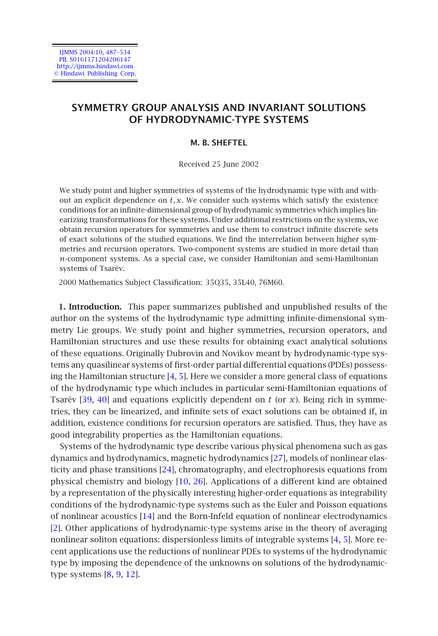

# **SYMMETRY GROUP ANALYSIS AND INVARIANT SOLUTIONS OF HYDRODYNAMIC-TYPE SYSTEMS**

### **M. B. SHEFTEL**

Received 25 June 2002

We study point and higher symmetries of systems of the hydrodynamic type with and without an explicit dependence on  $t, x$ . We consider such systems which satisfy the existence conditions for an infinite-dimensional group of hydrodynamic symmetries which implies linearizing transformations for these systems. Under additional restrictions on the systems, we obtain recursion operators for symmetries and use them to construct infinite discrete sets of exact solutions of the studied equations. We find the interrelation between higher symmetries and recursion operators. Two-component systems are studied in more detail than *n*-component systems. As a special case, we consider Hamiltonian and semi-Hamiltonian systems of Tsarëv.

2000 Mathematics Subject Classification: 35Q35, 35L40, 76M60.

**1. Introduction.** This paper summarizes published and unpublished results of the author on the systems of the hydrodynamic type admitting infinite-dimensional symmetry Lie groups. We study point and higher symmetries, recursion operators, and Hamiltonian structures and use these results for obtaining exact analytical solutions of these equations. Originally Dubrovin and Novikov me[ant b](#page-47-0)y hydrodynamic-type systems any quasilinear system[s of](#page-47-1) first-order partial differential equations (PDEs) possessing the Hamiltonian structure  $[4, 5]$ . [Her](#page-47-2)e we consider a more general class of equations of the hydrodynamic type which includes in particular semi-Hamiltonian equations of Tsarëv [39, 40] and equations explicitly dependent on *t* (or *x*). Being rich in symmetries, they can be linea[rize](#page-46-1)d, and infinite sets of exact solutions can be obtained if, in [ad](#page-46-2)dition, existence conditions for recursion operators are satisfied. Thus, they have as good integrability properties as the Hamiltonian equations.

Systems of the hydrodynamic type describe various physical phenomena such as gas dynamics and hydrodynamics, magnetic hydrodynamics [27], models of nonlinear elasticity and pha[se](#page-46-3) [tr](#page-46-4)[ansi](#page-46-5)tions [24], chromatography, and electrophoresis equations from physical chemistry and biology [10, 26]. Applications of a different kind are obtained by a representation of the physically interesting higher-order equations as integrability conditions of the hydrodynamic-type systems such as the Euler and Poisson equations of nonlinear acoustics [14] and the Born-Infeld equation of nonlinear electrodynamics [2]. Other applications of hydrodynamic-type systems arise in the theory of averaging nonlinear soliton equations: dispersionless limits of integrable systems [4, 5]. More recent applications use the reductions of nonlinear PDEs to systems of the hydrodynamic type by imposing the dependence of the unknowns on solutions of the hydrodynamictype systems [8, 9, 12].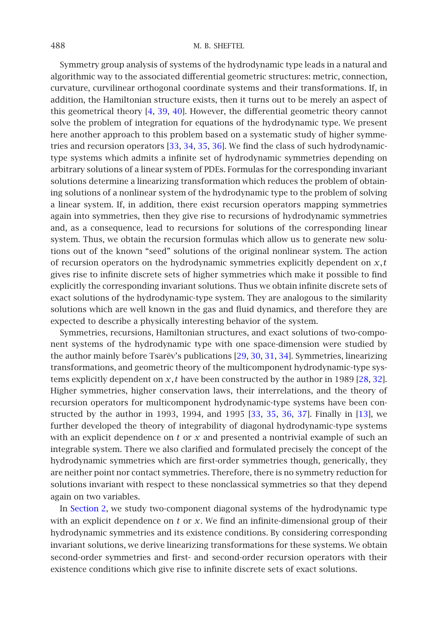Symmetry group analysis of systems of the hydrodynamic type leads in a natural and algorithmic way to the associated differential geometric structures: metric, connection, curvature, curvilinear orthogonal coordinate systems and their transformations. If, in addition, the Hamiltonian structure exists, then it turns out to be merely an aspect of this geometrical theory [4, 39, 40]. However, the differential geometric theory cannot solve the problem of integration for equations of the hydrodynamic type. We present here another approach to this problem based on a systematic study of higher symmetries and recursion operators [33, 34, 35, 36]. We find the class of such hydrodynamictype systems which admits a infinite set of hydrodynamic symmetries depending on arbitrary solutions of a linear system of PDEs. Formulas for the corresponding invariant solutions determine a linearizing transformation which reduces the problem of obtaining solutions of a nonlinear system of the hydrodynamic type to the problem of solving a linear system. If, in addition, there exist recursion operators mapping symmetries again into symmetries, then they give rise to recursions of hydrodynamic symmetries and, as a consequence, lead to recursions for solutions of the corresponding linear system. Thus, we obtain the recursion formulas which allow us to generate new solutions out of the known "seed" solutions of th[e or](#page-47-6)[igin](#page-47-7)[al n](#page-47-8)[onli](#page-47-3)near system. The action of recursion operators on the hydrodynamic symmetries explicitly dependent on *x,t* gives rise to infinite discrete sets of higher symmetries which make it possibl[e to](#page-47-9) [find](#page-47-10) explicitly the corresponding invariant solutions. Thus we obtain infinite discrete sets of exact solutions of the hydrodynamic-type system. They are analogous to the similarity solutions which are well known in the gas and flui[d d](#page-47-11)[yna](#page-47-4)[mics](#page-47-5), [an](#page-47-12)d therefore [they](#page-46-6) are expected to describe a physically interesting behavior of the system.

Symmetries, recursions, Hamiltonian structures, and exact solutions of two-component systems of the hydrodynamic type with one space-dimension were studied by the author mainly before Tsarëv's publications [29, 30, 31, 34]. Symmetries, linearizing transformations, and geometric theory of the multicomponent hydrodynamic-type systems explicitly dependent on *x,t* have been constructed by the author in 1989 [28, 32]. Higher symmetries, higher conservation laws, their interrelations, and the theory of recu[rsion oper](#page-2-0)ators for multicomponent hydrodynamic-type systems have been constructed by the author in 1993, 1994, and 1995 [33, 35, 36, 37]. Finally in [13], we further developed the theory of integrability of diagonal hydrodynamic-type systems with an explicit dependence on *t* or *x* and presented a nontrivial example of such an integrable system. There we also clarified and formulated precisely the concept of the hydrodynamic symmetries which are first-order symmetries though, generically, they are neither point nor contact symmetries. Therefore, there is no symmetry reduction for solutions invariant with respect to these nonclassical symmetries so that they depend again on two variables.

In Section 2, we study two-component diagonal systems of the hydrodynamic type with an explicit dependence on *t* or *x*. We find an infinite-dimensional group of their hydrodynamic symmetries and its existence conditions. By considering corresponding invariant solutions, we derive linearizing transformations for these systems. We obtain second-order symmetries and first- and second-order recursion operators with their existence conditions which give rise to infinite discrete sets of exact solutions.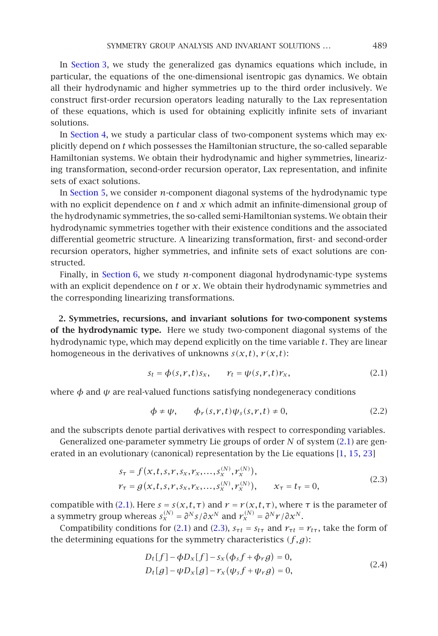In Section 3, we study the generalized gas dynamics equations which include, in particular, the equations of the one-dimensional isentropic gas dynamics. We obtain all t[heir hydro](#page-34-0)dynamic and higher symmetries up to the third order inclusively. We construct first-order recursion operators leading naturally to the Lax representation of these equations, which is used for obtaining explicitly infinite sets of invariant solutions.

In Section 4, we study a particular class of two-component systems which may explicitly depend on *t* which possesses the Hamiltonian structure, the so-called separable Hamiltonian systems. We obtain their hydrodynamic and higher symmetries, linearizing transfor[mation, sec](#page-43-0)ond-order recursion operator, Lax representation, and infinite sets of exact solutions.

<span id="page-2-0"></span>In Section 5, we consider *n*-component diagonal systems of the hydrodynamic type with no explicit dependence on *t* and *x* which admit an infinite-dimensional group of the hydrodynamic symmetries, the so-called semi-Hamiltonian systems. We obtain their hydrodynamic symmetries together with their existence conditions and the associated differential geometric structure. A linearizing transformation, first- and second-order recursion operators, higher symmetries, and infinite sets of exact solutions are constructed.

Finally, in Section 6, we study *n*-component diagonal hydrodynamic-type systems with an explicit dependence on *t* or *x*. We obtain their hydrodynamic symmetries and the corresponding linearizing transformations.

**2. Symmetries, recursions, and invariant solutions for two-component systems of the hydrodynamic type.** Here we study two-component diagonal sy[stem](#page-2-1)s of the hydrodynamic type, which may depend explicitly on the time variable *t*. T[hey](#page-46-7) [ar](#page-46-8)[e lin](#page-47-13)ear homogeneous in the derivatives of unknowns  $s(x, t)$ ,  $r(x, t)$ :

<span id="page-2-2"></span><span id="page-2-1"></span>
$$
s_t = \phi(s, r, t) s_x, \qquad r_t = \psi(s, r, t) r_x,
$$
\n
$$
(2.1)
$$

where  $\phi$  and  $\psi$  [are r](#page-2-1)eal-valued functions satisfying nondegeneracy conditions

<span id="page-2-3"></span>
$$
\phi \neq \psi, \qquad \phi_r(s, r, t)\psi_s(s, r, t) \neq 0,
$$
\n(2.2)

and the subscripts denote parti[al](#page-2-1) [de](#page-2-1)rivat[ives](#page-2-2) with respect to corresponding variables.

Generalized one-parameter symmetry Lie groups of order *N* of system (2.1) are generated in an evolutionary (canonical) representation by the Lie equations [1, 15, 23]

$$
s_{\tau} = f(x, t, s, r, s_x, r_x, \dots, s_x^{(N)}, r_x^{(N)}),
$$
  
\n
$$
r_{\tau} = g(x, t, s, r, s_x, r_x, \dots, s_x^{(N)}, r_x^{(N)}), \qquad x_{\tau} = t_{\tau} = 0,
$$
\n(2.3)

compatible with (2.1). Here  $s = s(x, t, \tau)$  and  $r = r(x, t, \tau)$ , where  $\tau$  is the parameter of a symmetry group whereas  $s_x^{(N)} = \partial^N s / \partial x^N$  and  $r_x^{(N)} = \partial^N r / \partial x^N$ .

Compatibility conditions for (2.1) and (2.3),  $s_{\tau t} = s_{t\tau}$  and  $r_{\tau t} = r_{t\tau}$ , take the form of the determining equations for the symmetry characteristics  $(f, g)$ :

$$
D_t[f] - \phi D_x[f] - s_x(\phi_s f + \phi_r g) = 0,
$$
  
\n
$$
D_t[g] - \psi D_x[g] - r_x(\psi_s f + \psi_r g) = 0,
$$
\n(2.4)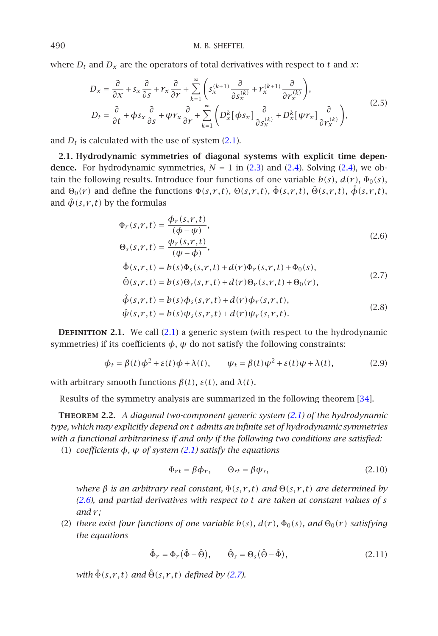where  $D_t$  a[nd](#page-2-3)  $D_x$  are the operators of total deriva[tives](#page-2-2) with [resp](#page-2-3)ect to  $t$  and  $x$ :

$$
D_x = \frac{\partial}{\partial x} + s_x \frac{\partial}{\partial s} + r_x \frac{\partial}{\partial r} + \sum_{k=1}^{\infty} \left( s_x^{(k+1)} \frac{\partial}{\partial s_x^{(k)}} + r_x^{(k+1)} \frac{\partial}{\partial r_x^{(k)}} \right),
$$
  
\n
$$
D_t = \frac{\partial}{\partial t} + \phi s_x \frac{\partial}{\partial s} + \psi r_x \frac{\partial}{\partial r} + \sum_{k=1}^{\infty} \left( D_x^k [\phi s_x] \frac{\partial}{\partial s_x^{(k)}} + D_x^k [\psi r_x] \frac{\partial}{\partial r_x^{(k)}} \right),
$$
\n(2.5)

and  $D_t$  is calculated with the use of system  $(2.1)$ .

**2.1. Hydrodynamic symmetries of diagonal systems with explicit time dependence.** For hydrodynamic symmetries,  $N = 1$  in (2.3) and (2.4). Solving (2.4), we obtain the following results. Introduce four functions of one variable  $b(s)$ ,  $d(r)$ ,  $\Phi_0(s)$ , and  $\Theta_0(r)$  and define the functions  $\Phi(s,r,t)$ ,  $\Theta(s,r,t)$ ,  $\hat{\Phi}(s,r,t)$ ,  $\hat{\Theta}(s,r,t)$ ,  $\hat{\phi}(s,r,t)$ , and  $\hat{\psi}(s, r, t)$  by the formulas

<span id="page-3-2"></span><span id="page-3-1"></span><span id="page-3-0"></span>
$$
\Phi_r(s, r, t) = \frac{\phi_r(s, r, t)}{(\phi - \psi)},
$$
  
\n
$$
\Theta_s(s, r, t) = \frac{\psi_r(s, r, t)}{(\psi - \phi)},
$$
\n(2.6)

$$
\hat{\Phi}(s,\gamma,t) = b(s)\Phi_s(s,\gamma,t) + d(\gamma)\Phi_r(s,\gamma,t) + \Phi_0(s),
$$
\n(2.7)

$$
\hat{\Theta}(s,\boldsymbol{r},t) = b(s)\Theta_s(s,\boldsymbol{r},t) + d(\boldsymbol{r})\Theta_{\boldsymbol{r}}(s,\boldsymbol{r},t) + \Theta_0(\boldsymbol{r}),
$$
\n(2.7)

$$
\hat{\phi}(s,r,t) = b(s)\phi_s(s,r,t) + d(r)\phi_r(s,r,t),
$$
\n
$$
\hat{\psi}(s,r,t) = b(s)\psi_s(s,r,t) + d(r)\psi_r(s,r,t).
$$
\n(2.8)

<span id="page-3-4"></span>**DEFINITION 2.1.** We call (2.1) a generic system (with respect to the hydrodynamic symmetries) if its coefficients  $\phi$ ,  $\psi$  [do](#page-2-1) not satisfy the following constraints:

$$
\phi_t = \beta(t)\phi^2 + \varepsilon(t)\phi + \lambda(t), \qquad \psi_t = \beta(t)\psi^2 + \varepsilon(t)\psi + \lambda(t), \tag{2.9}
$$

with arbitrary smooth functions  $β(t)$ ,  $ε(t)$ , and  $λ(t)$ .

Res[ults](#page-3-0) [o](#page-3-0)f the symmetry analysis are summarized in the following theorem [34].

**Theorem 2.2.** *A diagonal two-component generic system (2.1) of the hydrodynamic type, which may explicitly depend on t admits an infinite set of hydrodynamic symmetries with a functional arbitrariness if and only if the following two conditions are satisfied:*

(1) *coefficients φ, ψ of system (2.1) satisfy the equations*

<span id="page-3-5"></span><span id="page-3-3"></span>
$$
\Phi_{rt} = \beta \phi_r, \qquad \Theta_{st} = \beta \psi_s, \tag{2.10}
$$

*where β is an arbitrary real constant,* Φ*(s, r,t) and* Θ*(s, r,t) are determined by (2.6), and partial derivatives with respect to t are taken at constant values of s and r ;*

(2) *there exist four functions of one variable*  $b(s)$ *,*  $d(r)$ *,*  $\Phi_0(s)$ *, and*  $\Theta_0(r)$  *satisfying the equations*

$$
\hat{\Phi}_r = \Phi_r (\hat{\Phi} - \hat{\Theta}), \qquad \hat{\Theta}_s = \Theta_s (\hat{\Theta} - \hat{\Phi}), \qquad (2.11)
$$

*with*  $\hat{\Phi}(s, r, t)$  *and*  $\hat{\Theta}(s, r, t)$  *defined by (2.7).*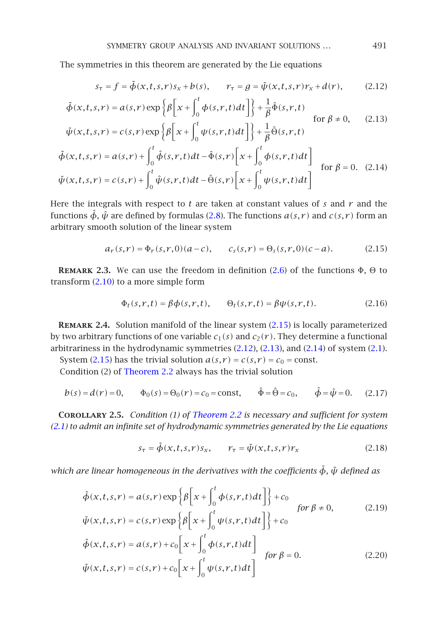The symmetries in this theorem are generated by the Lie equations

<span id="page-4-3"></span><span id="page-4-2"></span><span id="page-4-1"></span><span id="page-4-0"></span>
$$
s_{\tau} = f = \tilde{\phi}(x, t, s, r) s_x + b(s), \qquad r_{\tau} = g = \tilde{\psi}(x, t, s, r) r_x + d(r), \tag{2.12}
$$

$$
\tilde{\phi}(x,t,s,r) = a(s,r) \exp\left\{\beta \left[x + \int_0^t \phi(s,r,t)dt\right]\right\} + \frac{1}{\beta} \hat{\Phi}(s,r,t)
$$
 for  $\beta \neq 0$ , (2.13)

$$
\tilde{\psi}(x,t,s,r) = c(s,r) \exp\left\{\beta \left[x + \int_0^t \psi(s,r,t)dt\right]\right\} + \frac{1}{\beta} \hat{\Theta}(s,r,t)
$$
\n
$$
\tilde{\phi}(x,t,s,r) = a(s,r) + \int_0^t \hat{\phi}(s,r,t)dt - \hat{\Phi}(s,r) \left[x + \int_0^t \phi(s,r,t)dt\right]
$$
\nfor  $\beta = 0$ . (2.14)\n
$$
\tilde{\psi}(x,t,s,r) = c(s,r) + \int_0^t \hat{\psi}(s,r,t)dt - \hat{\Theta}(s,r) \left[x + \int_0^t \psi(s,r,t)dt\right]
$$

Here the integrals with respect to *t* are taken at constant values of *s* and *r* and the functi[ons](#page-4-0)  $\hat{\phi}$ ,  $\hat{\psi}$  are defined by formulas (2.8). The functions  $a(s,r)$  and  $c(s,r)$  form an arbitrary smooth solution of the linear system

<span id="page-4-6"></span>
$$
a_r(s,r) = \Phi_r(s,r,0)(a-c), \qquad c_s(s,r) = \Theta_s(s,r,0)(c-a). \tag{2.15}
$$

**REMARK 2.3.** [We](#page-3-4) [can](#page-3-4) [use](#page-3-4) [the](#page-3-4) freedom in definition (2.6) of the functions  $\Phi$ ,  $\Theta$  to transform (2.10) to a more simple form

<span id="page-4-7"></span>
$$
\Phi_t(s, r, t) = \beta \phi(s, r, t), \qquad \Theta_t(s, r, t) = \beta \psi(s, r, t). \tag{2.16}
$$

**[Re](#page-2-1)mark 2.4.** Solution manifold of the linear system (2.15) is locally parameterized by two arbitrary functions of one variable  $c_1(s)$  and  $c_2(r)$ . They determine a functional arbitrariness in the hydrodynamic symmetries (2.12), (2.13), and (2.14) of system (2.1).

System (2.15) has the trivial solution  $a(s,r) = c(s,r) = c_0$  = const.

Condition (2) of Theorem 2.2 always has the trivial solution

$$
b(s) = d(r) = 0, \qquad \Phi_0(s) = \Theta_0(r) = c_0 = \text{const}, \qquad \hat{\Phi} = \hat{\Theta} = c_0, \qquad \hat{\phi} = \hat{\psi} = 0. \tag{2.17}
$$

**Corollary 2.5.** *Condition (1) of Theorem 2.2 is necessary and sufficient for system (2.1) to admit an infinite set of hydrodynamic symmetries generated by the Lie equations*

<span id="page-4-5"></span><span id="page-4-4"></span>
$$
s_{\tau} = \tilde{\phi}(x, t, s, r) s_x, \qquad r_{\tau} = \tilde{\psi}(x, t, s, r) r_x \tag{2.18}
$$

*which are linear homogeneous in the derivatives with the coefficients*  $\tilde{\phi}$ *,*  $\tilde{\psi}$  *defined as* 

$$
\tilde{\phi}(x,t,s,r) = a(s,r) \exp \left\{ \beta \left[ x + \int_0^t \phi(s,r,t)dt \right] \right\} + c_0 \quad \text{for } \beta \neq 0, \tag{2.19}
$$
\n
$$
\tilde{\psi}(x,t,s,r) = c(s,r) \exp \left\{ \beta \left[ x + \int_0^t \psi(s,r,t)dt \right] \right\} + c_0 \quad \text{for } \beta \neq 0, \tag{2.19}
$$
\n
$$
\tilde{\phi}(x,t,s,r) = a(s,r) + c_0 \left[ x + \int_0^t \phi(s,r,t)dt \right] \quad \text{for } \beta = 0. \tag{2.20}
$$
\n
$$
\tilde{\psi}(x,t,s,r) = c(s,r) + c_0 \left[ x + \int_0^t \psi(s,r,t)dt \right]
$$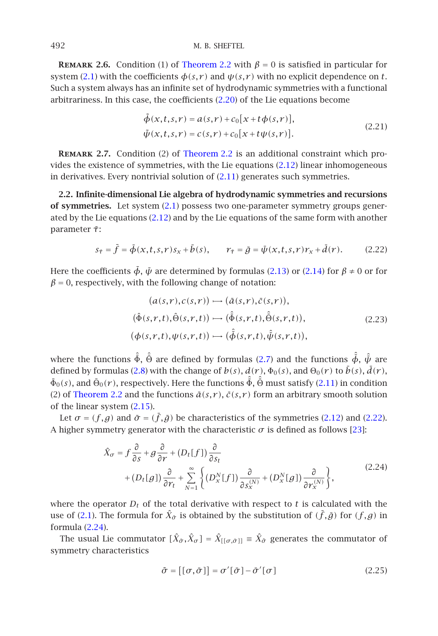**REMARK 2.6.** Condition (1) of Theorem 2.2 with  $\beta = 0$  [is](#page-4-1) [sat](#page-4-1)isfied in particular for system (2.1) with the coefficients  $\phi(s,r)$  and  $\psi(s,r)$  with no explicit dependence on *t*. Such a system always has an infinite set of hydrodynamic symmetries with a functional arbitrariness. In this case, th[e coe](#page-2-1)fficients (2.20) of the Lie equations become

<span id="page-5-2"></span><span id="page-5-0"></span>
$$
\tilde{\phi}(x, t, s, r) = a(s, r) + c_0 [x + t \phi(s, r)], \n\tilde{\psi}(x, t, s, r) = c(s, r) + c_0 [x + t \psi(s, r)].
$$
\n(2.21)

**Remark 2.7.** Condition (2) of Theorem 2.2 is an additional constraint which provides the existence of symmetries, with the Lie equatio[ns \(2.1](#page-4-2)2) l[inear](#page-4-3) inhomogeneous in derivatives. Every nontrivial solution of (2.11) generates such symmetries.

**2.2. Infinite-dimensional Lie algebra of hydrodynamic symmetries and recursions of symmetries.** Let system (2.1) possess two one-parameter symmetry groups generated by the Lie equations (2.12) and by the Lie equations of the same form with another parameter  $\bar{\tau}$ :

$$
s_{\bar{\tau}} = \bar{f} = \bar{\phi}(x, t, s, r) s_x + \bar{b}(s), \qquad r_{\bar{\tau}} = \bar{g} = \bar{\psi}(x, t, s, r) r_x + \bar{d}(r). \tag{2.22}
$$

Here the coefficients  $\bar{\phi}$ ,  $\bar{\psi}$  are determined by formulas (2.13) or (2.[14\) for](#page-3-5)  $\beta \neq 0$  or for  $\beta = 0$ [, respectively,](#page-3-4) with the following change of notation:

<span id="page-5-1"></span>
$$
(a(s,r),c(s,r)) \rightarrow (\bar{a}(s,r),\bar{c}(s,r)),
$$
  
\n
$$
(\hat{\Phi}(s,r,t),\hat{\Theta}(s,r,t)) \rightarrow (\hat{\Phi}(s,r,t),\hat{\Theta}(s,r,t)),
$$
  
\n
$$
(\phi(s,r,t),\psi(s,r,t)) \rightarrow (\hat{\phi}(s,r,t),\hat{\psi}(s,r,t)),
$$
\n(2.23)

where the functions  $_{1}^{\hat{\Phi}},$   $_{1}^{\hat{\Theta}}$  are defined by formulas (2.7) and the functions  $_{1}^{\hat{\phi}},$   $_{\hat{\psi}}^{\hat{\psi}}$  are defined by formulas (2.8) with the change of  $b(s)$ ,  $d(r)$ ,  $\Phi_0(s)$ , and  $\Theta_0(r)$  to  $\bar{b}(s)$ ,  $\bar{d}(r)$ ,  $\tilde{\Phi}_0(s)$ , and  $\tilde{\Theta}_0(r)$ , respectively. Here the functions  $\hat{\tilde{\Phi}}, \hat{\tilde{\Theta}}$  must satisfy (2.11) in condition (2) of Theorem 2.2 and the functions  $\bar{a}(s,r)$ ,  $\bar{c}(s,r)$  form an arbitrary smooth solution of the l[inea](#page-2-1)r system (2.15).

Let  $\sigma = (f, g)$  and  $\bar{\sigma} = (\bar{f}, \bar{g})$  be characteristics of the symmetries (2.12) and (2.22). A higher symmetry generator with the characteristic  $\sigma$  is defined as follows [23]:

$$
\hat{X}_{\sigma} = f \frac{\partial}{\partial s} + g \frac{\partial}{\partial r} + (D_t[f]) \frac{\partial}{\partial s_t} \n+ (D_t[g]) \frac{\partial}{\partial r_t} + \sum_{N=1}^{\infty} \left\{ (D_x^N[f]) \frac{\partial}{\partial s_N^{(N)}} + (D_x^N[g]) \frac{\partial}{\partial r_x^{(N)}} \right\},
$$
\n(2.24)

where the operator  $D_t$  of the total derivative with respect to  $t$  is calculated with the use of (2.1). The formula for  $\hat{X}_{\sigma}$  is obtained by the substitution of  $(\tilde{f}, \tilde{g})$  for  $(f, g)$  in formula (2.24).

The usual Lie commutator  $[\hat{X}_{\tilde{\sigma}}, \hat{X}_{\sigma}] = \hat{X}_{[[\sigma, \tilde{\sigma}]]} \equiv \hat{X}_{\tilde{\sigma}}$  generates the commutator of symmetry characteristics

$$
\tilde{\sigma} = [[\sigma, \bar{\sigma}]] = \sigma'[\bar{\sigma}] - \bar{\sigma}'[\sigma]
$$
\n(2.25)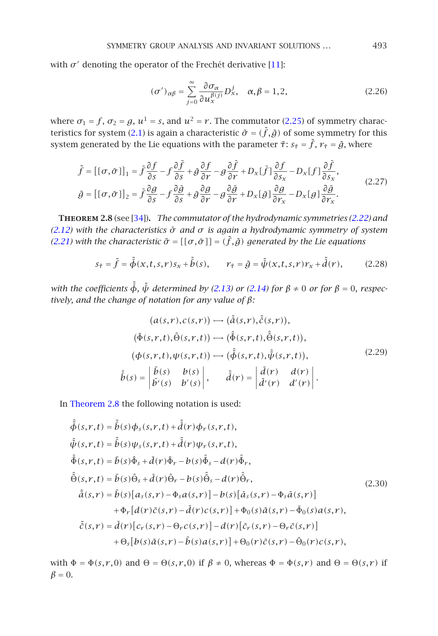with  $\sigma'$  denoting the operator of the Frechét derivative [11]:

$$
(\sigma')_{\alpha\beta} = \sum_{j=0}^{\infty} \frac{\partial \sigma_{\alpha}}{\partial u_{x}^{\beta(j)}} D_{x}^{j}, \quad \alpha, \beta = 1, 2,
$$
 (2.26)

<span id="page-6-0"></span>[where](#page-4-1)  $\sigma_1 = f$  $\sigma_1 = f$  $\sigma_1 = f$ ,  $\sigma_2 = g$ ,  $u^1 = s$ , and  $u^2 = r$ . The commutator (2.25) of symmet[ry](#page-5-0) [cha](#page-5-0)rac[terist](#page-5-2)ics for system (2.1) is again a characteristic  $\tilde{\sigma} = (\tilde{f}, \tilde{g})$  of some symmetry for this system generated by the Lie equations with the parameter  $\tilde{\tau}$ :  $s_{\tilde{\tau}}=\tilde{f}$ ,  $r_{\tilde{\tau}}=\tilde{g}$ , where

$$
\tilde{f} = [[\sigma, \bar{\sigma}]]_1 = \bar{f}\frac{\partial f}{\partial s} - f\frac{\partial \bar{f}}{\partial s} + \bar{g}\frac{\partial f}{\partial r} - g\frac{\partial \bar{f}}{\partial r} + D_x[\bar{f}]\frac{\partial f}{\partial s_x} - D_x[f]\frac{\partial \bar{f}}{\partial s_x},
$$
\n
$$
\tilde{g} = [[\sigma, \bar{\sigma}]]_2 = \bar{f}\frac{\partial g}{\partial s} - f\frac{\partial \bar{g}}{\partial s} + \bar{g}\frac{\partial g}{\partial r} - g\frac{\partial \bar{g}}{\partial r} + D_x[\bar{g}]\frac{\partial g}{\partial r_x} - D_x[g]\frac{\partial \bar{g}}{\partial r_x}.
$$
\n(2.27)

**Theorem 2.8** (see [34])**.** *The commutator of the hydrodynamic symmetries (2.22) and (2.12) with the characteristics σ*¯ *and σ is again a hydrodynamic symmetry of system (2.21)* with the characteristic  $\tilde{\sigma} = [[\sigma, \bar{\sigma}]] = (\tilde{f}, \tilde{g})$  generated by the Lie equations

$$
s_{\tilde{\tau}} = \tilde{f} = \tilde{\phi}(x, t, s, r) s_x + \tilde{\tilde{b}}(s), \qquad r_{\tilde{\tau}} = \tilde{g} = \tilde{\psi}(x, t, s, r) r_x + \tilde{\tilde{d}}(r), \tag{2.28}
$$

*with the coefficients*  $\tilde{\bar{\phi}}$ *,*  $\tilde{\bar{\psi}}$  determined by (2.13) or (2.14) for  $\beta \neq 0$  or for  $\beta = 0$ , respec*tivel[y, and the cha](#page-6-0)nge of notation for any value of β:*

$$
(a(s,r),c(s,r)) \rightarrow (\tilde{a}(s,r),\tilde{c}(s,r)),
$$
  
\n
$$
(\hat{\Phi}(s,r,t),\hat{\Theta}(s,r,t)) \rightarrow (\hat{\Phi}(s,r,t),\hat{\Theta}(s,r,t)),
$$
  
\n
$$
(\phi(s,r,t),\psi(s,r,t)) \rightarrow (\hat{\phi}(s,r,t),\tilde{\psi}(s,r,t)),
$$
  
\n
$$
\tilde{b}(s) = \begin{vmatrix} \bar{b}(s) & b(s) \\ \bar{b}'(s) & b'(s) \end{vmatrix}, \qquad \tilde{\tilde{d}}(r) = \begin{vmatrix} \bar{d}(r) & d(r) \\ \bar{d}'(r) & d'(r) \end{vmatrix}.
$$
\n(2.29)

In Theorem 2.8 the following notation is used:

$$
\hat{\phi}(s,r,t) = \tilde{b}(s)\phi_s(s,r,t) + \tilde{d}(r)\phi_r(s,r,t),
$$
\n
$$
\hat{\psi}(s,r,t) = \tilde{b}(s)\psi_s(s,r,t) + \tilde{d}(r)\psi_r(s,r,t),
$$
\n
$$
\hat{\phi}(s,r,t) = \tilde{b}(s)\hat{\Phi}_s + \tilde{d}(r)\hat{\Phi}_r - b(s)\hat{\Phi}_s - d(r)\hat{\Phi}_r,
$$
\n
$$
\hat{\theta}(s,r,t) = \tilde{b}(s)\hat{\Theta}_s + \tilde{d}(r)\hat{\Theta}_r - b(s)\hat{\Theta}_s - d(r)\hat{\Phi}_r,
$$
\n
$$
\tilde{a}(s,r) = \tilde{b}(s)[a_s(s,r) - \Phi_s a(s,r)] - b(s)[\tilde{a}_s(s,r) - \Phi_s \tilde{a}(s,r)]
$$
\n
$$
+ \Phi_r[d(r)\bar{c}(s,r) - \tilde{d}(r)c(s,r)] + \Phi_0(s)\tilde{a}(s,r) - \tilde{\Phi}_0(s)a(s,r),
$$
\n
$$
\tilde{c}(s,r) = \tilde{d}(r)[c_r(s,r) - \Theta_r c(s,r)] - d(r)[\tilde{c}_r(s,r) - \Theta_r \tilde{c}(s,r)]
$$
\n
$$
+ \Theta_s[b(s)\tilde{a}(s,r) - \tilde{b}(s)a(s,r)] + \Theta_0(r)\tilde{c}(s,r) - \tilde{\Theta}_0(r)c(s,r),
$$
\n(2.30)

with  $\Phi = \Phi(s, r, 0)$  and  $\Theta = \Theta(s, r, 0)$  if  $\beta \neq 0$ , whereas  $\Phi = \Phi(s, r)$  and  $\Theta = \Theta(s, r)$  if  $\beta = 0$ .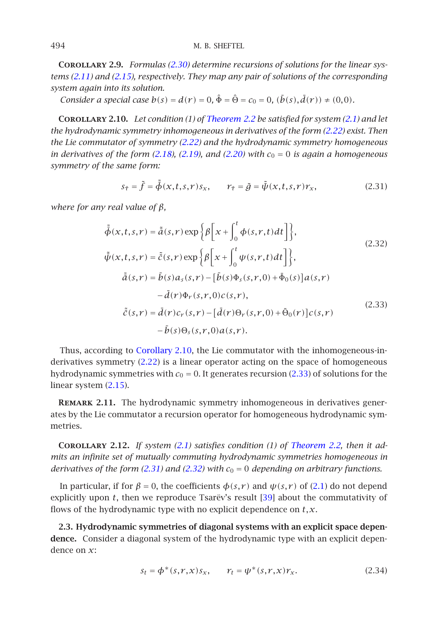**Corollary 2.9.** *Formulas (2.30) determine recursions of solutions for the linear systems (2.11) and (2.15), respectively. They map any pair of solutions of the corresponding system again into its solution.*

*Consider a special case*  $b(s) = d(r) = 0$ *,*  $\hat{\Phi} = \hat{\Theta} = c_0 = 0$ ,  $(\bar{b}(s), \bar{d}(r)) \neq (0, 0)$ *.* 

**Corollary 2.10.** *Let condition (1) of Theorem 2.2 be satisfied for system (2.1) and let the hydrodynamic symmetry inhomogeneous in derivatives of the form (2.22) exist. Then the Lie commutator of symmetry (2.22) and the hydrodynamic symmetry homogeneous in derivatives of the form (2.18), (2.19), and (2.20) with*  $c_0 = 0$  *is again a homogeneous symmetry of the same form:*

<span id="page-7-3"></span><span id="page-7-1"></span><span id="page-7-0"></span>
$$
s_{\tilde{\tau}} = \tilde{f} = \tilde{\tilde{\phi}}(x, t, s, r) s_x, \qquad r_{\tilde{\tau}} = \tilde{g} = \tilde{\tilde{\psi}}(x, t, s, r) r_x,
$$
\n(2.31)

*where for any real value of β,*

$$
\tilde{\phi}(x,t,s,r) = \tilde{a}(s,r) \exp \left\{ \beta \left[ x + \int_0^t \phi(s,r,t)dt \right] \right\},\
$$
\n
$$
\tilde{\psi}(x,t,s,r) = \tilde{c}(s,r) \exp \left\{ \beta \left[ x + \int_0^t \psi(s,r,t)dt \right] \right\},\
$$
\n
$$
\tilde{a}(s,r) = \tilde{b}(s)a_s(s,r) - [\tilde{b}(s)\Phi_s(s,r,0) + \tilde{\Phi}_0(s)]a(s,r) - \bar{d}(r)\Phi_r(s,r,0)c(s,r),\
$$
\n
$$
\tilde{c}(s,r) = \bar{d}(r)c_r(s,r) - [\bar{d}(r)\Theta_r(s,r,0) + \tilde{\Theta}_0(r)]c(s,r)\
$$
\n
$$
-\tilde{b}(s)\Theta_s(s,r,0)a(s,r).
$$
\n(2.33)

Thus, according to Corollary 2.10, the Lie commutator with the inhomogeneous-inderivatives symmetry ([2.22\)](#page-7-0) is a l[inear](#page-7-1) operator acting on the space of homogeneous hydrodynamic [s](#page-2-1)ymmetries with  $c_0 = 0$ . It generates recursion (2.33) [of](#page-2-1) solutions for the linear system (2.15).

**Remark 2.11.** The hydrodynamic symmetry inhomogeneous in derivatives generates by the Lie commutator a recursion operator for homogeneous hydrodynamic symmetries.

**Corollary 2.12.** *If system (2.1) satisfies condition (1) of Theorem 2.2, then it admits an infinite set of mutually commuting hydrodynamic symmetries homogeneous in derivatives of the form (2.31) and (2.32) with*  $c_0 = 0$  *depending on arbitrary functions.* 

In particular, if for *β* = 0, the coefficients  $\phi(s,r)$  and  $\psi(s,r)$  of (2.1) do not depend explicitly upon *t*, then we reproduce Tsarëv's result [39] about the commutativity of flows of the hydrodynamic type with no explicit dependence on *t,x*.

**2.3. Hydrodynamic symmetries of diagonal systems with an explicit space dependence.** Consider a diagonal system of the hydrodynamic type with an explicit dependence on *x*:

<span id="page-7-2"></span>
$$
s_t = \phi^*(s, r, x) s_x, \qquad r_t = \psi^*(s, r, x) r_x. \tag{2.34}
$$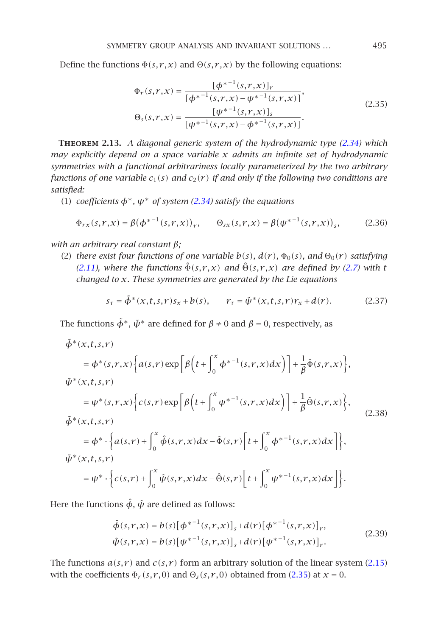<span id="page-8-2"></span>Define the functions  $\Phi(s, r, x)$  and  $\Theta(s, r, x)$  by the following equations:

<span id="page-8-3"></span><span id="page-8-1"></span><span id="page-8-0"></span>
$$
\Phi_r(s,r,x) = \frac{[\phi^{*-1}(s,r,x)]_r}{[\phi^{*-1}(s,r,x) - \psi^{*-1}(s,r,x)]},
$$
\n
$$
\Theta_s(s,r,x) = \frac{[\psi^{*-1}(s,r,x)]_s}{[\psi^{*-1}(s,r,x) - \phi^{*-1}(s,r,x)]}.
$$
\n(2.35)

**Theorem 2.13.** *A diagonal generic system of the hydrodynamic type (2.34) which may explicitly depend on a space variable x admits an infinite set of hydrodynamic symm[etries](#page-3-5) with a functional arbitrariness locally parameterized by the tw[o](#page-3-1) [ar](#page-3-1)bitrary functions of one variable*  $c_1(s)$  *and*  $c_2(r)$  *if and only if the following two conditions are satisfied:*

(1) *coefficients φ*∗*, ψ*<sup>∗</sup> *of system (2.34) satisfy the equations*

$$
\Phi_{rx}(s,r,x) = \beta (\phi^{*-1}(s,r,x))_r, \qquad \Theta_{sx}(s,r,x) = \beta (\psi^{*-1}(s,r,x))_s, \tag{2.36}
$$

*with an arbitrary real constant β;*

(2) *there exist four functions of one variable*  $b(s)$ *,*  $d(r)$ *,*  $\Phi_0(s)$ *, and*  $\Theta_0(r)$  *satisfying*  $(2.11)$ , where the functions  $\hat{\Phi}(s, r, x)$  *and*  $\hat{\Theta}(s, r, x)$  *are defined by (2.7) with t changed to x. These symmetries are generated by the Lie equations*

$$
s_{\tau} = \tilde{\phi}^*(x, t, s, r) s_x + b(s), \qquad r_{\tau} = \tilde{\psi}^*(x, t, s, r) r_x + d(r). \tag{2.37}
$$

The functions  $\tilde{\phi}^*$ ,  $\tilde{\psi}^*$  are defined for  $\beta \neq 0$  and  $\beta = 0$ , respectively, as

$$
\tilde{\phi}^*(x,t,s,r) = \phi^*(s,r,x) \Big\{ a(s,r) \exp \Big[ \beta \Big( t + \int_0^x \phi^{*-1}(s,r,x) dx \Big) \Big] + \frac{1}{\beta} \hat{\phi}(s,r,x) \Big\}, \n\tilde{\psi}^*(x,t,s,r) = \psi^*(s,r,x) \Big\{ c(s,r) \exp \Big[ \beta \Big( t + \int_0^x \psi^{*-1}(s,r,x) dx \Big) \Big] + \frac{1}{\beta} \hat{\Theta}(s,r,x) \Big\}, \n\tilde{\phi}^*(x,t,s,r) = \phi^* \cdot \Big\{ a(s,r) + \int_0^x \hat{\phi}(s,r,x) dx - \hat{\Phi}(s,r) \Big[ t + \int_0^x \phi^{*-1}(s,r,x) dx \Big] \Big\}, \n\tilde{\psi}^*(x,t,s,r) = \psi^* \cdot \Big\{ c(s,r) + \int_0^x \hat{\psi}(s,r,x) dx - \hat{\Theta}(s,r) \Big[ t + \int_0^x \psi^{*-1}(s,r,x) dx \Big] \Big\}.
$$
\n(2.38)

Here the functions  $\hat{\phi}$ ,  $\hat{\psi}$  are defined as follows:

$$
\hat{\phi}(s,r,x) = b(s) [\phi^{*-1}(s,r,x)]_s + d(r) [\phi^{*-1}(s,r,x)]_r,\n\hat{\psi}(s,r,x) = b(s) [\psi^{*-1}(s,r,x)]_s + d(r) [\psi^{*-1}(s,r,x)]_r.
$$
\n(2.39)

The functions  $a(s,r)$  and  $c(s,r)$  form an arbitrary solution of the linear system (2.15) with the coefficients  $\Phi_r(s,r,0)$  and  $\Theta_s(s,r,0)$  obtained from (2.35) at  $x=0$ .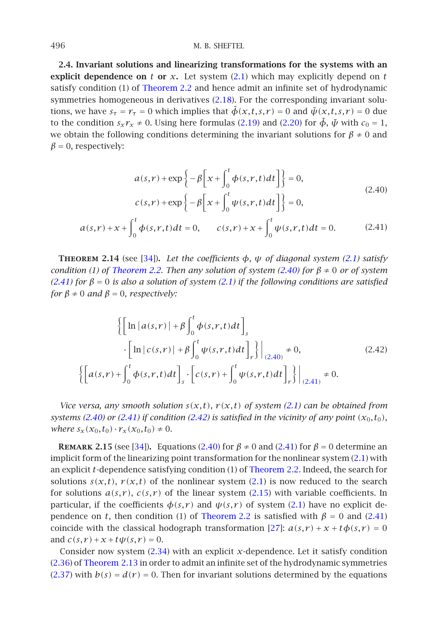**2.4. Invariant solutions and linearizing transformations for the systems with an explicit dependence on** *t* **or** *x***.** Let system (2.1) which may explicitly depend on *t* satisfy condition (1) of Theorem 2.2 and hence admit an infinite set of hydrodynamic symmetries homogeneous in derivatives (2.18). For the corresponding invariant solutions, we have  $s_{\tau} = r_{\tau} = 0$  which implies that  $\tilde{\phi}(x, t, s, r) = 0$  and  $\tilde{\psi}(x, t, s, r) = 0$  due to the condition  $s_x r_x \neq 0$ . Using here formulas (2.19) and (2.20) for  $\phi$ ,  $\tilde{\psi}$  with  $c_0 = 1$ , we obtain the following conditions determining the invariant solutions for  $\beta \neq 0$  and  $\beta = 0$ , respectively:

<span id="page-9-2"></span><span id="page-9-1"></span><span id="page-9-0"></span>
$$
a(s,r) + \exp\left\{-\beta \left[x + \int_0^t \phi(s,r,t)dt\right]\right\} = 0,
$$
  

$$
c(s,r) + \exp\left\{-\beta \left[x + \int_0^t \psi(s,r,t)dt\right]\right\} = 0,
$$
 (2.40)

$$
a(s,r) + x + \int_0^t \phi(s,r,t)dt = 0, \qquad c(s,r) + x + \int_0^t \psi(s,r,t)dt = 0.
$$
 (2.41)

**THEOREM** 2.14 (see [34]). Let the coefficients  $\phi$ ,  $\psi$  [of](#page-9-0) *[di](#page-9-0)agonal system (2.1) satisfy condition (1) of Theorem 2.2. Then any solution of system (2.40) for*  $\beta \neq 0$  *or of system (2.41) for β* = 0 *is also a solution of system (2.1) if the following c[ondi](#page-9-1)tions are satisfied for*  $\beta \neq 0$  *and*  $\beta = 0$ *, respectively:* 

$$
\left\{ \left[ \ln |a(s,r)| + \beta \int_0^t \phi(s,r,t)dt \right]_s \right\}
$$

$$
\cdot \left[ \ln |c(s,r)| + \beta \int_0^t \psi(s,r,t)dt \right]_r \right\} \Big|_{(2.40)} \neq 0,
$$

$$
\left\{ \left[ a(s,r) + \int_0^t \phi(s,r,t)dt \right]_s \cdot \left[ c(s,r) + \int_0^t \psi(s,r,t)dt \right]_r \right\} \Big|_{(2.41)} \neq 0.
$$
 (2.42)

*Vi[c](#page-2-1)e versa, any smooth solution*  $s(x,t)$ *,*  $r(x,t)$  *of system* ([2.1\)](#page-2-1) *can be obtained [from](#page-9-1) systems (2.40) or (2.41) if condition (2.42) is satisfied in t[he v](#page-47-0)icinity of any point*  $(x_0, t_0)$ *, where*  $s_x(x_0, t_0) \cdot r_x(x_0, t_0) \neq 0$ *.* 

**REMARK 2.15** (see [34]). [Equ](#page-7-2)ations (2.40) for  $\beta \neq 0$  and (2.41) for  $\beta = 0$  determine an [implic](#page-8-1)it [form of the line](#page-8-2)arizing point transformation for the nonlinear system (2.1) with [an exp](#page-8-3)licit *t*-dependence satisfying condition (1) of Theorem 2.2. Indeed, the search for solutions  $s(x,t)$ ,  $r(x,t)$  of the nonlinear system (2.1) is now reduced to the search for solutions  $a(s,r)$ ,  $c(s,r)$  of the linear system (2.15) with variable coefficients. In particular, if the coefficients  $\phi(s,r)$  and  $\psi(s,r)$  of system (2.1) have no explicit dependence on *t*, then condition (1) of Theorem 2.2 is satisfied with  $β = 0$  and (2.41) coincide with the classical hodograph transformation [27]:  $a(s,r) + x + t\phi(s,r) = 0$ and  $c(s, r) + x + t\psi(s, r) = 0$ .

Consider now system (2.34) with an explicit *x*-dependence. Let it satisfy condition (2.36) of Theorem 2.13 in order to admit an infinite set of the hydrodynamic symmetries (2.37) with  $b(s) = d(r) = 0$ . Then for invariant solutions determined by the equations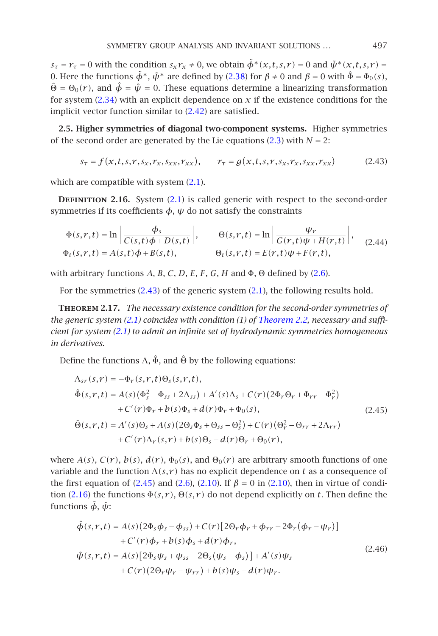<span id="page-10-0"></span> $s_{\tau} = r_{\tau} = 0$  with the condition  $s_{x}r_{x} \neq 0$ , we obtain  $\tilde{\phi}^{*}(x,t,s,r) = 0$  and  $\tilde{\psi}^{*}(x,t,s,r) = 0$ 0. Here the functions  $\tilde{\phi}^*$ ,  $\tilde{\psi}^*$  are d[efine](#page-2-1)d by (2.38) for *β* ≠ 0 and *β* = 0 with  $\hat{\Phi} = \Phi_0(s)$ ,  $\hat{\Theta} = \Theta_0(r)$ , and  $\hat{\phi} = \hat{\psi} = 0$ . T[hes](#page-2-1)e equations determine a linearizing transformation for system  $(2.34)$  with an explicit dependence on  $x$  if the existence conditions for the implicit vector function similar to (2.42) are satisfied.

**2.5. Higher symmetries of diagonal two-component systems.** Higher symmetries of the second order are generated by the Lie equations  $(2.3)$  with  $N = 2$ :

$$
s_{\tau} = f(x, t, s, r, s_x, r_x, s_{xx}, r_{xx}), \qquad r_{\tau} = g(x, t, s, r, s_x, r_x, s_{xx}, r_{xx})
$$
(2.43)

which are compatible [with s](#page-10-0)ystem  $(2.1)$ .

**DEFINITION 2.16.** System (2.1) is called generic with respect to the second-order symmetries if its c[oeffi](#page-2-1)cients  $φ$ ,  $ψ$  do not satisfy the [constraints](#page-3-4)

$$
\Phi(s,r,t) = \ln \left| \frac{\phi_s}{C(s,t)\phi + D(s,t)} \right|, \qquad \Theta(s,r,t) = \ln \left| \frac{\psi_r}{G(r,t)\psi + H(r,t)} \right|, \n\Phi_t(s,r,t) = A(s,t)\phi + B(s,t), \qquad \Theta_t(s,r,t) = E(r,t)\psi + F(r,t),
$$
\n(2.44)

with arbitrary functions *A*, *B*, *C*, *D*, *E*, *F*, *G*, *H* and  $Φ$ ,  $Θ$  defined by (2.6).

<span id="page-10-1"></span>For the symmetries (2.43) of the generic system (2.1), the following results hold.

**Theorem 2.17.** *The necessary existence condition for the second-order symmetries of the generic system (2.1) coincides with condition (1) of Theorem 2.2, necessary and sufficient for system (2.1) to admit an infinite set of hydrodynamic symmetries homogeneous in derivatives.*

Define the functions  $\Lambda$ ,  $\hat{\Phi}$ , and  $\hat{\Theta}$  by the following equations:

$$
\Lambda_{sr}(s,r) = -\Phi_r(s,r,t)\Theta_s(s,r,t),
$$
  
\n
$$
\hat{\Phi}(s,r,t) = A(s)(\Phi_s^2 - \Phi_{ss} + 2\Lambda_{ss}) + A'(s)\Lambda_s + C(r)(2\Phi_r\Theta_r + \Phi_{rr} - \Phi_r^2)
$$
  
\n
$$
+ C'(r)\Phi_r + b(s)\Phi_s + d(r)\Phi_r + \Phi_0(s),
$$
  
\n
$$
\hat{\Theta}(s,r,t) = A'(s)\Theta_s + A(s)(2\Theta_s\Phi_s + \Theta_{ss} - \Theta_s^2) + C(r)(\Theta_r^2 - \Theta_{rr} + 2\Lambda_{rr})
$$
  
\n
$$
+ C'(r)\Lambda_r(s,r) + b(s)\Theta_s + d(r)\Theta_r + \Theta_0(r),
$$
\n(2.45)

<span id="page-10-2"></span>where  $A(s)$ ,  $C(r)$ ,  $b(s)$ ,  $d(r)$ ,  $\Phi_0(s)$ , and  $\Theta_0(r)$  are arbitrary smooth functions of one variable and the function  $\Lambda(s,r)$  has no explicit dependence on *t* as a consequence of the first equation of (2.45) and (2.6), (2.10). If  $\beta = 0$  in (2.10), then in virtue of condition (2.16) the functions  $\Phi(s, r)$ ,  $\Theta(s, r)$  do not depend explicitly on *t*. Then define the functions *φ*ˆ, *ψ*ˆ:

$$
\hat{\phi}(s,r,t) = A(s) (2\Phi_s \phi_s - \phi_{ss}) + C(r) [2\Theta_r \phi_r + \phi_{rr} - 2\Phi_r (\phi_r - \psi_r)] \n+ C'(r) \phi_r + b(s) \phi_s + d(r) \phi_r, \n\hat{\psi}(s,r,t) = A(s) [2\Phi_s \psi_s + \psi_{ss} - 2\Theta_s (\psi_s - \phi_s)] + A'(s) \psi_s \n+ C(r) (2\Theta_r \psi_r - \psi_{rr}) + b(s) \psi_s + d(r) \psi_r.
$$
\n(2.46)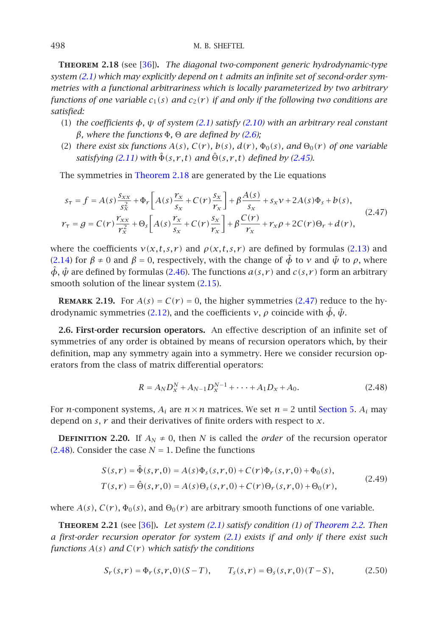**Theorem 2.18** (see [36])**.** *The diagonal two-component generic hydrodynamic-type system (2.1) which m[ay](#page-10-2) [explicitly](#page-10-2) [dep](#page-10-2)end on t admits an infinite set of second-order symmetries with a functional arbitrariness which is locally parameterized by two arbitrary functions of one variable*  $c_1(s)$  *and*  $c_2(r)$  *if and only if the following two conditions are satisfied:*

- <span id="page-11-0"></span>(1) *the coefficients φ, ψ of system (2.1) satisfy (2.10) with an arbitrary real constant β, where the functions* Φ*,* Θ *are defined by (2.6);*
- (2) *th[e](#page-4-2)re exist six functions*  $A(s)$ *,*  $C(r)$ *,*  $b(s)$ *,*  $d(r)$ *,*  $\Phi_0(s)$ *, and*  $\Theta_0(r)$  *of one [var](#page-4-2)iable satisfying (2.11)* with  $\hat{\Phi}(s, r, t)$  *and*  $\hat{\Theta}(s, r, t)$  *defined by (2.45).*

The symmetries in Theorem 2.18 a[re gen](#page-4-0)erated by the Lie equations

$$
s_{\tau} = f = A(s) \frac{s_{xx}}{s_x^2} + \Phi_r \left[ A(s) \frac{r_x}{s_x} + C(r) \frac{s_x}{r_x} \right] + \beta \frac{A(s)}{s_x} + s_x v + 2A(s) \Phi_s + b(s),
$$
  

$$
r_{\tau} = g = C(r) \frac{r_{xx}}{r_x^2} + \Theta_s \left[ A(s) \frac{r_x}{s_x} + C(r) \frac{s_x}{r_x} \right] + \beta \frac{C(r)}{r_x} + r_x \rho + 2C(r) \Theta_r + d(r),
$$
  
(2.47)

where the coefficients  $v(x,t,s,r)$  and  $\rho(x,t,s,r)$  are defined by formulas (2.13) and (2.14) for  $\beta \neq 0$  and  $\beta = 0$ , respectively, with the change of  $\tilde{\phi}$  to  $\nu$  and  $\tilde{\psi}$  to  $\rho$ , where  $\hat{\phi}$ ,  $\hat{\psi}$  are defined by formulas (2.46). The functions  $a(s,r)$  and  $c(s,r)$  form an arbitrary smooth solution of the linear system (2.15).

**REMARK 2.19.** For  $A(s) = C(r) = 0$ , the higher symmetries (2.47) [reduce to](#page-34-0) the hydrodynamic symmetries (2.12), and the coefficients *ν*, *ρ* coincide with  $\tilde{\phi}$ ,  $\tilde{\psi}$ .

**2.6. First-order recursion operators.** An effective description of an infinite set of [symm](#page-11-1)etries of any order is obtained by means of recursion operators which, by their definition, map any symmetry again into a symmetry. Here we consider recursion operators from the class of matrix differential operators:

<span id="page-11-3"></span><span id="page-11-2"></span><span id="page-11-1"></span>
$$
R = A_N D_X^N + A_{N-1} D_X^{N-1} + \dots + A_1 D_X + A_0.
$$
 (2.48)

For *n*-component systems,  $A_i$  are  $n \times n$  matrices. We set  $n = 2$  until Section 5.  $A_i$  may depend on *s*, *r* and th[eir d](#page-47-5)erivatives of [finite](#page-2-1) orders with respect to *[x](#page-3-4)*.

**DEFINITION** 2.20. If  $A_N \neq 0$ , then *N* is c[alled](#page-2-1) the *order* of the recursion operator (2.48). Consider the case  $N = 1$ . Define the functions

$$
S(s,r) = \hat{\Phi}(s,r,0) = A(s)\Phi_s(s,r,0) + C(r)\Phi_r(s,r,0) + \Phi_0(s),
$$
  
\n
$$
T(s,r) = \hat{\Theta}(s,r,0) = A(s)\Theta_s(s,r,0) + C(r)\Theta_r(s,r,0) + \Theta_0(r),
$$
\n(2.49)

where  $A(s)$ ,  $C(r)$ ,  $\Phi_0(s)$ , and  $\Theta_0(r)$  are arbitrary smooth functions of one variable.

**Theorem 2.21** (see [36])**.** *Let system (2.1) satisfy condition (1) of Theorem 2.2. Then a first-order recursion operator for system (2.1) exists if and only if there exist such functions A(s) and C(r ) which satisfy the conditions*

$$
S_r(s,r) = \Phi_r(s,r,0)(S-T), \qquad T_s(s,r) = \Theta_s(s,r,0)(T-S), \tag{2.50}
$$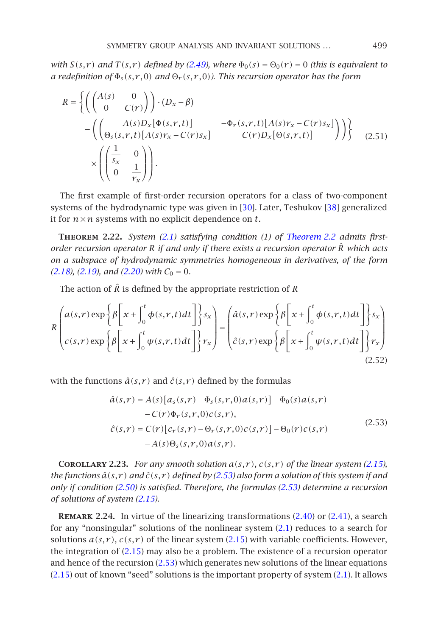*with*  $S(s,r)$  *and*  $T(s,r)$  *defined by (2.49), where*  $\Phi_0(s) = \Theta_0(r) = 0$  *(this is equivalent to a redefinition of* Φ*<sup>s</sup> (s, r,*0*) and* Θ*<sup>r</sup> (s, r,*0*)). This recursion operator has the form*

$$
R = \left\{ \left( \begin{pmatrix} A(s) & 0 \\ 0 & C(r) \end{pmatrix} \right) \cdot (D_x - \beta) - \left( \begin{pmatrix} A(s)D_x[\Phi(s,r,t)] & -\Phi_r(s,r,t)[A(s)r_x - C(r)s_x] \\ \Theta_s(s,r,t)[A(s)r_x - C(r)s_x] & C(r)D_x[\Theta(s,r,t)] \end{pmatrix} \right) \right\}
$$
  
 
$$
\times \left( \begin{pmatrix} \frac{1}{s_x} & 0 \\ 0 & \frac{1}{r_x} \end{pmatrix} \right).
$$
 (2.51)

The first example of first-order recursion operators for a class of two-component systems of the hydrodynamic type was given in [30]. Later, Teshukov [38] generalized it for  $n \times n$  systems with no explicit dependence on  $t$ .

**Theorem 2.22.** *System (2.1) satisfying condition (1) of Theorem 2.2 admits firstorder recursion operator R if and only if there exists a recursion operator R*ˆ *which acts on a subspace of hydrodynamic symmetries homogeneous in derivatives, of the form (2.18), (2.19), and (2.20) with*  $C_0 = 0$ *.* 

The action of  $\hat{R}$  is defined by the appropriate restriction of  $R$ 

$$
R\begin{pmatrix} a(s,r) \exp\bigg\{\beta\bigg[x + \int_0^t \phi(s,r,t)dt\bigg]\bigg\} s_x \\ c(s,r) \exp\bigg\{\beta\bigg[x + \int_0^t \psi(s,r,t)dt\bigg]\bigg\} r_x \end{pmatrix} = \begin{pmatrix} \hat{a}(s,r) \exp\bigg\{\beta\bigg[x + \int_0^t \phi(s,r,t)dt\bigg]\bigg\} s_x \\ \hat{c}(s,r) \exp\bigg\{\beta\bigg[x + \int_0^t \psi(s,r,t)dt\bigg]\bigg\} r_x \end{pmatrix}
$$
\n(2.52)

<span id="page-12-2"></span>with the functions  $\hat{a}(s,r)$  and  $\hat{c}(s,r)$  defined by the form[ulas](#page-12-0)

<span id="page-12-0"></span>
$$
\hat{a}(s,r) = A(s)[a_s(s,r) - \Phi_s(s,r,0)a(s,r)] - \Phi_0(s)a(s,r)
$$
  
\n
$$
-C(r)\Phi_r(s,r,0)c(s,r),
$$
  
\n
$$
\hat{c}(s,r) = C(r)[c_r(s,r) - \Theta_r(s,r,0)c(s,r)] - \Theta_0(r)c(s,r)
$$
  
\n
$$
-A(s)\Theta_s(s,r,0)a(s,r).
$$
\n(2.53)

**COROLLARY** 2.23. *For a[ny](#page-12-0) [sm](#page-12-0)ooth solution*  $a(s,r)$ *,*  $c(s,r)$  *of the linear [syst](#page-2-1)em (2.15),*  $the$  *[fu](#page-4-0)nctions*  $\hat{a}(s,r)$  and  $\hat{c}(s,r)$  defined by (2.53) also form a solution of this system if and *only if condition (2.50) is satisfied. Therefore, the formulas (2.53) determine a recursion of solutions of system (2.15).*

**Remark 2.24.** In virtue of the linearizing transformations (2.40) or (2.41), a search for any "nonsingular" solutions of the nonlinear system (2.1) reduces to a search for solutions  $a(s, r)$ ,  $c(s, r)$  of the linear system (2.15) with variable coefficients. However, the integration of (2.15) may also be a problem. The existence of a recursion operator and hence of the recursion (2.53) which generates new solutions of the linear equations (2.15) out of known "seed" solutions is the important property of system (2.1). It allows

<span id="page-12-1"></span>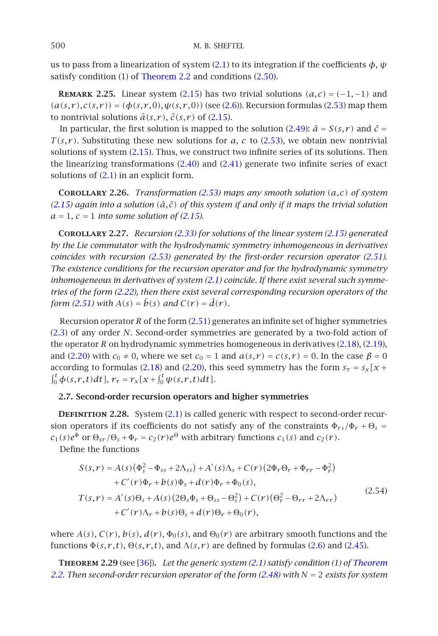<span id="page-13-2"></span>us to pass fr[om a](#page-2-1) linearization o[f](#page-9-0) [syst](#page-9-0)em (2[.1\)](#page-9-1) [to](#page-9-1) its integration if the coefficients  $φ$ ,  $ψ$ satisfy condition (1) of Theorem 2.2 and conditions (2.50).

**REMARK** 2.25**.** Linear system (2.15[\)](#page-12-0) [has](#page-12-0) two trivial solutions  $(a, c) = (-1, -1)$  and  $(a(s,r), c(s,r)) = (\phi(s,r,0), \psi(s,r,0))$  (see (2.6)). Recursion formulas (2.53) map them to nontrivial solutions  $\hat{a}(s,r)$ ,  $\hat{c}(s,r)$  of (2.15).

In particular, the first solutio[n is m](#page-7-3)apped to the solution (2.49):  $\hat{a} = S(s,r)$  $\hat{a} = S(s,r)$  $\hat{a} = S(s,r)$  and  $\hat{c} =$  $T(s,r)$ . Substituting these new solutions for *a*, *c* to (2.53), we obtain new nontrivial solutions of system (2.15[\). Thu](#page-12-0)s, we construct two infinite series of its solutions[. Then](#page-12-1) the linearizing transformations (2.40) and (2.41) generate two infinite series of exact solutions of  $(2.1)$  in an explicit form.

**COROLLARY** 2[.26](#page-5-0). *Transformation* (2.53) maps any smooth solution  $(a, c)$  of system  $(2.15)$  again into a solution  $(\hat{a}, \hat{c})$  of this system if and only if it maps the trivial solution  $a = 1$ ,  $c = 1$  *into some solution of (2.[15\).](#page-12-1)* 

**[Co](#page-2-2)rollary 2.27.** *Recursion (2.33) for solutions of the linear system (2.[15\) ge](#page-4-7)n[erated](#page-4-4) by t[he Lie](#page-4-5) commutator with the hydrodynamic symmetry inhomogeneous in derivatives coincides with recursio[n \(2.5](#page-4-7)3) ge[nerat](#page-4-5)ed by the first-order recursion operator (2.51). The existence conditions for the recursion operator and for the hydrodynamic symmetry inhomogeneous in derivatives of system (2.1) coincide. If there exist several such symmetries of the form (2.22), then there exist several corresponding recursion operators of the form* (2.51) with  $A(s) = \bar{b}(s)$  [and](#page-2-1)  $C(r) = \bar{d}(r)$ .

Recursion operator *R* of the form (2.51) generates an infinite set of higher symmetries (2.3) of any order *N*. Second-order symmetries are generated by a two-fold action of the operator *R* on hydrodynamic symmetries homogeneous in derivatives (2.18), (2.19), and (2.20) with  $c_0 \neq 0$ , where we set  $c_0 = 1$  and  $a(s, r) = c(s, r) = 0$ . In the case  $\beta = 0$ according to formulas (2.18) and (2.20), this seed symmetry has the form  $s<sub>\tau</sub> = s<sub>x</sub>[x +$  $\int_0^t \phi(s, r, t) dt$ ],  $r_\tau = r_x [x + \int_0^t \psi(s, r, t) dt]$ .

## <span id="page-13-0"></span>**2.7. Second-order recursion operators and higher symmetries**

**DEFINITION 2.28.** System (2.1) is called generic with respect to second-order recursion operators if its coefficients do not satisfy any of the constraints  $\Phi_{rs}/\Phi_r + \Theta_s =$  $c_1(s)e^{\Phi}$  or  $\Theta_{sr}/\Theta_s + \Phi_r = c_2(r)e^{\Theta}$  with arbitrary functions  $c_1(s)$  an[d](#page-3-0)  $c_2(r)$ .

Define the functions

$$
S(s,r) = A(s) (\Phi_s^2 - \Phi_{ss} + 2\Lambda_{ss}) + A'(s)\Lambda_s + C(r) (2\Phi_r \Theta_r + \Phi_{rr} - \Phi_r^2)
$$
  
+ 
$$
C'(r)\Phi_r + b(s)\Phi_s + d(r)\Phi_r + \Phi_0(s),
$$
  

$$
T(s,r) = A'(s)\Theta_s + A(s) (2\Theta_s \Phi_s + \Theta_{ss} - \Theta_s^2) + C(r) (\Theta_r^2 - \Theta_{rr} + 2\Lambda_{rr})
$$
  
+ 
$$
C'(r)\Lambda_r + b(s)\Theta_s + d(r)\Theta_r + \Theta_0(r),
$$
 (2.54)

where  $A(s)$ ,  $C(r)$ ,  $b(s)$ ,  $d(r)$ ,  $\Phi_0(s)$ , and  $\Theta_0(r)$  are arbitrary smooth functions and the functions  $\Phi(s, r, t)$ ,  $\Theta(s, r, t)$ , and  $\Lambda(s, r)$  are defined by formulas (2.6) and (2.45).

**Theorem 2.29** (see [36])**.** *Let the generic system (2.1) satisfy condition (1) of Theorem 2.2. Then second-order recursion operator of the form (2.48) with N* = 2 *exists for system*

<span id="page-13-1"></span>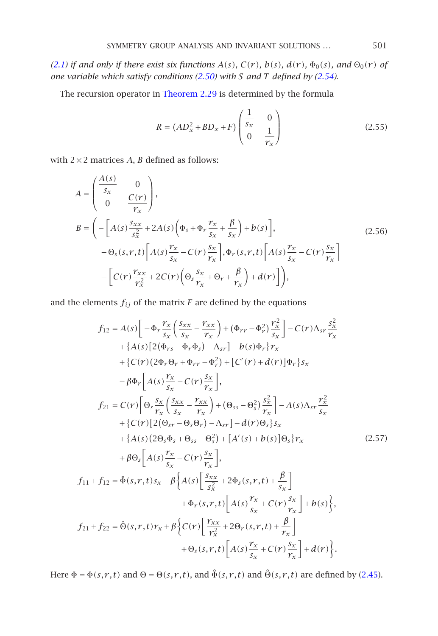*(2.1) if and only if there exist six functions*  $A(s)$ *,*  $C(r)$ *,*  $b(s)$ *,*  $d(r)$ *,*  $\Phi_0(s)$ *, and*  $\Theta_0(r)$  *of one variable which satisfy conditions (2.50) with S and T defined by (2.54).*

The recursion operator in Theorem 2.29 is determined by the formula

<span id="page-14-0"></span>
$$
R = (AD_x^2 + BD_x + F) \begin{pmatrix} \frac{1}{s_x} & 0\\ 0 & \frac{1}{r_x} \end{pmatrix}
$$
 (2.55)

with  $2\times 2$  matrices  $A, B$  defined as follows:

$$
A = \begin{pmatrix} \frac{A(s)}{s_x} & 0\\ 0 & \frac{C(r)}{r_x} \end{pmatrix},
$$
  
\n
$$
B = \left(-\left[A(s)\frac{s_{xx}}{s_x^2} + 2A(s)\left(\Phi_s + \Phi_r \frac{r_x}{s_x} + \frac{\beta}{s_x}\right) + b(s)\right],
$$
  
\n
$$
- \Theta_s(s, r, t)\left[A(s)\frac{r_x}{s_x} - C(r)\frac{s_x}{r_x}\right], \Phi_r(s, r, t)\left[A(s)\frac{r_x}{s_x} - C(r)\frac{s_x}{r_x}\right]
$$
  
\n
$$
-\left[C(r)\frac{r_{xx}}{r_x^2} + 2C(r)\left(\Theta_s \frac{s_x}{r_x} + \Theta_r + \frac{\beta}{r_x}\right) + d(r)\right]\right),
$$
\n(2.56)

and the elements  $f_{ij}$  of the matrix  ${\cal F}$  are defined by the equations

$$
f_{12} = A(s) \left[ -\Phi_r \frac{r_X}{s_X} \left( \frac{s_{XX}}{s_X} - \frac{r_{XX}}{r_X} \right) + (\Phi_{rr} - \Phi_r^2) \frac{r_X^2}{s_X} \right] - C(r) \Lambda_{sr} \frac{s_X^2}{r_X} + \{A(s) \left[ 2(\Phi_{rs} - \Phi_r \Phi_s) - \Lambda_{sr} \right] - b(s) \Phi_r \} r_X + \{C(r) \left( 2\Phi_r \Theta_r + \Phi_{rr} - \Phi_r^2 \right) + \left[ C'(r) + d(r) \right] \Phi_r \} s_X - \beta \Phi_r \left[ A(s) \frac{r_X}{s_X} - C(r) \frac{s_X}{r_X} \right], f_{21} = C(r) \left[ \Theta_s \frac{s_X}{r_X} \left( \frac{s_{XX}}{s_X} - \frac{r_{XX}}{r_X} \right) + (\Theta_{ss} - \Theta_s^2) \frac{s_X^2}{r_X} \right] - A(s) \Lambda_{sr} \frac{r_X^2}{s_X} + \{C(r) \left[ 2(\Theta_{sr} - \Theta_s \Theta_r) - \Lambda_{sr} \right] - d(r) \Theta_s \} s_X + \{A(s) \left( 2\Theta_s \Phi_s + \Theta_{ss} - \Theta_s^2 \right) + [A'(s) + b(s)] \Theta_s \} r_X \qquad (2.57) + \beta \Theta_s \left[ A(s) \frac{r_X}{s_X} - C(r) \frac{s_X}{r_X} \right], f_{11} + f_{12} = \hat{\Phi}(s, r, t) s_X + \beta \left\{ A(s) \left[ \frac{s_{XX}}{s_X^2} + 2\Phi_s(s, r, t) + \frac{\beta}{s_X} \right] + \Phi_r(s, r, t) \left[ A(s) \frac{r_X}{s_X} + C(r) \frac{s_X}{r_X} \right] + b(s) \right\}, f_{21} + f_{22} = \hat{\Theta}(s, r, t) r_X + \beta \left\{ C(r) \left[ \frac{r_{XX}}{r_X^2} + 2\Theta_r(s, r, t) + \frac{\beta}{r_X} \right] + b(s) \right\}, f_{21} + f_{22} = \hat{\Theta}(s, r, t) r_X + \beta \left\{ C(r) \left[ \frac{r_{XX}}{r_X} + 2\Theta_r(s, r, t) + \frac{\beta
$$

Here  $\Phi = \Phi(s, r, t)$  and  $\Theta = \Theta(s, r, t)$ , and  $\hat{\Phi}(s, r, t)$  and  $\hat{\Theta}(s, r, t)$  are defined by (2.45).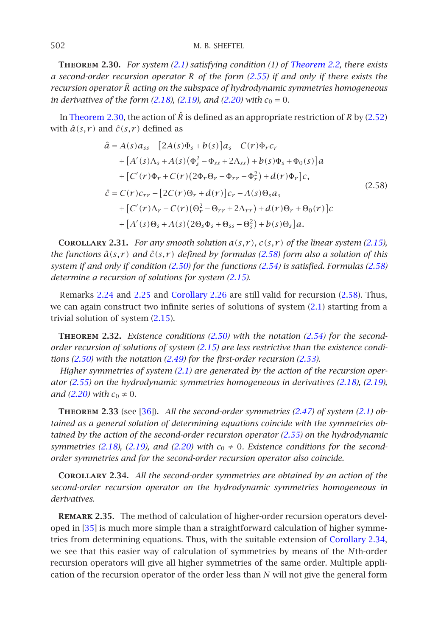**Theorem 2.30.** *For system (2.1) satisfying condition (1) of Theorem 2.2, there exists a second-order recursion operator R of the form (2.55) if and only if there exists the recursion operator R*ˆ *acting on the subspace of hydrodynamic symmetries homogeneous in derivatives of the form (2.18), (2.19), and (2.20) with*  $c_0 = 0$ *.* 

In Theorem 2.30, the action of  $\hat{R}$  is defined as an appropriate restriction of *R* by (2.52) with  $\hat{a}(s,r)$  and  $\hat{c}(s,r)$  defined as

<span id="page-15-0"></span>
$$
\hat{a} = A(s)a_{ss} - [2A(s)\Phi_s + b(s)]a_s - C(r)\Phi_r c_r \n+ [A'(s)\Lambda_s + A(s)(\Phi_s^2 - \Phi_{ss} + 2\Lambda_{ss}) + b(s)\Phi_s + \Phi_0(s)]a \n+ [C'(r)\Phi_r + C(r)(2\Phi_r \Theta_r + \Phi_{rr} - \Phi_r^2) + d(r)\Phi_r]c,
$$
\n  
\n
$$
\hat{c} = C(r)c_{rr} - [2C(r)\Theta_r + d(r)]c_r - A(s)\Theta_s a_s \n+ [C'(r)\Lambda_r + C(r)(\Theta_r^2 - \Theta_{rr} + 2\Lambda_{rr}) + d(r)\Theta_r + \Theta_0(r)]c \n+ [A'(s)\Theta_s + A(s)(2\Theta_s \Phi_s + \Theta_{ss} - \Theta_s^2) + b(s)\Theta_s]a.
$$
\n(2.58)

**COROLLARY 2.31.** For any smooth [solutio](#page-4-0)n  $a(s,r)$ ,  $c(s,r)$  of the linear system (2.15), *the f[unctio](#page-11-2)ns*  $\hat{a}(s,r)$  *and*  $\hat{c}(s,r)$  *defined by formulas* (2.58) for[m also](#page-12-0) a solution of this *system if and only if condition ([2.50\)](#page-2-1) for the functions (2.54) is satisfied. Formulas (2.58) deter[mine](#page-14-0) a recursion of solutions for system (2.15).*

R[emark](#page-4-5)s 2.24 and 2.25 and Corollary 2.26 are still valid for recursion (2.58). Thus, we can again construct [tw](#page-47-5)o infinite series of solutions of syst[em \(2](#page-11-0).1) startin[g fro](#page-2-1)m a trivial solution of system (2.15).

**Theorem [2.32](#page-4-7).** *[Existe](#page-4-4)nce c[onditio](#page-4-5)ns (2.50) with the not[ation](#page-14-0) (2.54) for the secondorder recursion of solutions of system (2.15) are less restrictive than the existence conditions (2.50) with the notation (2.49) for the first-order recursion (2.53).*

<span id="page-15-1"></span>*Higher symmetries of system (2.1) are generated by the action of the recursion operator (2.55) on the hydrodynamic symmetries homogeneous in derivatives (2.18), (2.19), and* (2.20) with  $c_0 \neq 0$ .

**Theorem 2.33** (see [36])**.** *All the second-order symmetries (2.47) of system (2.1) obtained a[s a](#page-47-4) general solution of determining equations coincide with the symmetries obtained by the action of the second-order recursion operator (2.55) on th[e hydrodynamic](#page-15-1) symmetries (2.18), (2.19), and (2.20) with*  $c_0 \neq 0$ *. Existence conditions for the secondorder symmetries and for the second-order recursion operator also coincide.*

**Corollary 2.34.** *All the second-order symmetries are obtained by an action of the second-order recursion operator on the hydrodynamic symmetries homogeneous in derivatives.*

**Remark 2.35.** The method of calculation of higher-order recursion operators developed in [35] is much more simple than a straightforward calculation of higher symmetries from determining equations. Thus, with the suitable extension of Corollary 2.34, we see that this easier way of calculation of symmetries by means of the *N*th-order recursion operators will give all higher symmetries of the same order. Multiple application of the recursion operator of the order less than *N* will not give the general form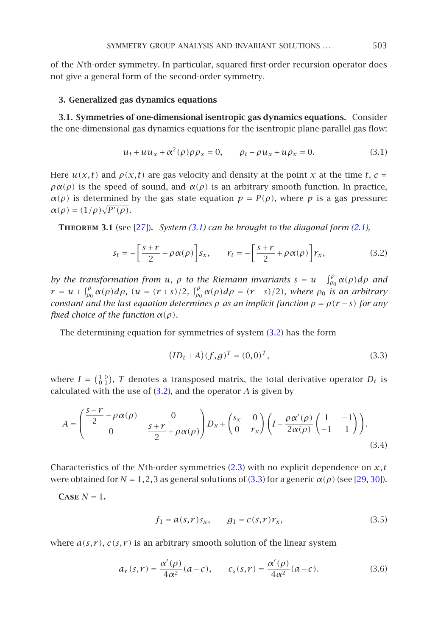of the *N*th-order symmetry. In particular, squared first-order recursion operator does not give a general form of the second-order symmetry.

### **3. Generalized gas dynamics equations**

**3.1. Symmetries of [one](#page-47-0)-dimensi[onal](#page-16-0) isentropic gas dynamics equations.** [Con](#page-2-1)sider the one-dimensional gas dynamics equations for the isentropic plane-parallel gas flow:

<span id="page-16-1"></span><span id="page-16-0"></span>
$$
u_t + uu_x + \alpha^2(\rho)\rho\rho_x = 0, \qquad \rho_t + \rho u_x + u\rho_x = 0.
$$
 (3.1)

Here  $u(x,t)$  and  $\rho(x,t)$  are gas velocity and density at the point x at the time t,  $c =$ *ρα(ρ)* is the speed of sound, and  $α(ρ)$  is an arbitrary smooth function. In practice,  $\alpha(\rho)$  is determined by the gas state equation  $p = P(\rho)$ , where p is a gas pressure:  $\alpha(\rho) = (1/\rho)\sqrt{P'(\rho)}.$ 

**Theorem 3.1** (see [27])**.** *System (3.1) can be brought [to t](#page-16-1)he diagonal form (2.1),*

$$
s_t = -\left[\frac{s+r}{2} - \rho \alpha(\rho)\right]s_x, \qquad r_t = -\left[\frac{s+r}{2} + \rho \alpha(\rho)\right]r_x, \tag{3.2}
$$

*by the transformation from u,*  $\rho$  *to the Riemann invariants*  $s = u - \int_{\rho_0}^{\rho} \alpha(\rho) d\rho$  and *r* = *u* [+](#page-16-1)  $\int_{\rho_0}^{\rho} \alpha(\rho) d\rho$ ,  $(u = (r + s)/2, \int_{\rho_0}^{\rho} \alpha(\rho) d\rho = (r - s)/2$ , where  $\rho_0$  *is an arbitrary constant and the last equation determines*  $\rho$  *as an implicit function*  $\rho = \rho(r - s)$  *for any fixed choice of the function α(ρ).*

The determining equation for symmetries of system (3.2) has the form

<span id="page-16-4"></span><span id="page-16-3"></span><span id="page-16-2"></span>
$$
(IDt + A)(f, g)T = (0, 0)T,
$$
\n(3.3)

where  $I = \binom{1 \ 0}{0 \ 1}$ ,  $T$  denotes a transposed matrix, [the](#page-16-2) total derivative operat[or](#page-47-6)  $D_t$  $D_t$  is calculated with the use of (3.2), and the operator *A* is given by

$$
A = \begin{pmatrix} \frac{s+\gamma}{2} - \rho \alpha(\rho) & 0 \\ 0 & \frac{s+\gamma}{2} + \rho \alpha(\rho) \end{pmatrix} D_x + \begin{pmatrix} s_x & 0 \\ 0 & r_x \end{pmatrix} \left( I + \frac{\rho \alpha'(\rho)}{2\alpha(\rho)} \begin{pmatrix} 1 & -1 \\ -1 & 1 \end{pmatrix} \right).
$$
(3.4)

Characteristics of the *N*th-order symmetries (2.3) with no explicit dependence on *x,t* were obtained for  $N = 1, 2, 3$  as general solutions of (3.3) for a generic  $α(ρ)$  (see [29, 30]).

**CASE**  $N = 1$ **.** 

*s* +*r*

$$
f_1 = a(s,r)s_x, \qquad g_1 = c(s,r)r_x,\tag{3.5}
$$

where  $a(s,r)$ ,  $c(s,r)$  is an arbitrary smooth solution of the linear system

$$
a_r(s,r) = \frac{\alpha'(\rho)}{4\alpha^2}(a-c), \qquad c_s(s,r) = \frac{\alpha'(\rho)}{4\alpha^2}(a-c).
$$
 (3.6)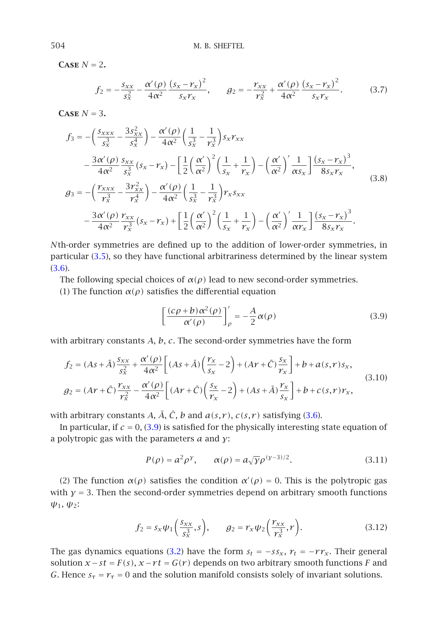**CASE**  $N = 2$ **.** 

<span id="page-17-1"></span><span id="page-17-0"></span>
$$
f_2 = -\frac{s_{xx}}{s_x^2} - \frac{\alpha'(\rho)}{4\alpha^2} \frac{(s_x - r_x)^2}{s_x r_x}, \qquad g_2 = -\frac{r_{xx}}{r_x^2} + \frac{\alpha'(\rho)}{4\alpha^2} \frac{(s_x - r_x)^2}{s_x r_x}.
$$
 (3.7)

**CASE**  $N = 3$ .

$$
f_3 = -\left(\frac{s_{xxx}}{s_x^3} - \frac{3s_{xx}^2}{s_x^4}\right) - \frac{\alpha'(\rho)}{4\alpha^2} \left(\frac{1}{s_x^3} - \frac{1}{r_x^3}\right) s_x r_{xx}
$$
  

$$
- \frac{3\alpha'(\rho)}{4\alpha^2} \frac{s_{xx}}{s_x^3} (s_x - r_x) - \left[\frac{1}{2} \left(\frac{\alpha'}{\alpha^2}\right)^2 \left(\frac{1}{s_x} + \frac{1}{r_x}\right) - \left(\frac{\alpha'}{\alpha^2}\right)' \frac{1}{\alpha s_x} \right] \frac{(s_x - r_x)^3}{8s_x r_x},
$$

$$
g_3 = -\left(\frac{r_{xxx}}{r_x^3} - \frac{3r_{xx}^2}{r_x^4}\right) - \frac{\alpha'(\rho)}{4\alpha^2} \left(\frac{1}{s_x^3} - \frac{1}{r_x^3}\right) r_x s_{xx}
$$

$$
- \frac{3\alpha'(\rho)}{4\alpha^2} \frac{r_{xx}}{r_x^3} (s_x - r_x) + \left[\frac{1}{2} \left(\frac{\alpha'}{\alpha^2}\right)^2 \left(\frac{1}{s_x} + \frac{1}{r_x}\right) - \left(\frac{\alpha'}{\alpha^2}\right)' \frac{1}{\alpha r_x} \right] \frac{(s_x - r_x)^3}{8s_x r_x}.
$$
(3.8)

*N*th-order symmetries are defined up to the addition of lower-order symmetries, in particular (3.5), so they have functional arbitrariness determined by the linear system (3.6).

The following special choices of  $\alpha(\rho)$  lead to new second-order symmetries.

(1) The function  $\alpha(\rho)$  satisfies the differential equation

$$
\left[\frac{(c\rho+b)\alpha^2(\rho)}{\alpha'(\rho)}\right]_{\rho}^{\prime} = -\frac{A}{2}\alpha(\rho)
$$
\n(3.9)

with arbitrary constants *A*, *b*, *c*. The second-order symmetries have the form

$$
f_2 = (As + \bar{A})\frac{s_{xx}}{s_x^2} + \frac{\alpha'(\rho)}{4\alpha^2} \left[ (As + \bar{A})\left(\frac{r_x}{s_x} - 2\right) + (Ar + \bar{C})\frac{s_x}{r_x} \right] + b + a(s, r)s_x,
$$
  
\n
$$
g_2 = (Ar + \bar{C})\frac{r_{xx}}{r_x^2} - \frac{\alpha'(\rho)}{4\alpha^2} \left[ (Ar + \bar{C})\left(\frac{s_x}{r_x} - 2\right) + (As + \bar{A})\frac{r_x}{s_x} \right] + b + c(s, r)r_x,
$$
\n(3.10)

with arbitrary constants  $A$ ,  $\overline{A}$ ,  $\overline{C}$ ,  $b$  and  $a(s,r)$ ,  $c(s,r)$  satisfying (3.6).

In particular, if  $c = 0$ , (3.9) is satisfied for the physically interesting state equation of a polytropic gas with the para[met](#page-16-1)ers *a* and *γ*:

$$
P(\rho) = a^2 \rho^{\gamma}, \qquad \alpha(\rho) = a \sqrt{\gamma} \rho^{(\gamma - 3)/2}.
$$
 (3.11)

(2) The function  $α(ρ)$  satisfies the condition  $α'(ρ) = 0$ . This is the polytropic gas with  $\gamma = 3$ . Then the second-order symmetries depend on arbitrary smooth functions *ψ*1, *ψ*2:

$$
f_2 = s_x \psi_1 \left( \frac{s_{xx}}{s_x^3}, s \right), \qquad g_2 = r_x \psi_2 \left( \frac{r_{xx}}{r_x^3}, r \right). \tag{3.12}
$$

The gas dynamics equations (3.2) have the form  $s_t = -ss_x$ ,  $r_t = -r r_x$ . Their general solution  $x - st = F(s)$ ,  $x - rt = G(r)$  depends on two arbitrary smooth functions *F* and *G*. Hence  $s_{\tau} = r_{\tau} = 0$  and the solution manifold consists solely of invariant solutions.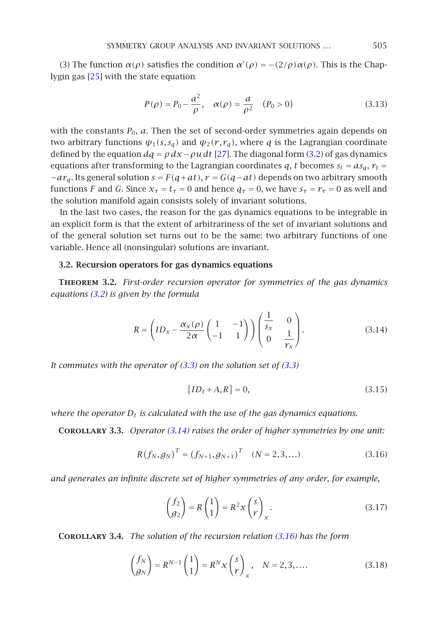(3) The function  $α(ρ)$  satisfies the condition  $α'(ρ) = -(2/ρ)α(ρ)$ . This is the Chaplygin gas [25] with the state equation

<span id="page-18-0"></span>
$$
P(\rho) = P_0 - \frac{a^2}{\rho}, \quad \alpha(\rho) = \frac{a}{\rho^2} \quad (P_0 > 0)
$$
 (3.13)

with the constants  $P_0$ ,  $a$ . Then the set of second-order symmetries again depends on two arbitrary functions  $ψ_1(s, s_q)$  and  $ψ_2(r, r_q)$ , where *q* is the Lagrangian coordinate defined by the equation  $dq = \rho dx - \rho u dt$  [27]. The diagonal form (3.2) of gas dynamics equations after transforming to the Lagrangian coordinates  $q$ ,  $t$  becomes  $s_t = as_q$ ,  $r_t =$ −*arq*. Its general solution *s* = *F(q*+*at)*, *r* = *G(q*−*at)* depends on two arbitrary smooth functions *F* [an](#page-16-1)d *G*. Since  $x<sub>\tau</sub> = t<sub>\tau</sub> = 0$  and hence  $q<sub>\tau</sub> = 0$ , we have  $s<sub>\tau</sub> = r<sub>\tau</sub> = 0$  as well and the solution manifold again consists solely of invariant solutions.

In the last two cases, the reason for the gas dynamics equations to be integrable in an explicit form is that the extent of arbitrariness of the set of invariant solutions and of the general solution set turns out to be the same: two arbitrary functions of one variable. Hence all (nonsingular) solutions are invariant.

## **3.2. Recursion operators for g[as](#page-16-2) [d](#page-16-2)ynamics equations**

**Theorem 3.2.** *First-order recursion operator for symmetries of the gas dynamics equations (3.2) is given by the formula*

$$
R = \left( ID_{x} - \frac{\alpha_{x}(\rho)}{2\alpha} \begin{pmatrix} 1 & -1 \\ -1 & 1 \end{pmatrix} \right) \begin{pmatrix} \frac{1}{s_{x}} & 0 \\ 0 & \frac{1}{r_{x}} \end{pmatrix}.
$$
 (3.14)

*It commutes with the operator of (3.3) on the solution set of (3.3)*

<span id="page-18-2"></span><span id="page-18-1"></span>
$$
[ID_t + A, R] = 0,\t(3.15)
$$

*where the operator*  $D_t$  *is calculated with the use of the gas dynamics equations.* 

**Corollary 3.3.** *Operator (3.14) raises the order of hig[her s](#page-18-1)ymmetries by one unit:*

$$
R(f_N, g_N)^T = (f_{N+1}, g_{N+1})^T \quad (N = 2, 3, ...)
$$
 (3.16)

*and generates an infinite discrete set of higher symmetries of any order, for example,*

$$
\begin{pmatrix} f_2 \\ g_2 \end{pmatrix} = R \begin{pmatrix} 1 \\ 1 \end{pmatrix} = R^2 x \begin{pmatrix} s \\ r \end{pmatrix}_x.
$$
 (3.17)

**Corollary 3.4.** *The solution of the recursion relation (3.16) has the form*

$$
\begin{pmatrix} f_N \\ g_N \end{pmatrix} = R^{N-1} \begin{pmatrix} 1 \\ 1 \end{pmatrix} = R^N x \begin{pmatrix} s \\ r \end{pmatrix}_x, \quad N = 2, 3, .... \tag{3.18}
$$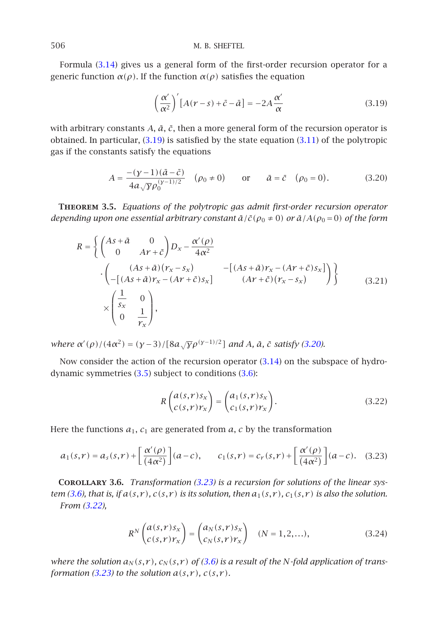Formula (3.14) gives us a general form of the first-order recursion operator for a generic function *α(ρ)*. If the function *α(ρ)* satisfies the equation

$$
\left(\frac{\alpha'}{\alpha^2}\right)' \left[A(r-s) + \bar{c} - \bar{a}\right] = -2A\frac{\alpha'}{\alpha}
$$
\n(3.19)

with arbitrary constants  $A$ ,  $\bar{a}$ ,  $\bar{c}$ , then a more general form of the recursion operator is obtained. In particular, (3.19) is satisfied by the state equation (3.11) of the polytropic gas if the constants satisfy the equations

$$
A = \frac{-(\gamma - 1)(\bar{a} - \bar{c})}{4a\sqrt{\gamma}\rho_0^{(\gamma - 1)/2}} \quad (\rho_0 \neq 0) \qquad \text{or} \qquad \bar{a} = \bar{c} \quad (\rho_0 = 0). \tag{3.20}
$$

**Theorem 3.5.** *Equations of the polytropic gas admit first-order recursion operator depending upon one essential arbitrary constant*  $\bar{a}/\bar{c}(\rho_0 \neq 0)$  *or*  $\bar{a}/A(\rho_0 = 0)$  *of the form* 

$$
R = \left\{ \begin{pmatrix} As + \bar{a} & 0 \\ 0 & Ar + \bar{c} \end{pmatrix} D_x - \frac{\alpha'(\rho)}{4\alpha^2} \\ \cdot \begin{pmatrix} (As + \bar{a})(r_x - s_x) & -[(As + \bar{a})r_x - (Ar + \bar{c})s_x] \\ -[(As + \bar{a})r_x - (Ar + \bar{c})s_x] & (Ar + \bar{c})(r_x - s_x) \end{pmatrix} \right\} \\ \times \begin{pmatrix} \frac{1}{s_x} & 0 \\ 0 & \frac{1}{r_x} \end{pmatrix},
$$
\n(3.21)

*where*  $\alpha'(\rho)/(4\alpha^2) = (\gamma - 3)/[8a\sqrt{\gamma}\rho^{(\gamma - 1)/2}]$  *and A*,  $\bar{a}$ ,  $\bar{c}$  *satisfy* (3.20).

Now consider the action of the recursion operator (3.14) on the subspace of hydrodynamic symmetries (3.5) subject to [condi](#page-19-0)tions (3.6):

<span id="page-19-1"></span><span id="page-19-0"></span>
$$
R\begin{pmatrix}a(s,r)s_x\\c(s,r)r_x\end{pmatrix} = \begin{pmatrix}a_1(s,r)s_x\\c_1(s,r)r_x\end{pmatrix}.
$$
 (3.22)

Here the functions  $a_1$ ,  $c_1$  are generated from  $a$ ,  $c$  by the transformation

$$
a_1(s,r) = a_s(s,r) + \left[\frac{\alpha'(\rho)}{(4\alpha^2)}\right](a-c), \qquad c_1(s,r) = c_r(s,r) + \left[\frac{\alpha'(\rho)}{(4\alpha^2)}\right](a-c). \quad (3.23)
$$

**Corollary 3.6.** *Transformation (3.23) is a recursion for solutions of the linear system (3.6), that is, if*  $a(s,r)$ *,*  $c(s,r)$  *is its solution, then*  $a_1(s,r)$ *,*  $c_1(s,r)$  *is also the solution. From (3.22),*

$$
R^N \begin{pmatrix} a(s,r)s_x \\ c(s,r)r_x \end{pmatrix} = \begin{pmatrix} a_N(s,r)s_x \\ c_N(s,r)r_x \end{pmatrix} \quad (N = 1,2,...), \tag{3.24}
$$

*where the solution*  $a_N(s,r)$ ,  $c_N(s,r)$  of (3.6) is a result of the N-fold application of trans*formation (3.23) to the solution*  $a(s,r)$ *,*  $c(s,r)$ *.*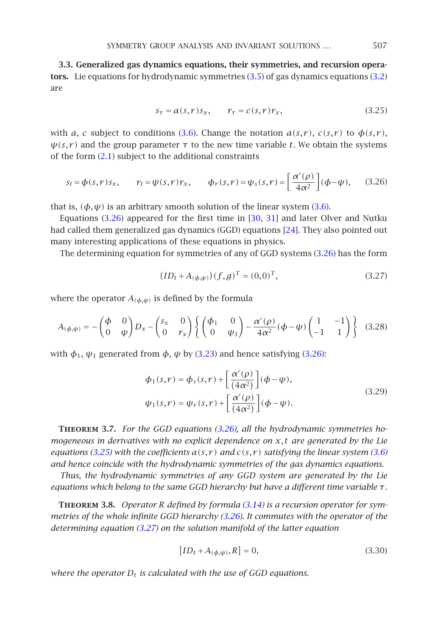**3.3. Generalized gas dynamics equations, their symmetries, and recursion operators.** Lie equations for hydrodynamic symmetries (3.5) of gas dynamics equations (3.2) are

<span id="page-20-2"></span><span id="page-20-1"></span><span id="page-20-0"></span>
$$
s_{\tau} = a(s, r)s_{x}, \qquad r_{\tau} = c(s, r)r_{x}, \qquad (3.25)
$$

with *a*, *c* subject to conditions (3.6). Change the notation  $a(s,r)$ ,  $c(s,r)$  to  $\phi(s,r)$ ,  $ψ(s, r)$  and the group parameter  $τ$  to the new time variable *t*. We [obtain](#page-20-0) the systems of the form (2.1) subject to the additional constraints

$$
s_t = \phi(s, r) s_x, \qquad r_t = \psi(s, r) r_x, \qquad \phi_r(s, r) = \psi_s(s, r) = \left[\frac{\alpha'(\rho)}{4\alpha^2}\right](\phi - \psi), \qquad (3.26)
$$

that is,  $(\phi, \psi)$  is an arbitrary smooth solution of the linear system (3.6).

Equations (3.26) appeared for the first time in [30, 31] and later Olver and Nutku had called them generalized gas dynamics (GGD) equations [24]. They also pointed out many interesting applications of these equations in physics.

The determining equation for sym[metrie](#page-19-0)s of any of GGD syste[ms](#page-20-0) [\(3.](#page-20-0)26) has the form

<span id="page-20-3"></span>
$$
(IDt + A(\phi, \psi))(f, g)T = (0, 0)T,
$$
\n(3.27)

where the operator  $A_{(\phi,\psi)}$  is defined by the formula

$$
A_{(\phi,\psi)} = -\begin{pmatrix} \phi & 0\\ 0 & \psi \end{pmatrix} D_x - \begin{pmatrix} s_x & 0\\ 0 & r_x \end{pmatrix} \left\{ \begin{pmatrix} \phi_1 & 0\\ 0 & \psi_1 \end{pmatrix} - \frac{\alpha'(\rho)}{4\alpha^2} (\phi - \psi) \begin{pmatrix} 1 & -1\\ -1 & 1 \end{pmatrix} \right\}
$$
(3.28)

with  $\phi_1$ ,  $\psi_1$  [gen](#page-20-1)erated from  $\phi$ ,  $\psi$  by (3.23) and hence satisfying (3.26):

<span id="page-20-4"></span>
$$
\phi_1(s,\tau) = \phi_s(s,\tau) + \left[\frac{\alpha'(\rho)}{(4\alpha^2)}\right](\phi - \psi),
$$
  
\n
$$
\psi_1(s,\tau) = \psi_\tau(s,\tau) + \left[\frac{\alpha'(\rho)}{(4\alpha^2)}\right](\phi - \psi).
$$
\n(3.29)

**Theorem 3.7.** *For [the](#page-20-2) [G](#page-20-2)GD equations (3.26), all the hydrodynamic symmetries homogeneous in derivatives with no explicit dependence on x,t are generated by the Lie equations (3.25) with the coefficients*  $a(s,r)$  *and*  $c(s,r)$  *satisfying the linear system (3.6) and hence coincide with the hydrodynamic symmetries of the gas dynamics equations.*

*Thus, the hydrodynamic symmetries of any GGD system are generated by the Lie equations which belong to the same GGD hierarchy but have a different time variable τ.*

**Theorem 3.8.** *Operator R defined by formula (3.14) is a recursion operator for symmetries of the whole infinite GGD hierarchy (3.26). It commutes with the operator of the determining equation (3.27) on the solution manifold of the latter equation*

$$
[ID_t + A_{(\phi,\psi)}, R] = 0,
$$
\n(3.30)

*where the operator*  $D_t$  *is calculated with the use of GGD equations.*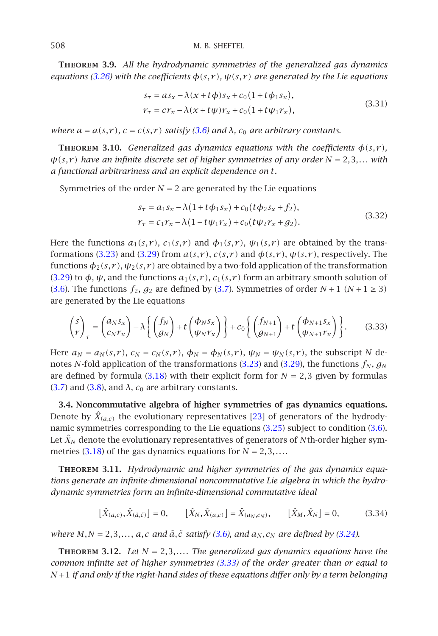**Theorem 3.9.** *All the hydrodynamic symmetries of the generalized gas dynamics equations (3.26) with the coefficients*  $\phi(s,r)$ ,  $\psi(s,r)$  *are generated by the Lie equations* 

$$
s_{\tau} = a s_x - \lambda (x + t \phi) s_x + c_0 (1 + t \phi_1 s_x),
$$
  
\n
$$
r_{\tau} = c r_x - \lambda (x + t \psi) r_x + c_0 (1 + t \psi_1 r_x),
$$
\n(3.31)

*where*  $a = a(s, r)$ *,*  $c = c(s, r)$  *satisfy* (3.6) and  $\lambda$ *,*  $c_0$  *are arbitrary constants.* 

**THEOREM** [3.10](#page-19-0). *Ge[neral](#page-20-3)ized gas dynamics equations with the coefficients*  $\phi(s,r)$ *, ψ(s, r ) have an infinite discrete set of higher symmetries of any order N* = 2*,*3*,... with [a func](#page-20-3)tional arbitrariness and an explicit dependence on t.*

[Sy](#page-16-4)mmetries of the order  $N = 2$  are gene[rate](#page-17-0)d by the Lie equations

<span id="page-21-0"></span>
$$
s_{\tau} = a_1 s_x - \lambda (1 + t \phi_1 s_x) + c_0 (t \phi_2 s_x + f_2),
$$
  
\n
$$
r_{\tau} = c_1 r_x - \lambda (1 + t \psi_1 r_x) + c_0 (t \psi_2 r_x + g_2).
$$
\n(3.32)

Here the functions  $a_1(s,r)$ ,  $c_1(s,r)$  and  $\phi_1(s,r)$ ,  $\psi_1(s,r)$  are obtained by the transformations (3.23) [and](#page-19-0) (3.29) from  $a(s,r)$ ,  $c(s,r)$  and  $\phi(s,r)$ ,  $\psi(s,r)$ , respectively. The functions *φ*2*(s, r )*, *ψ*2*(s, [r \)](#page-18-2)* are obtained by a two-fold application of the transformation [\(3.29](#page-17-0)) to  $\phi$ ,  $\psi$ , and the functions  $a_1(s,r)$ ,  $c_1(s,r)$  form an arbitrary smooth solution of (3.6). The functions  $f_2$ ,  $g_2$  are defined by (3.7). Symmetries of order  $N+1$   $(N+1 \ge 3)$ are generated by the Lie equations

$$
\begin{pmatrix} s \\ r \end{pmatrix}_{\tau} = \begin{pmatrix} a_N s_X \\ c_N r_X \end{pmatrix} - \lambda \left\{ \begin{pmatrix} f_N \\ g_N \end{pmatrix} + t \begin{pmatrix} \phi_N s_X \\ \psi_N r_X \end{pmatrix} \right\} + c_0 \left\{ \begin{pmatrix} f_{N+1} \\ g_{N+1} \end{pmatrix} + t \begin{pmatrix} \phi_{N+1} s_X \\ \psi_{N+1} r_X \end{pmatrix} \right\}.
$$
 (3.33)

Here  $a_N = a_N(s, r)$  $a_N = a_N(s, r)$  $a_N = a_N(s, r)$ ,  $c_N = c_N(s, r)$ ,  $\phi_N = \phi_N(s, r)$ ,  $\psi_N = \psi_N(s, r)$ , the subscript *N* denotes *N*-fold application of the transformations (3.23) and (3.29), the functions  $f_N$ ,  $g_N$ are defined by formula  $(3.18)$  with their explicit form for  $N = 2,3$  given by formulas (3.7) and (3.8), and  $\lambda$ ,  $c_0$  are arbitrary constants.

**3.4. Noncommutative algebra of higher symmetries of gas dynamics equations.** Denote by  $\hat{X}_{(a,c)}$  the evolutionary representatives [23] of generators of the hydrodynamic symmetries corresponding to the L[ie eq](#page-16-4)uations (3.25) subject to co[nditio](#page-19-1)n (3.6). Let  $\hat{X}_N$  denote the evolutionary representatives of generators of *N*th-order higher symmetries (3.18) of the gas dynamics equatio[ns for](#page-21-0)  $N = 2,3,...$ 

**Theorem 3.11.** *Hydrodynamic and higher symmetries of the gas dynamics equations generate an infinite-dimensional noncommutative Lie algebra in which the hydrodynamic symmetries form an infinite-dimensional commutative ideal*

$$
[\hat{X}_{(a,c)}, \hat{X}_{(\tilde{a},\tilde{c})}] = 0, \qquad [\hat{X}_N, \hat{X}_{(a,c)}] = \hat{X}_{(a_N, c_N)}, \qquad [\hat{X}_M, \hat{X}_N] = 0, \tag{3.34}
$$

*where*  $M, N = 2, 3, \ldots, a, c$  *and*  $\tilde{a}, \tilde{c}$  *satisfy (3.6), and*  $a_N, c_N$  *are defined by (3.24).* 

**Theorem 3.12.** *Let N* = 2*,*3*,.... The generalized gas dynamics equations have the common infinite set of higher symmetries (3.33) of the order greater than or equal to N* +1 *if and only if the right-hand sides of these equations differ only by a term belonging*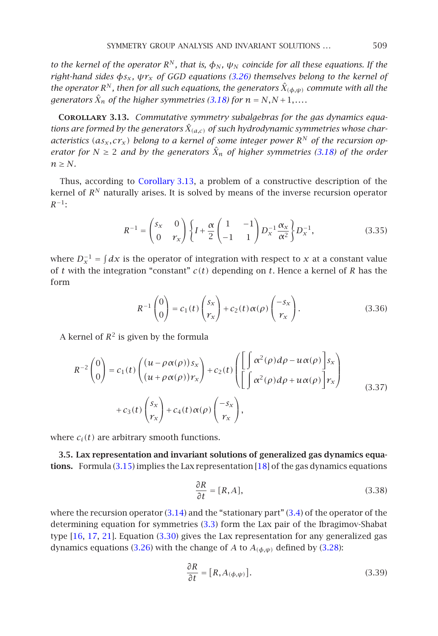<span id="page-22-0"></span>*to the kernel of the operator*  $R^N$ , that is,  $\phi_N$ ,  $\psi_N$  *coincide for all these equations. If the right-hand sides φsx, ψrx [of GGD eq](#page-22-0)uations (3.26) themselves belong to the kernel of the operator*  $R^N$ *, then for all such equations, the generators*  $\hat{X}_{(\phi,\psi)}$  *commute with all the generators*  $\hat{X}_n$  *of the higher symmetries (3.18) for*  $n = N, N+1, \ldots$ 

**Corollary 3.13.** *Commutative symmetry subalgebras for the gas dynamics equa*tions are formed by the generators  $\hat{X}_{(a,c)}$  of such hydrodynamic symmetries whose char*acteristics* ( $as_x, cr_x$ ) *belong to a kernel of some integer power*  $R^N$  *of the recursion operator for*  $N \ge 2$  *and by the generators*  $\hat{X}_n$  *of higher symmetries (3.18) of the order*  $n \geq N$ *.* 

Thus, according to Corollary 3.13, a problem of a constructive description of the kernel of  $R^N$  naturally arises. It is solved by means of the inverse recursion operator *R*<sup>−</sup>1:

$$
R^{-1} = \begin{pmatrix} s_x & 0 \\ 0 & r_x \end{pmatrix} \left\{ I + \frac{\alpha}{2} \begin{pmatrix} 1 & -1 \\ -1 & 1 \end{pmatrix} D_x^{-1} \frac{\alpha_x}{\alpha^2} \right\} D_x^{-1},
$$
(3.35)

where  $D_x^{-1} = \int dx$  is the operator of integration with respect to  $x$  at a constant value of *t* with the integration "constant" *c(t)* depending on *t*. Hence a kernel of *R* has the form

$$
R^{-1}\begin{pmatrix} 0\\0 \end{pmatrix} = c_1(t) \begin{pmatrix} s_x\\r_x \end{pmatrix} + c_2(t) \alpha(\rho) \begin{pmatrix} -s_x\\r_x \end{pmatrix}.
$$
 (3.36)

A kernel of  $R^2$  is given by the formula

$$
R^{-2}\begin{pmatrix}0\\0\end{pmatrix} = c_1(t)\begin{pmatrix}(u-\rho\alpha(\rho))s_x\\(u+\rho\alpha(\rho))r_x\end{pmatrix} + c_2(t)\begin{pmatrix}\begin{bmatrix}\int\alpha^2(\rho)d\rho - u\alpha(\rho)\end{bmatrix}s_x\\
\begin{bmatrix}\int\alpha^2(\rho)d\rho + u\alpha(\rho)\end{bmatrix}r_x\end{pmatrix} + c_3(t)\begin{pmatrix}s_x\\r_x\end{pmatrix} + c_4(t)\alpha(\rho)\begin{pmatrix}-s_x\\r_x\end{pmatrix},
$$
\n(3.37)

where  $c_i(t)$  $c_i(t)$  $c_i(t)$  [are](#page-46-12) [a](#page-46-12)rbit[rary s](#page-20-0)[mooth](#page-20-4) functions.

**3.5. Lax representation and invariant solutions of generalized gas dynamics equations.** Formula  $(3.15)$  implies the Lax representation  $[18]$  of the gas dynamics equations

$$
\frac{\partial R}{\partial t} = [R, A],\tag{3.38}
$$

where the recursion operator (3.14) and the "stationary part" (3.4) of the operator of the determining equation for symmetries (3.3) form the Lax pair of the Ibragimov-Shabat type [16, 17, 21]. Equation (3.30) gives the Lax representation for any generalized gas dynamics equations (3.26) with the change of *A* to  $A_{(\phi,\psi)}$  defined by (3.28):

$$
\frac{\partial R}{\partial t} = [R, A_{(\phi, \psi)}]. \tag{3.39}
$$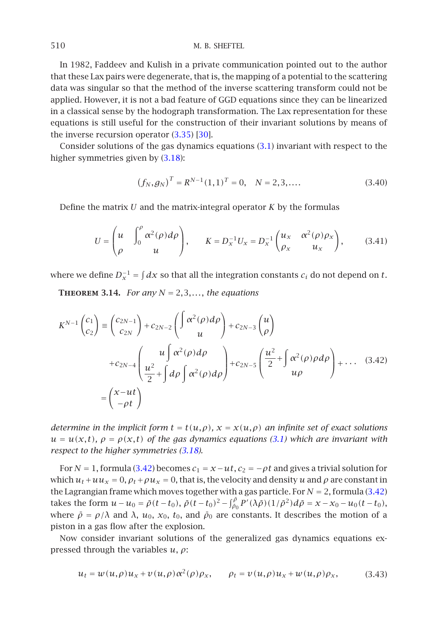In 1982, Faddeev and Kulish in a private communication pointed out to the author that these Lax pairs were degenerate, that is, the mapping of a potential to the scattering data was singular so that the method of the inverse scattering transform could not be applied. However, it is not a bad feature of GGD equations since they can be linearized in a classical sense by the hodograph transformation. The Lax representation for these equations is still useful for the construction of their invariant solutions by means of the inverse recursion operator (3.35) [30].

Consider solutions of the gas dynamics equations (3.1) invariant with respect to the higher symmetries given by (3.18):

<span id="page-23-1"></span><span id="page-23-0"></span>
$$
(f_N, g_N)^T = R^{N-1}(1, 1)^T = 0, \quad N = 2, 3, .... \tag{3.40}
$$

Define the matrix *U* and the matrix-integral operator *K* by the formulas

$$
U = \begin{pmatrix} u & \int_0^{\rho} \alpha^2(\rho) d\rho \\ \rho & u & \end{pmatrix}, \qquad K = D_X^{-1} U_X = D_X^{-1} \begin{pmatrix} u_X & \alpha^2(\rho) \rho_X \\ \rho_X & u_X \end{pmatrix}, \tag{3.41}
$$

where we define  $D_x^{-1} = \int dx$  so that all the integration constants  $c_i$  do not depend on  $t$ .

**THEOREM** 3.14. *For any*  $N = 2, 3, \ldots$ , *the equations* 

$$
K^{N-1}\begin{pmatrix} c_1 \\ c_2 \end{pmatrix} \equiv \begin{pmatrix} c_{2N-1} \\ c_{2N} \end{pmatrix} + c_{2N-2} \begin{pmatrix} \int \alpha^2(\rho) d\rho \\ u \end{pmatrix} + c_{2N-3} \begin{pmatrix} u \\ \rho \end{pmatrix}
$$
  
+ 
$$
c_{2N-4} \begin{pmatrix} u \int \alpha^2(\rho) d\rho \\ \frac{u^2}{2} + \int d\rho \int \alpha^2(\rho) d\rho \end{pmatrix} + c_{2N-5} \begin{pmatrix} u^2 + \int \alpha^2(\rho) \rho d\rho \\ u\rho \end{pmatrix} + \dots (3.42)
$$
  
= 
$$
\begin{pmatrix} x - ut \\ -\rho t \end{pmatrix}
$$

*determine in the implicit form*  $t = t(u, \rho)$ ,  $x = x(u, \rho)$  *an infinite set of exact solutions*  $u = u(x,t)$ *,*  $\rho = \rho(x,t)$  *of the gas dynamics equations (3.1) which are invariant with respect to the higher symmetries (3.18).*

For  $N = 1$ , formula (3.42) becomes  $c_1 = x - ut$ ,  $c_2 = -pt$  and gives a trivial solution for which  $u_t + uu_x = 0$ ,  $\rho_t + \rho u_x = 0$ , that is, the velocity and density *u* and  $\rho$  are constant in the Lagrangian frame which moves together with a gas particle. For *N* = 2, formula (3.42) takes the form  $u - u_0 = \bar{\rho}(t - t_0)$ ,  $\bar{\rho}(t - t_0)^2 - \int_{\bar{\rho}_0}^{\bar{\rho}} P'(\lambda \bar{\rho}) (1/\bar{\rho}^2) d\bar{\rho} = x - x_0 - u_0(t - t_0)$ , where  $\bar{\rho} = \rho/\lambda$  and  $\lambda$ ,  $u_0$ ,  $x_0$ ,  $t_0$ , and  $\bar{\rho}_0$  are constants. It describes the motion of a piston in a gas flow after the explosion.

Now consider invariant solutions of the generalized gas dynamics equations expressed through the variables *u*, *ρ*:

$$
u_t = w(u, \rho)u_x + v(u, \rho)\alpha^2(\rho)\rho_x, \qquad \rho_t = v(u, \rho)u_x + w(u, \rho)\rho_x, \tag{3.43}
$$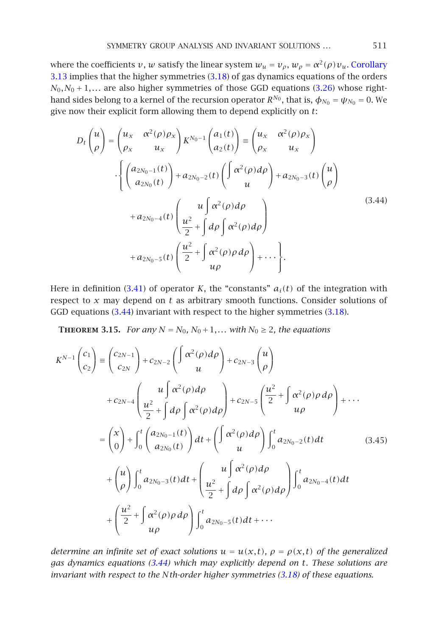where the coefficients *v*, *w* satisfy the linear system  $w_u = v_\rho$ ,  $w_\rho = \alpha^2(\rho) v_u$ . Corollary 3.13 implies that the higher symmetries (3.18) of gas dynamics equations of the orders  $N_0$ ,  $N_0$  + 1,... are also higher symmetries of those GGD equations (3.26) whose righthand sides belong to a kernel of the recursion operator  $R^{N_0}$ , that is,  $\phi_{N_0} = \psi_{N_0} = 0$ . We give now their explicit form allowing them to depend explicitly on *t*:

<span id="page-24-0"></span>
$$
D_{t}\begin{pmatrix} u \\ \rho \end{pmatrix} = \begin{pmatrix} u_{x} & \alpha^{2}(\rho)\rho_{x} \\ \rho_{x} & u_{x} \end{pmatrix} K^{N_{0}-1} \begin{pmatrix} a_{1}(t) \\ a_{2}(t) \end{pmatrix} \equiv \begin{pmatrix} u_{x} & \alpha^{2}(\rho)\rho_{x} \\ \rho_{x} & u_{x} \end{pmatrix}
$$

$$
\cdot \begin{cases} \begin{pmatrix} a_{2N_{0}-1}(t) \\ a_{2N_{0}}(t) \end{pmatrix} + a_{2N_{0}-2}(t) \begin{pmatrix} \int \alpha^{2}(\rho)d\rho \\ u \end{pmatrix} + a_{2N_{0}-3}(t) \begin{pmatrix} u \\ \rho \end{pmatrix}
$$

$$
+ a_{2N_{0}-4}(t) \begin{pmatrix} u \\ \frac{u^{2}}{2} + \int d\rho \int \alpha^{2}(\rho)d\rho \\ u\rho \end{pmatrix}
$$

$$
+ a_{2N_{0}-5}(t) \begin{pmatrix} \frac{u^{2}}{2} + \int \alpha^{2}(\rho)\rho d\rho \\ u\rho \end{pmatrix} + \cdots \bigg\}.
$$
 (3.44)

Here in definition (3.41) of operator *K*, the "constants"  $a_i(t)$  of the integration with respect to *x* may depend on *t* as arbitrary smooth functions. Consider solutions of GGD equations (3.44) invariant with respect to the higher symmetries (3.18).

**THEOREM** 3.15. *For any*  $N = N_0$ ,  $N_0 + 1$ ,... with  $N_0 \ge 2$ , the equations

$$
K^{N-1}\begin{pmatrix} c_{1} \\ c_{2} \end{pmatrix} = \begin{pmatrix} c_{2N-1} \\ c_{2N} \end{pmatrix} + c_{2N-2} \begin{pmatrix} \int \alpha^{2}(\rho) d\rho \\ u \end{pmatrix} + c_{2N-3} \begin{pmatrix} u \\ \rho \end{pmatrix}
$$
  
+  $c_{2N-4} \begin{pmatrix} u \frac{\partial}{\partial z} + \int d\rho \int \alpha^{2}(\rho) d\rho \\ \frac{u^{2}}{2} + \int d\rho \int \alpha^{2}(\rho) d\rho \end{pmatrix} + c_{2N-5} \begin{pmatrix} \frac{u^{2}}{2} + \int \alpha^{2}(\rho) \rho d\rho \\ u\rho \end{pmatrix} + \cdots$   
=  $\begin{pmatrix} x \\ 0 \end{pmatrix} + \int_{0}^{t} \begin{pmatrix} a_{2N_{0}-1}(t) \\ a_{2N_{0}}(t) \end{pmatrix} dt + \begin{pmatrix} \int \alpha^{2}(\rho) d\rho \\ u \end{pmatrix} \int_{0}^{t} a_{2N_{0}-2}(t) dt$  (3.45)  
+  $\begin{pmatrix} u \\ \rho \end{pmatrix} \int_{0}^{t} a_{2N_{0}-3}(t) dt + \begin{pmatrix} u \frac{\partial}{\partial z} + \int d\rho \int \alpha^{2}(\rho) d\rho \\ \frac{u^{2}}{2} + \int d\rho \int \alpha^{2}(\rho) d\rho \end{pmatrix} \int_{0}^{t} a_{2N_{0}-4}(t) dt$   
+  $\begin{pmatrix} \frac{u^{2}}{2} + \int \alpha^{2}(\rho) \rho d\rho \\ u\rho \end{pmatrix} \int_{0}^{t} a_{2N_{0}-5}(t) dt + \cdots$ 

*determine an infinite set of exact solutions*  $u = u(x,t)$ ,  $\rho = \rho(x,t)$  *of the generalized gas dynamics equations (3.44) which may explicitly depend on t. These solutions are invariant with respect to the Nth-order higher symmetries (3.18) of these equations.*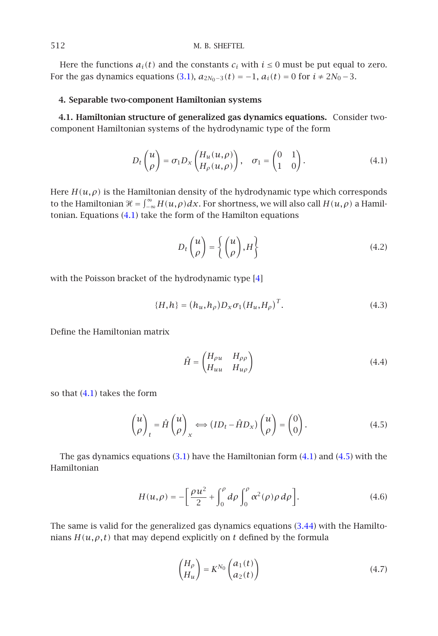Here the functions  $a_i(t)$  and the constants  $c_i$  with  $i \leq 0$  must be put equal to zero. For the gas dynamics equations (3.1),  $a_{2N_0-3}(t) = -1$ ,  $a_i(t) = 0$  for  $i ≠ 2N_0 - 3$ .

### **4. Separable two-component Hamiltonian systems**

**4.1. Hamiltonia[n](#page-25-0) [str](#page-25-0)ucture of generalized gas dynamics equations.** Consider twocomponent Hamiltonian systems of the hydrodynamic type of the form

<span id="page-25-0"></span>
$$
D_t\begin{pmatrix} u \\ \rho \end{pmatrix} = \sigma_1 D_x \begin{pmatrix} H_u(u, \rho) \\ H_\rho(u, \rho) \end{pmatrix}, \quad \sigma_1 = \begin{pmatrix} 0 & 1 \\ 1 & 0 \end{pmatrix}.
$$
 (4.1)

Here  $H(u,\rho)$  is the Hamiltonian density of the hydrodynamic type which corresponds to the Hamiltonian  $\mathcal{H} = \int_{-\infty}^{\infty} H(u,\rho) dx$ . For shortness, we will also call  $H(u,\rho)$  a Hamiltonian. Equations (4.1) take the form of the Hamilton equations

<span id="page-25-1"></span>
$$
D_t \begin{pmatrix} u \\ \rho \end{pmatrix} = \left\{ \begin{pmatrix} u \\ \rho \end{pmatrix}, H \right\} \tag{4.2}
$$

with the Poisson bracket of the hydrodynamic type [4]

$$
\{H, h\} = (h_u, h_\rho) D_x \sigma_1 (H_u, H_\rho)^T.
$$
\n(4.3)

Define the Hamiltonian matrix

<span id="page-25-3"></span><span id="page-25-2"></span>
$$
\hat{H} = \begin{pmatrix} H_{\rho u} & H_{\rho \rho} \\ H_{u u} & H_{u \rho} \end{pmatrix}
$$
\n(4.4)

so that (4.1) takes the form

$$
\begin{pmatrix} u \\ \rho \end{pmatrix}_t = \hat{H} \begin{pmatrix} u \\ \rho \end{pmatrix}_x \Longleftrightarrow (ID_t - \hat{H}D_x) \begin{pmatrix} u \\ \rho \end{pmatrix} = \begin{pmatrix} 0 \\ 0 \end{pmatrix}.
$$
 (4.5)

The gas dynamics equations (3.1) have the Hamiltonian form (4.1) and (4.5) with the Hamiltonian

$$
H(u,\rho) = -\left[\frac{\rho u^2}{2} + \int_0^{\rho} d\rho \int_0^{\rho} \alpha^2(\rho) \rho \, d\rho\right].
$$
 (4.6)

The same is valid for the generalized gas dynamics equations (3.44) with the Hamiltonians  $H(u, \rho, t)$  that may depend explicitly on  $t$  defined by the formula

$$
\begin{pmatrix} H_{\rho} \\ H_{u} \end{pmatrix} = K^{N_0} \begin{pmatrix} a_1(t) \\ a_2(t) \end{pmatrix}
$$
\n(4.7)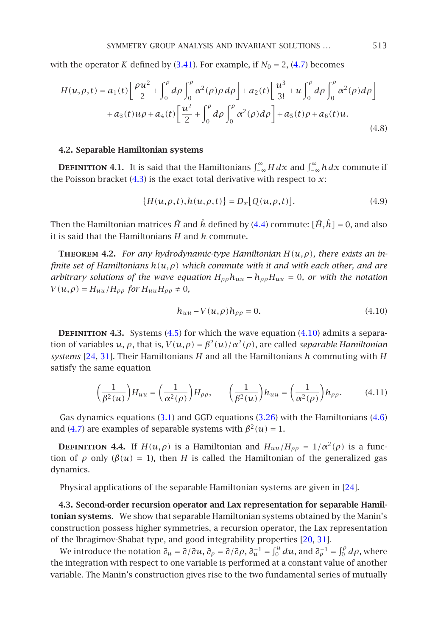with the operator *K* defined by  $(3.41)$ . For example, if  $N_0 = 2$ ,  $(4.7)$  becomes

$$
H(u, \rho, t) = a_1(t) \left[ \frac{\rho u^2}{2} + \int_0^{\rho} d\rho \int_0^{\rho} \alpha^2(\rho) \rho d\rho \right] + a_2(t) \left[ \frac{u^3}{3!} + u \int_0^{\rho} d\rho \int_0^{\rho} \alpha^2(\rho) d\rho \right] + a_3(t)u\rho + a_4(t) \left[ \frac{u^2}{2} + \int_0^{\rho} d\rho \int_0^{\rho} \alpha^2(\rho) d\rho \right] + a_5(t)\rho + a_6(t)u.
$$
\n(4.8)

#### **4.2. Separable Hamiltonian systems**

**DEFINITION 4.1.** It is said that the Hamiltonians  $\int_{-\infty}^{\infty} H dx$  and  $\int_{-\infty}^{\infty} h dx$  commute if the Poisson bracket  $(4.3)$  is the exact total derivative with respect to  $x$ :

<span id="page-26-0"></span>
$$
\{H(u, \rho, t), h(u, \rho, t)\} = D_x [Q(u, \rho, t)].
$$
\n(4.9)

Then the [H](#page-25-2)amiltonian matrices  $\hat{H}$  and  $\hat{h}$  defined by (4.4) comm[ute:](#page-26-0)  $[\hat{H}, \hat{h}] = 0$ , and also it is said that the Hamiltonians *H* and *h* commute.

**THEOREM [4.2](#page-47-8).** For any hydrodynamic-type Hamiltonian  $H(u, \rho)$ , there exists an in*finite set of Hamiltonians h(u,ρ) which commute with it and with each other, and are arbitrary solutions of the wave equation*  $H_{\rho\rho}h_{uu} - h_{\rho\rho}H_{uu} = 0$ , or with the notation  $V(u, \rho) = H_{uu}/H_{\rho\rho}$  *for*  $H_{uu}H_{\rho\rho} \neq 0$ *,* 

<span id="page-26-1"></span>
$$
h_{uu} - V(u,\rho)h_{\rho\rho} = 0.
$$
\n(4.10)

**DEFINITION 4.3.** Systems (4.5) for which the wave equation (4.10) admits a separation of variables  $u, \rho$ , that is,  $V(u, \rho) = \beta^2(u)/\alpha^2(\rho)$ , are called *separable Hamiltonian systems* [24, 31]. Their Hamiltonians *H* and all the Hamiltonians *h* commuting with *H* satisfy the same equation

$$
\left(\frac{1}{\beta^2(u)}\right)H_{uu} = \left(\frac{1}{\alpha^2(\rho)}\right)H_{\rho\rho}, \qquad \left(\frac{1}{\beta^2(u)}\right)h_{uu} = \left(\frac{1}{\alpha^2(\rho)}\right)h_{\rho\rho}.
$$
 (4.11)

Gas dynamics equations (3.1) and GGD equations (3.26) with the Hamiltonians (4.6) and (4.7) are examples of separable systems with  $\beta^2(u) = 1$ .

**DEFINITION 4.4.** If  $H(u,\rho)$  is a Hamiltonian and  $H_{uu}/H_{\rho\rho} = 1/\alpha^2(\rho)$  is a function of  $\rho$  only ( $\beta(u) = 1$ ), then *H* is called the Hamiltonian of the generalized gas dynamics.

Physical applications of the separable Hamiltonian systems are given in [24].

**4.3. Second-order recursion operator and Lax representation for separable Hamiltonian systems.** We show that separable Hamiltonian systems obtained by the Manin's construction possess higher symmetries, a recursion operator, the Lax representation of the Ibragimov-Shabat type, and good integrability properties [20, 31].

We introduce the notation  $\partial_u = \partial/\partial u$ ,  $\partial_\rho = \partial/\partial \rho$ ,  $\partial_u^{-1} = \int_0^u du$ , and  $\partial_\rho^{-1} = \int_0^\rho d\rho$ , where the integration with respect to one variable is performed at a constant value of another variable. The Manin's construction gives rise to the two fundamental series of mutually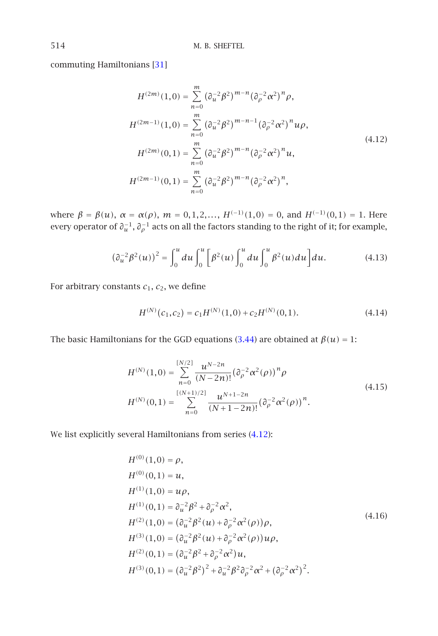commuting Hamiltonians [31]

$$
H^{(2m)}(1,0) = \sum_{n=0}^{m} (\partial_u^{-2} \beta^2)^{m-n} (\partial_{\rho}^{-2} \alpha^2)^n \rho,
$$
  
\n
$$
H^{(2m-1)}(1,0) = \sum_{n=0}^{m} (\partial_u^{-2} \beta^2)^{m-n-1} (\partial_{\rho}^{-2} \alpha^2)^n u \rho,
$$
  
\n
$$
H^{(2m)}(0,1) = \sum_{n=0}^{m} (\partial_u^{-2} \beta^2)^{m-n} (\partial_{\rho}^{-2} \alpha^2)^n u,
$$
  
\n
$$
H^{(2m-1)}(0,1) = \sum_{n=0}^{m} (\partial_u^{-2} \beta^2)^{m-n} (\partial_{\rho}^{-2} \alpha^2)^n,
$$
  
\n(4.12)

 $\alpha$  *β* = *β*(*u*),  $\alpha$  = *α*(*ρ*),  $m$  = 0,1,2,...,  $H^{(-1)}(1,0) = 0$ , and  $H^{(-1)}(0,1) = 1$ . Here every operator of  $\partial_u^{-1}$ ,  $\partial_\rho^{-1}$  acts on all the factors [stand](#page-24-0)ing to the right of it; for example,

<span id="page-27-0"></span>
$$
(\partial_u^{-2} \beta^2(u))^2 = \int_0^u du \int_0^u \left[ \beta^2(u) \int_0^u du \int_0^u \beta^2(u) du \right] du.
$$
 (4.13)

For arbitrary constants  $c_1$ ,  $c_2$ , we define

$$
H^{(N)}(c_1, c_2) = c_1 H^{(N)}(1, 0) + c_2 H^{(N)}(0, 1).
$$
 (4.14)

The basic Hamiltonians for the GGD equations (3.44) are obtained at  $\beta(u) = 1$ :

$$
H^{(N)}(1,0) = \sum_{n=0}^{[N/2]} \frac{u^{N-2n}}{(N-2n)!} (\partial_{\rho}^{-2} \alpha^2(\rho))^n \rho
$$
  
\n
$$
H^{(N)}(0,1) = \sum_{n=0}^{[(N+1)/2]} \frac{u^{N+1-2n}}{(N+1-2n)!} (\partial_{\rho}^{-2} \alpha^2(\rho))^n.
$$
\n(4.15)

We list explicitly several Hamiltonians from series (4.12):

$$
H^{(0)}(1,0) = \rho,
$$
  
\n
$$
H^{(1)}(1,0) = u,
$$
  
\n
$$
H^{(1)}(0,1) = \partial_u^2 \beta^2 + \partial_\rho^{-2} \alpha^2,
$$
  
\n
$$
H^{(2)}(1,0) = (\partial_u^{-2} \beta^2 (u) + \partial_\rho^{-2} \alpha^2 (\rho)) \rho,
$$
  
\n
$$
H^{(3)}(1,0) = (\partial_u^{-2} \beta^2 (u) + \partial_\rho^{-2} \alpha^2 (\rho)) u \rho,
$$
  
\n
$$
H^{(2)}(0,1) = (\partial_u^{-2} \beta^2 + \partial_\rho^{-2} \alpha^2) u,
$$
  
\n
$$
H^{(3)}(0,1) = (\partial_u^{-2} \beta^2)^2 + \partial_u^{-2} \beta^2 \partial_\rho^{-2} \alpha^2 + (\partial_\rho^{-2} \alpha^2)^2.
$$
\n(4.16)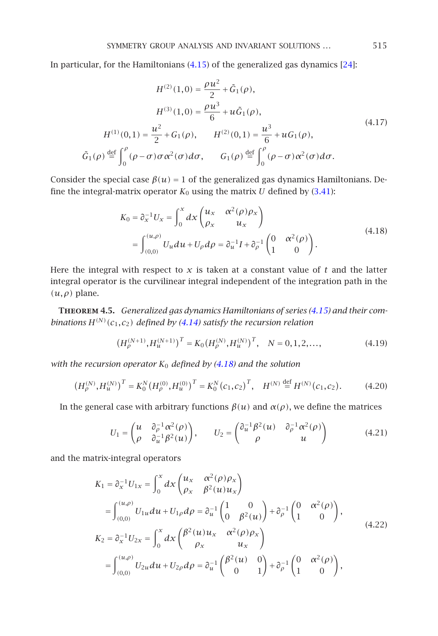In particular, for the Hamiltonians (4.15) of the generalized gas dynamics [24]:

$$
H^{(2)}(1,0) = \frac{\rho u^2}{2} + \tilde{G}_1(\rho),
$$
  
\n
$$
H^{(3)}(1,0) = \frac{\rho u^3}{6} + u\tilde{G}_1(\rho),
$$
  
\n
$$
H^{(1)}(0,1) = \frac{u^2}{2} + G_1(\rho), \qquad H^{(2)}(0,1) = \frac{u^3}{6} + uG_1(\rho),
$$
  
\n
$$
\tilde{G}_1(\rho) \stackrel{\text{def}}{=} \int_0^{\rho} (\rho - \sigma) \sigma \alpha^2(\sigma) d\sigma, \qquad G_1(\rho) \stackrel{\text{def}}{=} \int_0^{\rho} (\rho - \sigma) \alpha^2(\sigma) d\sigma.
$$
 (4.17)

Consider the special case  $\beta(u) = 1$  of the generalized gas dynamics Hamiltonians. Define the integral-matrix operator  $K_0$  using the matrix  $U$  defined by  $(3.41)$ :

$$
K_0 = \partial_x^{-1} U_x = \int_0^x dx \begin{pmatrix} u_x & \alpha^2(\rho)\rho_x \\ \rho_x & u_x \end{pmatrix}
$$
  
= 
$$
\int_{(0,0)}^{(u,\rho)} U_u du + U_\rho d\rho = \partial_u^{-1} I + \partial_\rho^{-1} \begin{pmatrix} 0 & \alpha^2(\rho) \\ 1 & 0 \end{pmatrix}.
$$
 (4.18)

Here the integral with respect to  $x$  is taken at a constant value of  $t$  and the latter integral operator is the curvilinear integral independent of the integration path in the  $(u, \rho)$  plane.

**Theorem 4.5.** *Generalized gas dynamics Hamiltonians of series (4.15) and their combinations*  $H^{(N)}(c_1, c_2)$  *defined by (4.14) satisfy the recursion relation* 

$$
(H_{\rho}^{(N+1)}, H_{u}^{(N+1)})^T = K_0 (H_{\rho}^{(N)}, H_{u}^{(N)})^T, \quad N = 0, 1, 2, ..., \tag{4.19}
$$

*with the recursion operator K*<sup>0</sup> *defined by (4.18) and the solution*

$$
(H_{\rho}^{(N)}, H_u^{(N)})^T = K_0^N (H_{\rho}^{(0)}, H_u^{(0)})^T = K_0^N (c_1, c_2)^T, \quad H^{(N)} \stackrel{\text{def}}{=} H^{(N)}(c_1, c_2). \tag{4.20}
$$

In the general case with arbitrary functions *β(u)* and *α(ρ)*, we define the matrices

$$
U_1 = \begin{pmatrix} u & \partial_{\rho}^{-1} \alpha^2(\rho) \\ \rho & \partial_u^{-1} \beta^2(u) \end{pmatrix}, \qquad U_2 = \begin{pmatrix} \partial_u^{-1} \beta^2(u) & \partial_{\rho}^{-1} \alpha^2(\rho) \\ \rho & u \end{pmatrix}
$$
(4.21)

and the matrix-integral operators

$$
K_{1} = \partial_{x}^{-1} U_{1x} = \int_{0}^{x} dx \begin{pmatrix} u_{x} & \alpha^{2}(\rho)\rho_{x} \\ \rho_{x} & \beta^{2}(u)u_{x} \end{pmatrix}
$$
  
\n
$$
= \int_{(0,0)}^{(u,\rho)} U_{1u} du + U_{1\rho} d\rho = \partial_{u}^{-1} \begin{pmatrix} 1 & 0 \\ 0 & \beta^{2}(u) \end{pmatrix} + \partial_{\rho}^{-1} \begin{pmatrix} 0 & \alpha^{2}(\rho) \\ 1 & 0 \end{pmatrix},
$$
  
\n
$$
K_{2} = \partial_{x}^{-1} U_{2x} = \int_{0}^{x} dx \begin{pmatrix} \beta^{2}(u)u_{x} & \alpha^{2}(\rho)\rho_{x} \\ \rho_{x} & u_{x} \end{pmatrix}
$$
  
\n
$$
= \int_{(0,0)}^{(u,\rho)} U_{2u} du + U_{2\rho} d\rho = \partial_{u}^{-1} \begin{pmatrix} \beta^{2}(u) & 0 \\ 0 & 1 \end{pmatrix} + \partial_{\rho}^{-1} \begin{pmatrix} 0 & \alpha^{2}(\rho) \\ 1 & 0 \end{pmatrix},
$$
\n(4.22)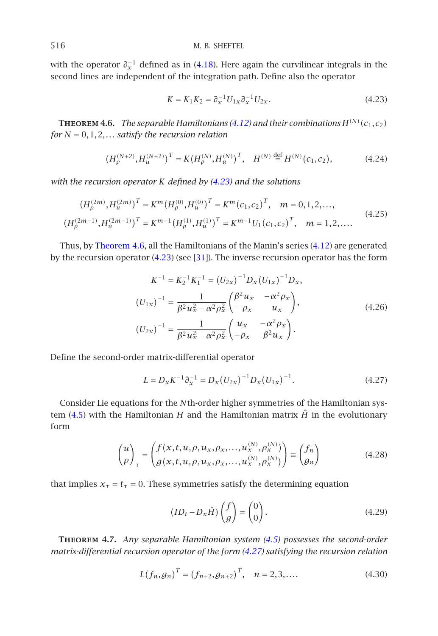with the operator *∂*−<sup>1</sup> *<sup>x</sup>* defined as in (4.18). Here again the curvilinear integrals in the second lines are independent of the inte[gratio](#page-29-0)n path. Define also the operator

<span id="page-29-0"></span>
$$
K = K_1 K_2 = \partial_x^{-1} U_{1x} \partial_x^{-1} U_{2x}.
$$
\n(4.23)

**THEOREM 4.6.** *The separable Hamiltonians (4.12) and their combinations*  $H^{(N)}(c_1, c_2)$ *for N* = 0*,*1*,*2*,... [satisfy t](#page-29-1)he recursion relation*

$$
(H_{\rho}^{(N+2)}, H_{u}^{(N+2)})^T = K (H_{\rho}^{(N)}, H_{u}^{(N)})^T, \quad H^{(N)} \stackrel{\text{def}}{=} H^{(N)}(c_1, c_2), \tag{4.24}
$$

*with the recursion operator K defined by (4.23) and the solutions*

$$
(H_{\rho}^{(2m)}, H_{u}^{(2m)})^{T} = K^{m} (H_{\rho}^{(0)}, H_{u}^{(0)})^{T} = K^{m} (c_{1}, c_{2})^{T}, \quad m = 0, 1, 2, ...,
$$
  

$$
(H_{\rho}^{(2m-1)}, H_{u}^{(2m-1)})^{T} = K^{m-1} (H_{\rho}^{(1)}, H_{u}^{(1)})^{T} = K^{m-1} U_{1} (c_{1}, c_{2})^{T}, \quad m = 1, 2, ....
$$
 (4.25)

Thus, by Theorem 4.6, all the Hamiltonians of the Manin's series (4.12) are generated by the recursion operator (4.23) (see [31]). The inverse recursion operator has the form

<span id="page-29-2"></span>
$$
K^{-1} = K_2^{-1} K_1^{-1} = (U_{2x})^{-1} D_x (U_{1x})^{-1} D_x,
$$
  
\n
$$
(U_{1x})^{-1} = \frac{1}{\beta^2 u_x^2 - \alpha^2 \rho_x^2} \begin{pmatrix} \beta^2 u_x & -\alpha^2 \rho_x \\ -\rho_x & u_x \end{pmatrix},
$$
  
\n
$$
(U_{2x})^{-1} = \frac{1}{\beta^2 u_x^2 - \alpha^2 \rho_x^2} \begin{pmatrix} u_x & -\alpha^2 \rho_x \\ -\rho_x & \beta^2 u_x \end{pmatrix}.
$$
 (4.26)

Define the second-order matrix-differential operator

$$
L = D_{X} K^{-1} \partial_{X}^{-1} = D_{X} (U_{2X})^{-1} D_{X} (U_{1X})^{-1}.
$$
 (4.27)

Consider Lie equations for the *N*th-order higher symmetries of the Hamiltonian system (4.5) with the Hamiltonian *H* and the Hamiltonian matrix  $\hat{H}$  in the evolutionary form

$$
\begin{pmatrix} u \\ \rho \end{pmatrix}_{\tau} = \begin{pmatrix} f(x, t, u, \rho, u_x, \rho_x, \dots, u_x^{(N)}, \rho_x^{(N)}) \\ g(x, t, u, \rho, u_x, \rho_x, \dots, u_x^{(N)}, \rho_x^{(N)}) \end{pmatrix} \equiv \begin{pmatrix} f_n \\ g_n \end{pmatrix}
$$
(4.28)

that implies  $x_{\tau} = t_{\tau} = 0$ . These symmetries satisfy the determining equation

$$
(ID_t - D_x \hat{H}) \begin{pmatrix} f \\ g \end{pmatrix} = \begin{pmatrix} 0 \\ 0 \end{pmatrix}.
$$
 (4.29)

**Theorem 4.7.** *Any separable Hamiltonian system (4.5) possesses the second-order matrix-differential recursion operator of the form (4.27) satisfying the recursion relation*

$$
L(f_n, g_n)^T = (f_{n+2}, g_{n+2})^T, \quad n = 2, 3, .... \tag{4.30}
$$

<span id="page-29-1"></span>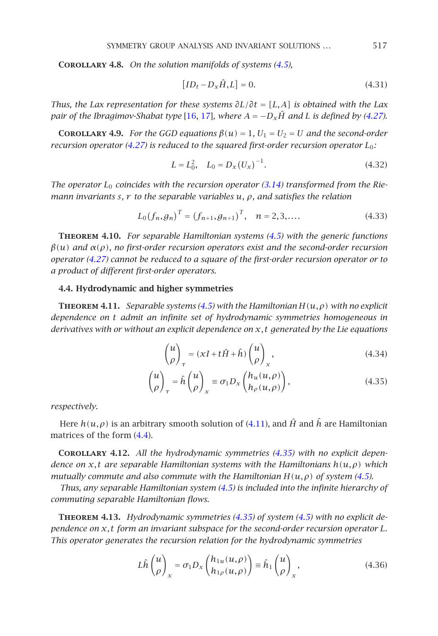**Corollary 4.8.** *On the solution manifolds of systems (4.5),*

<span id="page-30-2"></span>
$$
[ID_t - D_x \hat{H}, L] = 0. \tag{4.31}
$$

*Thus, the Lax representation for these systems ∂L/∂t* = *[L,A] is obtained with the Lax pair of the Ibragimov-Shabat type* [16, 17]*, where*  $A = -D_x \hat{H}$  *and L is defined by* (4.27).

**COROLLARY 4.9.** *For the GGD equations*  $\beta(u) = 1$  $\beta(u) = 1$  $\beta(u) = 1$ ,  $U_1 = U_2 = U$  *and the second-order recursion operator (4.27) is reduced to the squared first-order recursion operator*  $L_0$ *:* 

<span id="page-30-1"></span><span id="page-30-0"></span>
$$
L = L_0^2, \quad L_0 = D_x (U_x)^{-1}.
$$
\n(4.32)

*The operator L*<sup>0</sup> *coincides with the recursion operator (3.14) transformed from the Riemann invariants s, r to the separable [vari](#page-25-2)ables u, ρ, and satisfies the relation*

$$
L_0(f_n, g_n)^T = (f_{n+1}, g_{n+1})^T, \quad n = 2, 3, .... \tag{4.33}
$$

**Theorem 4.10.** *For separable Hamiltonian systems (4.5) with the generic functions β(u) and α(ρ), no first-order recursion operators exist and the second-order recursion operator (4.27) cannot be reduced to a square of the first-order recursion operator or to a product of different first-order operators.*

## **4.4. Hydrodynamic and higher symmetries**

**THEOREM 4.11.** *Separable systems (4.5) with the Hamiltonian*  $H(u, \rho)$  *with no explicit dependence on t admit an infinite set of hydrod[ynami](#page-26-1)c symmetries homogeneous in derivatives with or wit[hou](#page-25-1)t an explicit dependence on x,t generated by the Lie equations*

$$
\begin{pmatrix} u \\ \rho \end{pmatrix}_{\tau} = (xI + t\hat{H} + \hat{h}) \begin{pmatrix} u \\ \rho \end{pmatrix}_{x}, \tag{4.34}
$$

$$
\begin{pmatrix} u \\ \rho \end{pmatrix}_{\tau} = \hat{h} \begin{pmatrix} u \\ \rho \end{pmatrix}_{x} \equiv \sigma_1 D_x \begin{pmatrix} h_u(u, \rho) \\ h_{\rho}(u, \rho) \end{pmatrix}, \tag{4.35}
$$

*respectively.*

Here  $h(u, \rho)$  is an arbitrary smooth solution of (4.11), and  $\hat{H}$  and  $\hat{h}$  are Hamiltonian matrices of the form (4.4).

**Corollary 4.12.** *All the hydrodynamic symmetries (4.35) with no explicit dependence on x,t are separable Hamiltonian systems with the Hamiltonians h(u,ρ) which mutually commute and also commute with the Hamiltonian*  $H(u,\rho)$  *of system* (4.5).

*Thus, any separable Hamiltonian system (4.5) is included into the infinite hierarchy of commuting separable Hamiltonian flows.*

**Theorem 4.13.** *Hydrodynamic symmetries (4.35) of system (4.5) with no explicit dependence on x,t form an invariant subspace for the second-order recursion operator L. This operator generates the recursion relation for the hydrodynamic symmetries*

$$
L\hat{h}\begin{pmatrix}u\\ \rho\end{pmatrix}_x = \sigma_1 D_x \begin{pmatrix}h_{1u}(u,\rho)\\ h_{1\rho}(u,\rho)\end{pmatrix} \equiv \hat{h}_1 \begin{pmatrix}u\\ \rho\end{pmatrix}_x, \tag{4.36}
$$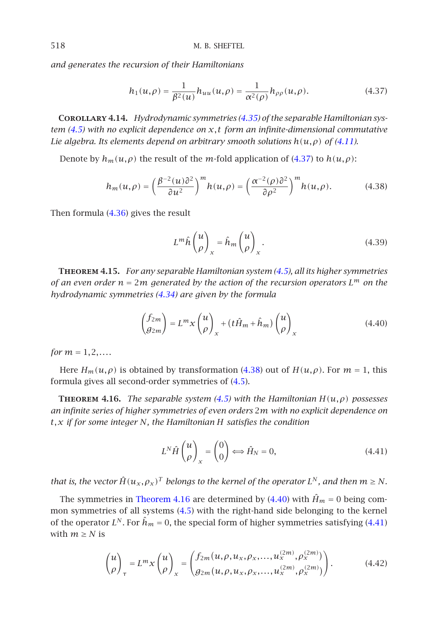*and generates the recursion of their Hamiltonians*

<span id="page-31-0"></span>
$$
h_1(u,\rho) = \frac{1}{\beta^2(u)} h_{uu}(u,\rho) = \frac{1}{\alpha^2(\rho)} h_{\rho\rho}(u,\rho).
$$
 (4.37)

**Corollary 4.14.** *Hydrodynamic symmetries (4.35) of the separable Hamiltonian system (4.5) with no explicit dependence on x,t form an infinite-dimensional commutative Lie algebra. Its elements depend on arbitrary smooth solutions*  $h(u, \rho)$  *of (4.11).* 

Denote by  $h_m(u, \rho)$  the result of the *m*-fold applicatio[n of](#page-25-2) (4.37) to  $h(u, \rho)$ :

$$
h_m(u,\rho) = \left(\frac{\beta^{-2}(u)\partial^2}{\partial u^2}\right)^m h(u,\rho) = \left(\frac{\alpha^{-2}(\rho)\partial^2}{\partial \rho^2}\right)^m h(u,\rho).
$$
 (4.38)

Then formula (4.36) gives the result

<span id="page-31-3"></span><span id="page-31-2"></span>
$$
L^{m}\hat{h}\binom{u}{\rho}_{x} = \hat{h}_{m}\binom{u}{\rho}_{x}.
$$
\n(4.39)

<span id="page-31-1"></span>**Theorem 4.15.** *For any separable Hamilton[ian](#page-25-2) [syste](#page-31-0)m (4.5), all its higher symmetries of an even order*  $n = 2m$  *generated by the action of the recursion operators*  $L^m$  *on the hydrodynamic symmetries (4.34) are give[n by](#page-25-2) the formula*

$$
\begin{pmatrix} f_{2m} \\ g_{2m} \end{pmatrix} = L^m x \begin{pmatrix} u \\ \rho \end{pmatrix}_x + (t\hat{H}_m + \hat{h}_m) \begin{pmatrix} u \\ \rho \end{pmatrix}_x \tag{4.40}
$$

*for m* = 1*,*2*,....*

Here  $H_m(u, \rho)$  is obtained by transformation (4.38) out of  $H(u, \rho)$ . For  $m = 1$ , this formula gives all second-order symmetries of (4.5).

**THEOREM** 4.16. T[he](#page-31-1) [separable](#page-31-1) [sy](#page-31-1)stem (4.5) with the [Hami](#page-31-2)ltonian  $H(u,\rho)$  possesses *an infinite series of higher symm[etrie](#page-25-2)s of even orders* 2*m with no explicit depende[nce on](#page-31-3) t,x if for some integer N, the Hamiltonian H satisfies the condition*

$$
L^N \hat{H} \begin{pmatrix} u \\ \rho \end{pmatrix}_x = \begin{pmatrix} 0 \\ 0 \end{pmatrix} \Longleftrightarrow \hat{H}_N = 0, \tag{4.41}
$$

*that is, the vector*  $\hat{H}(u_x, \rho_x)^T$  *belongs to the kernel of the operator*  $L^N$ *, and then*  $m \ge N$ *.* 

The symmetries in Theorem 4.16 are determined by (4.40) with  $\hat{H}_m = 0$  being common symmetries of all systems (4.5) with the right-hand side belonging to the kernel of the operator  $L^N$ . For  $\hat{h}_m = 0$ , the special form of higher symmetries satisfying (4.41) with  $m \geq N$  is

$$
\begin{pmatrix} u \\ \rho \end{pmatrix}_{\tau} = L^m x \begin{pmatrix} u \\ \rho \end{pmatrix}_{x} = \begin{pmatrix} f_{2m}(u, \rho, u_x, \rho_x, \dots, u_x^{(2m)}, \rho_x^{(2m)}) \\ g_{2m}(u, \rho, u_x, \rho_x, \dots, u_x^{(2m)}, \rho_x^{(2m)}) \end{pmatrix}.
$$
 (4.42)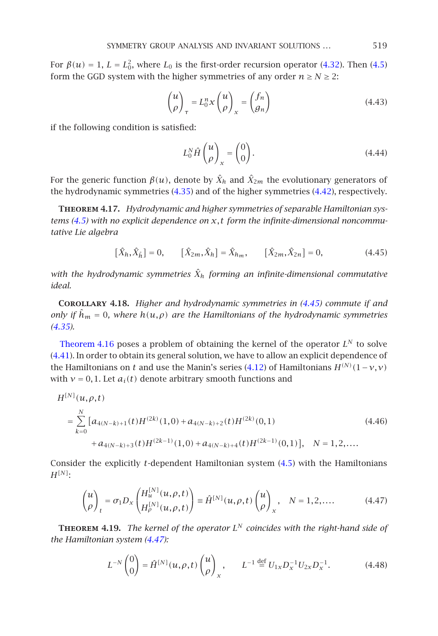For  $\beta(u) = 1$ ,  $L = L_0^2$ , where  $L_0$  is the first-order recursion operator (4.32). Then (4.5) form the GGD system with the higher symmetries of any order  $n \ge N \ge 2$ :

$$
\begin{pmatrix} u \\ \rho \end{pmatrix}_{\tau} = L_0^n x \begin{pmatrix} u \\ \rho \end{pmatrix}_x = \begin{pmatrix} f_n \\ g_n \end{pmatrix}
$$
 (4.43)

if the following condition is satisfied:

<span id="page-32-0"></span>
$$
L_0^N \hat{H} \begin{pmatrix} u \\ \rho \end{pmatrix}_x = \begin{pmatrix} 0 \\ 0 \end{pmatrix}.
$$
 (4.44)

For the generic function  $\beta(u)$ , denote by  $\hat{X}_h$  and  $\hat{X}_{2m}$  the evolutionary generators of the hydrodynamic symmetries (4.35) and of the higher symmetr[ies \(4.](#page-32-0)42), respectively.

**Theorem 4.17.** *Hydrodynamic and higher symmetries of separable Hamiltonian sys[tems](#page-30-1) (4.5) with no explicit dependence on x,t form the infinite-dimensional noncommuta[tive Lie algebra](#page-31-1)*

<span id="page-32-3"></span><span id="page-32-1"></span>
$$
[\hat{X}_h, \hat{X}_h] = 0, \qquad [\hat{X}_{2m}, \hat{X}_h] = \hat{X}_{h_m}, \qquad [\hat{X}_{2m}, \hat{X}_{2n}] = 0, \tag{4.45}
$$

*with the hydrodynamic symmetries*  $\hat{X}_h$  *forming an infinite-dimensional commutative ideal.*

**Corollary 4.18.** *Higher and hydrodynamic symmetries in (4.45) commute if and only if*  $\hat{h}_m = 0$ , where  $h(u, \rho)$  are the Hamiltonians of the hydrodynamic symmetries *(4.35).*

Theorem 4.16 poses a problem of obtaining the kernel of the operator  $L^N$  to solve (4.41). In order to obtain its general solution, we have to all[ow an](#page-25-2) explicit dependence of the Hamiltonians on *t* and use the Manin's series (4.12) of Hamiltonians  $H^{(N)}(1 - v, v)$ with  $v = 0, 1$ . Let  $a_i(t)$  denote arbitrary smooth functions and

$$
H^{[N]}(u, \rho, t)
$$
\n
$$
= \sum_{k=0}^{N} \left[ a_{4(N-k)+1}(t) H^{(2k)}(1,0) + a_{4(N-k)+2}(t) H^{(2k)}(0,1) + a_{4(N-k)+3}(t) H^{(2k-1)}(1,0) + a_{4(N-k)+4}(t) H^{(2k-1)}(0,1) \right], \quad N = 1, 2, ....
$$
\n(4.46)

Consider the explicitly *t*-dependent Hamiltonian system (4.5) with the Hamiltonians *H[N]*:

$$
\begin{pmatrix} u \\ \rho \end{pmatrix}_t = \sigma_1 D_x \begin{pmatrix} H_u^{[N]}(u, \rho, t) \\ H_\rho^{[N]}(u, \rho, t) \end{pmatrix} \equiv \hat{H}^{[N]}(u, \rho, t) \begin{pmatrix} u \\ \rho \end{pmatrix}_x, \quad N = 1, 2, .... \tag{4.47}
$$

**THEOREM 4.19.** *The kernel of the operator*  $L^N$  *coincides with the right-hand side of the Hamiltonian system (4.47):*

<span id="page-32-2"></span>
$$
L^{-N}\begin{pmatrix} 0\\0 \end{pmatrix} = \hat{H}^{[N]}(u,\rho,t) \begin{pmatrix} u\\ \rho \end{pmatrix}_{x}, \qquad L^{-1} \stackrel{\text{def}}{=} U_{1x} D_{x}^{-1} U_{2x} D_{x}^{-1}.
$$
 (4.48)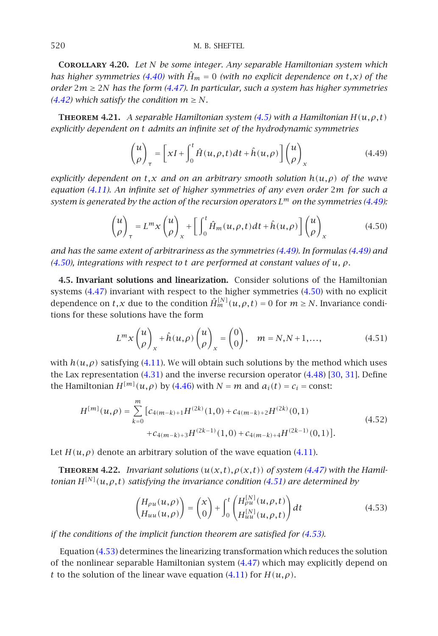**Corollary 4.20.** *Let N be some integer. Any separable Hamiltonian system which has higher symmetries (4.40) with*  $\hat{H}_m = 0$  *(with no explicit dependence on t, x) of the order*  $2m \geq 2N$  *has the form (4.47). In particular, such a system has higher sym[metrie](#page-33-0)s (4.42)* which satisfy the condition  $m \geq N$ .

**THEOREM 4.21.** *A separable Hamiltonian system (4.5) with a Hamiltonian*  $H(u, \rho, t)$ *explicitly dependent on t admits an infinite set of the hydrodynamic symmetries*

<span id="page-33-2"></span><span id="page-33-1"></span><span id="page-33-0"></span>
$$
\begin{pmatrix} u \\ \rho \end{pmatrix}_{\tau} = \left[ xI + \int_0^t \hat{H}(u, \rho, t)dt + \hat{h}(u, \rho) \right] \begin{pmatrix} u \\ \rho \end{pmatrix}_{x}
$$
 (4.49)

*explicitly dependent on t,x and on an arbitrary smooth solution h(u,ρ) of the wave equation [\(4.11](#page-32-1)). An infinite set of higher symmetries of any eve[n](#page-33-1) [orde](#page-33-1)r* 2*m for such a system is generated by the action of the recursion operators L<sup>m</sup> on the symmetries (4.49):*

$$
\begin{pmatrix} u \\ \rho \end{pmatrix}_{\tau} = L^m x \begin{pmatrix} u \\ \rho \end{pmatrix}_{x} + \left[ \int_0^t \hat{H}_m(u, \rho, t) dt + \hat{h}(u, \rho) \right] \begin{pmatrix} u \\ \rho \end{pmatrix}_{x}
$$
(4.50)

*and has the same extent of arbitrariness as the symmetries (4.49). In formulas (4.49) and*  $(4.50)$ ,integrations with [respe](#page-26-1)ct to t are performed at constant va[lues o](#page-32-2)f  $u$ ,  $\rho$ .

**4.5. Invariant solutions and [linea](#page-32-3)rization.** Consider solutions of the Hamiltonian systems (4.47) invariant with respect to the higher symmetries (4.50) with no explicit dependence on *t*, *x* due to the condition  $\hat{H}_m^{[N]}(u,\rho,t) = 0$  for  $m \ge N$ . Invariance conditions for these solutions have the form

<span id="page-33-4"></span><span id="page-33-3"></span>
$$
L^{m}x\binom{u}{\rho}_{x} + \hat{h}(u,\rho)\binom{u}{\rho}_{x} = \binom{0}{0}, \quad m = N, N+1, \dots,
$$
 (4.51)

with  $h(u, \rho)$  satisfying (4.11). We will obtain such solutions by th[e met](#page-32-1)hod which uses the Lax representation  $(4.31)$  and the inverse recursio[n oper](#page-33-2)ator  $(4.48)$  [30, 31]. Define the Hamiltonian  $H^{[m]}(u,\rho)$  by (4.46) with  $N = m$  and  $a_i(t) = c_i$  = const:

$$
H^{[m]}(u,\rho) = \sum_{k=0}^{m} \left[ c_{4(m-k)+1} H^{(2k)}(1,0) + c_{4(m-k)+2} H^{(2k)}(0,1) + c_{4(m-k)+3} H^{(2k-1)}(1,0) + c_{4(m-k)+4} H^{(2k-1)}(0,1) \right].
$$
\n(4.52)

Let  $H(u, \rho)$  [deno](#page-33-3)te an arbitrary solution of the [wave e](#page-32-1)quation (4.11).

**THEOREM 4.22.** *Invariant solutions*  $(u(x,t), \rho(x,t))$  *of system* (4.47) with the Hamil*tonian*  $H^{[N]}(u,\rho,t)$  *satisfying the invariance condition* (4.51) are determined by

$$
\begin{pmatrix} H_{\rho u}(u,\rho) \\ H_{uu}(u,\rho) \end{pmatrix} = \begin{pmatrix} x \\ 0 \end{pmatrix} + \int_0^t \begin{pmatrix} H_{\rho u}^{[N]}(u,\rho,t) \\ H_{uu}^{[N]}(u,\rho,t) \end{pmatrix} dt \tag{4.53}
$$

*if the conditions of the implicit function theorem are satisfied for (4.53).*

Equation (4.53) determines the linearizing transformation which reduces the solution of the nonlinear separable Hamiltonian system (4.47) which may explicitly depend on *t* to the solution of the linear wave equation (4.11) for  $H(u,\rho)$ .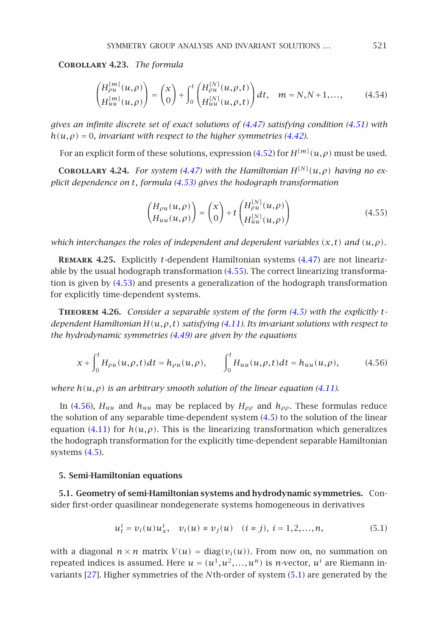**Corollary 4.23.** *The formul[a](#page-32-1)*

$$
\begin{pmatrix} H_{\rho u}^{[m]}(u,\rho) \\ H_{uu}^{[m]}(u,\rho) \end{pmatrix} = \begin{pmatrix} x \\ 0 \end{pmatrix} + \int_0^t \begin{pmatrix} H_{\rho u}^{[N]}(u,\rho,t) \\ H_{uu}^{[N]}(u,\rho,t) \end{pmatrix} dt, \quad m = N, N+1, ..., \quad (4.54)
$$

*gives an infinite discrete set of exact solutions of (4.47) satisfying condition (4.51) with*  $h(u, \rho) = 0$ , *invariant with respect to the higher symmetries (4.42).* 

For an explicit form of these solutions, expression (4.52) for  $H^{[m]}(u,\rho)$  must be used.

**COROLLARY** 4.24*. For system* (4.47) with [the](#page-34-1) [H](#page-34-1)amiltonian  $H^{[N]}(u, \rho)$  having no ex*plicit dependenc[e](#page-33-3) [on](#page-33-3) t, formula (4.53) gives the hodograph transformation*

<span id="page-34-2"></span><span id="page-34-1"></span>
$$
\begin{pmatrix} H_{\rho u}(u,\rho) \\ H_{uu}(u,\rho) \end{pmatrix} = \begin{pmatrix} x \\ 0 \end{pmatrix} + t \begin{pmatrix} H_{\rho u}^{[N]}(u,\rho) \\ H_{uu}^{[N]}(u,\rho) \end{pmatrix}
$$
\n(4.55)

*which interchanges the roles of independent and dependent variables*  $(x,t)$  *and*  $(u, \rho)$ *.* 

**Remark 4.25.** Explicitly *t*-dependent Hamiltonian systems (4.47) are not linearizable by the usual hodograph transformation (4.55). The correct linearizing transformation is given by (4.53) and presents a generalization of the hodogra[ph tra](#page-26-1)nsformation for e[xplicit](#page-34-2)ly time-dependent systems.

**Theorem 4.26.** *Consider a separable system of th[e for](#page-25-2)m (4.5) with the explicitly tdependen[t Ham](#page-26-1)iltonian H(u,ρ,t) satisfying (4.11). Its invariant solutions with respect to the hydrodynamic symmetries (4.49) are given by the equations*

$$
x + \int_0^t H_{\rho u}(u, \rho, t) dt = h_{\rho u}(u, \rho), \qquad \int_0^t H_{uu}(u, \rho, t) dt = h_{uu}(u, \rho), \tag{4.56}
$$

<span id="page-34-0"></span>*where h(u,ρ) is an arbitrary smooth solution of the linear equation (4.11).*

In (4.56),  $H_{uu}$  and  $h_{uu}$  may be replaced by  $H_{\rho\rho}$  and  $h_{\rho\rho}$ . These formulas reduce the solution of any separable time-dependent system (4.5) to the solution of the linear equation (4.11) for  $h(u, \rho)$ . This is the linearizing transformation which generalizes the hodograph transformation for the explicitly time-dependent separable Hamiltonian systems (4.5).

### **5. Sem[i-Ha](#page-47-0)miltonian equations**

**5.1. Geometry of semi-Hamiltonian systems and hydrodynamic symmetries.** Consider first-order quasilinear nondegenerate systems homogeneous in derivatives

<span id="page-34-3"></span>
$$
u_t^i = v_i(u)u_x^i, \quad v_i(u) \neq v_j(u) \quad (i \neq j), \ i = 1, 2, ..., n,
$$
 (5.1)

with a diagonal  $n \times n$  matrix  $V(u) = diag(v_i(u))$ . From now on, no summation on repeated indices is assumed. Here  $u = (u^1, u^2, \ldots, u^n)$  is *n*-vector,  $u^i$  are Riemann invariants [27]. Higher symmetries of the *N*th-order of system (5.1) are generated by the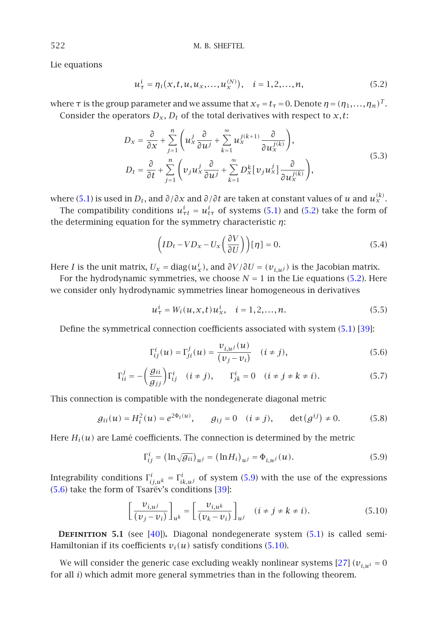Lie equations

<span id="page-35-4"></span><span id="page-35-0"></span>
$$
u_{\tau}^{i} = \eta_{i}(x, t, u, u_{x}, \dots, u_{x}^{(N)}), \quad i = 1, 2, \dots, n,
$$
 (5.2)

where  $\tau$  is the group parameter and we assume that  $x_{\tau} = t_{\tau} = 0$ . D[enot](#page-35-0)e  $\eta = (\eta_1, \ldots, \eta_n)^T$ .

Consider the operators  $D_x$ ,  $D_t$  of the total derivatives with respect to  $x$ ,  $t$ :

$$
D_x = \frac{\partial}{\partial x} + \sum_{j=1}^n \left( u_x^j \frac{\partial}{\partial u^j} + \sum_{k=1}^\infty u_x^{j(k+1)} \frac{\partial}{\partial u_x^{j(k)}} \right),
$$
  
\n
$$
D_t = \frac{\partial}{\partial t} + \sum_{j=1}^n \left( v_j u_x^j \frac{\partial}{\partial u^j} + \sum_{k=1}^\infty D_x^k [v_j u_x^j] \frac{\partial}{\partial u_x^{j(k)}} \right),
$$
\n(5.3)

where (5.1) is used in *Dt* , and *∂/∂x* and *∂/∂t* are taken at constant values of *u* and *u(k) <sup>x</sup>* .

The compatibility conditions  $u_{\tau t}^i = u_{t\tau}^i$  of systems (5.1) and (5.2) take the form of the determining equation for the symmetry characteristic *η*:

$$
\left( ID_{t} - VD_{x} - U_{x} \left( \frac{\partial V}{\partial U} \right) \right) [\eta] = 0. \tag{5.4}
$$

Here *I* is the unit matrix,  $U_x = \text{diag}(u_x^i)$ , and  $\partial V/\partial U = (v_{i,u^j})$  is the Jacobian matrix.

For the hydrodynamic symmetries, we choose  $N = 1$  in the Lie equations (5.2). Here we consider only hydrodynamic symmetries linear homogeneous in derivatives

<span id="page-35-3"></span><span id="page-35-1"></span>
$$
u_{\tau}^{i} = W_{i}(u, x, t)u_{x}^{i}, \quad i = 1, 2, ..., n.
$$
 (5.5)

Define the symmetrical connection coefficients associated with system (5.1) [39]:

<span id="page-35-2"></span>
$$
\Gamma_{ij}^{i}(u) = \Gamma_{ji}^{j}(u) = \frac{\nu_{i,u}(u)}{(\nu_j - \nu_i)} \quad (i \neq j),
$$
\n(5.6)

$$
\Gamma_{ii}^j = -\left(\frac{g_{ii}}{g_{jj}}\right) \Gamma_{ij}^i \quad (i \neq j), \qquad \Gamma_{jk}^i = 0 \quad (i \neq j \neq k \neq i). \tag{5.7}
$$

This connection is compatible with the nondegenerate diagonal metric

$$
g_{ii}(u) = H_i^2(u) = e^{2\Phi_i(u)}, \qquad g_{ij} = 0 \quad (i \neq j), \qquad \det(g^{ij}) \neq 0.
$$
 (5.8)

Here  $H_i(u)$  are Lamé coefficients. The connection is de[termi](#page-35-2)ned by the metric

$$
\Gamma_{ij}^i = \left(\ln \sqrt{g_{ii}}\right)_{\mathfrak{u}^j} = \left(\ln H_i\right)_{\mathfrak{u}^j} = \Phi_{i,\mathfrak{u}^j}(\mathfrak{u}).\tag{5.9}
$$

Integrability conditions  $\Gamma^i_{ij,u^k} = \Gamma^i_{ik,u^j}$  of system (5.9) with the use of the expressions (5.6) take the form of Tsarëv's conditions [39]:

$$
\left[\frac{v_{i,u^j}}{(v_j - v_i)}\right]_{u^k} = \left[\frac{v_{i,u^k}}{(v_k - v_i)}\right]_{u^j} \quad (i \neq j \neq k \neq i). \tag{5.10}
$$

**DEFINITION** 5.1 (see [40]). Diagonal nondegenerate system (5.1) is called semi-Hamiltonian if its coefficients  $v_i(u)$  satisfy conditions (5.10).

We will consider the generic case excluding weakly nonlinear systems [27]  $(v_{i,u} = 0$ for all *i*) which admit more general symmetries than in the following theorem.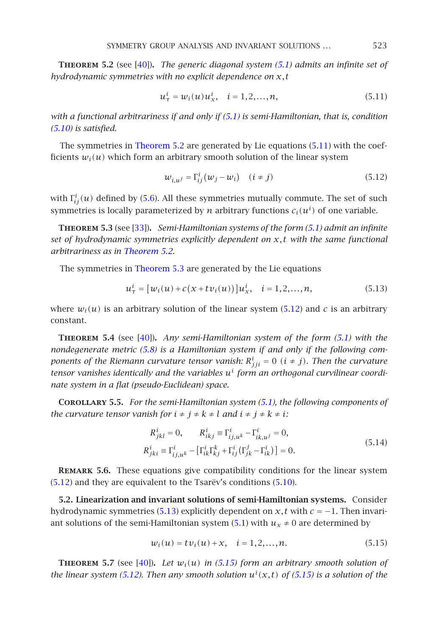<span id="page-36-0"></span>**Theorem 5.2** (see [40])**.** *The generic diagonal system (5.1) admits an infinite set of hydrodynamic symmetries with no explicit dependence on x,t*

<span id="page-36-3"></span><span id="page-36-1"></span>
$$
u_{\tau}^{i} = w_{i}(u)u_{x}^{i}, \quad i = 1, 2, ..., n,
$$
\n(5.11)

<span id="page-36-2"></span>*with a functional arb[itra](#page-47-11)riness if and only if (5.1) is semi-Hamilton[ian,](#page-34-3) that is, condition (5.10) is satisfied.*

The symmetries in [Theorem 5](#page-36-0).2 are generated by Lie equations (5.11) with the coefficients  $w_i(u)$  which [form an arbit](#page-36-2)rary smooth solution of the linear system

<span id="page-36-4"></span>
$$
w_{i,u^j} = \Gamma_{ij}^i(w_j - w_i) \quad (i \neq j)
$$
\n
$$
(5.12)
$$

with  $\Gamma^i_{ij}(u)$  defined by (5.6). All these symmetries mutually [com](#page-36-3)mute. The set of such symmetries is locally parameterized by  $n$  arbitrary functions  $c_i(u^i)$  of one variable.

<span id="page-36-6"></span>**Theorem 5.3** (see [[33\]\)](#page-47-14)**.** *Semi-Hamiltonian systems of the form (5.1) ad[mit a](#page-34-3)n infinite set of hydrodynamic s[ymm](#page-35-3)etries explicitly dependent on x,t with the same functional arbitrariness as in Theorem 5.2.*

The symmetries in Theorem 5.3 are generated by the Lie equations

$$
u_{\tau}^{i} = [w_{i}(u) + c(x + tv_{i}(u))]u_{x}^{i}, \quad i = 1, 2, ..., n,
$$
\n(5.13)

where  $w_i(u)$  is an arbitrary solution of the linear system (5.12) and *c* is an arbitrary constant.

**Theorem 5.4** (see [40])**.** *Any semi-Hamiltonian system of the form (5.1) with the nondegenerate metric (5.8) is a Hamiltonian system if and only if the following components of the Riemann curvature tensor vanish:*  $R^i_{jji} = 0$  ( $i \neq j$ ). Then the curvature *[tensor](#page-36-3) vanishes identically and the variables u<sup>i</sup> form an [orthog](#page-35-2)onal curvilinear coordinate system in a flat (pseudo-Euclidean) space.*

**Corollary 5.5.** *For the [semi-](#page-36-4)Hamiltonian system (5.1), the following components of the curvature tensor vanish for*  $i \neq j \neq k \neq l$  *an[d](#page-34-3)*  $i \neq j \neq k \neq i$ *:* 

<span id="page-36-5"></span>
$$
R_{jkl}^{i} = 0, \t R_{ikj}^{i} \equiv \Gamma_{ij,uk}^{i} - \Gamma_{ik,uj}^{i} = 0,
$$
  
\n
$$
R_{jki}^{i} \equiv \Gamma_{ij,uk}^{i} - [\Gamma_{ik}^{i} \Gamma_{kj}^{k} + \Gamma_{ij}^{i} (\Gamma_{jk}^{j} - \Gamma_{ik}^{i})] = 0.
$$
\n(5.14)

**Remark 5.6.** [These](#page-36-3) equations give compatibility conditio[ns for](#page-36-5) the linear system (5.12) and they are equivalent to the Tsarëv's conditions (5.10).

**5.2. Linearization and invariant solutions of semi-Hamiltonian systems.** Consider hydrodynamic symmetries (5.13) explicitly dependent on *x,t* with *c* = −1. Then invariant solutions of the semi-Hamiltonian system (5.1) with  $u_x \neq 0$  are determined by

$$
w_i(u) = tv_i(u) + x, \quad i = 1, 2, ..., n.
$$
 (5.15)

**THEOREM 5.7** (see [40]). Let  $w_i(u)$  in (5.15) form an arbitrary smooth solution of *the linear system (5.12). Then any smooth solution*  $u^i(x,t)$  *of (5.15) is a solution of the*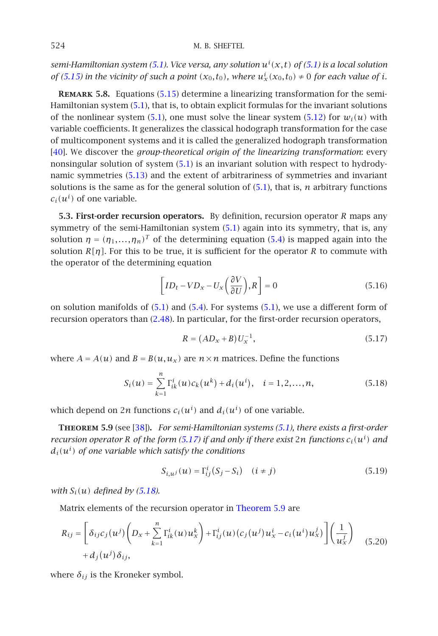*semi-Hamiltonian s[ystem](#page-36-4)* (5.1). V[ice](#page-34-3) [v](#page-34-3)ersa, any solution  $u^i(x,t)$  of (5.1) is a local solution *of* (5.15) in the vicinity of such a point  $(x_0, t_0)$  $(x_0, t_0)$  $(x_0, t_0)$ , where  $u_x^i(x_0, t_0) \neq 0$  for each value of *i*.

**Remark 5.8.** Equations (5.15) determine a linearizing transformation for the semi-Hamiltonian system (5.1), that is, to obtain explicit formulas for the invariant solutions of the nonlinear system (5.1), one must sol[ve th](#page-34-3)e linear system (5.12) for  $w_i(u)$  with variable coefficients. It generalizes the classical hodogra[ph t](#page-35-4)ransformation for the case of multicomponent systems and it is called the generalized hodograph transformation [40]. We discover the *group-theoretical origin of the linearizing transformation*: every nonsingular solution of system (5.1) is an invariant solution with respect to hydrodynamic symmetries (5.13) and the extent of arbitrariness of symmetries and invariant solutions is the same as for the general solution of  $(5.1)$ , that is, *n* arbitrary functions  $c_i(u^i)$  of one variable.

**5.3. First-order recursi[on](#page-11-1) [op](#page-11-1)erators.** By definition, recursion operator *R* maps any symmetry of the semi-Hamiltonian system (5.1) again into its symmetry, that is, any solution  $\eta = (\eta_1, ..., \eta_n)^T$  of the determining equation (5.4) is mapped again into the solution  $R[\eta]$ . For this to be true, it is sufficient for the operator R to commute with the operator of the determining equation

<span id="page-37-1"></span><span id="page-37-0"></span>
$$
\[ID_t - VD_x - U_x \left(\frac{\partial V}{\partial U}\right), R\] = 0 \tag{5.16}
$$

<span id="page-37-2"></span>on solution manifolds of  $(5.1)$  and  $(5.4)$ . For systems  $(5.1)$ , we use a different form of recursion operators t[han](#page-47-15) (2.48). In particular, for the first[-ord](#page-34-3)er recursion operators,

<span id="page-37-4"></span><span id="page-37-3"></span>
$$
R = (AD_x + B)U_x^{-1},
$$
\n(5.17)

where  $A = A(u)$  and  $B = B(u, u_x)$  are  $n \times n$  matrices. Define the functions

$$
S_i(u) = \sum_{k=1}^{n} \Gamma_{ik}^i(u)c_k(u^k) + d_i(u^i), \quad i = 1, 2, ..., n,
$$
 (5.18)

which depend on 2*n* functions  $c_i(u^i)$  and  $d_i(u^i)$  [of](#page-37-2) [one](#page-37-2) [vari](#page-37-2)able.

**Theorem 5.9** (see [38])**.** *For semi-Hamiltonian systems (5.1), there exists a first-order recursion operator*  $R$  *of the form (5.17) if and only if there exist*  $2n$  *functions*  $c_i(u^i)$  *and di(u<sup>i</sup> ) of one variable which satisfy the conditions*

$$
S_{i, u^j}(u) = \Gamma_{ij}^i (S_j - S_i) \quad (i \neq j)
$$
\n(5.19)

*with*  $S_i(u)$  *defined by (5.18).* 

Matrix elements of the recursion operator in Theorem 5.9 are

$$
R_{ij} = \left[ \delta_{ij} c_j(u^j) \left( D_x + \sum_{k=1}^n \Gamma_{ik}^i(u) u_x^k \right) + \Gamma_{ij}^i(u) \left( c_j(u^j) u_x^i - c_i(u^i) u_x^j \right) \right] \left( \frac{1}{u_x^j} \right) \tag{5.20}
$$

$$
+ d_j(u^j) \delta_{ij},
$$

where  $\delta_{ij}$  is the Kroneker symbol.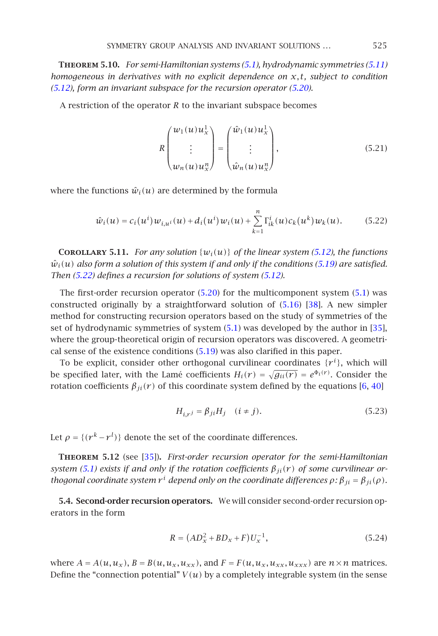**Theorem 5.10.** *For semi-Hamiltonian systems (5.1), hydrodynamic symmetries (5.11) homogeneous in derivatives with no explicit dependence on x,t, subject to condition (5.12), form an invariant subspace for the recursion operator (5.20).*

A restriction of the operator *R* to the invariant subspace becomes

<span id="page-38-1"></span>
$$
R\begin{pmatrix}w_1(u)u_x^1\\ \vdots\\ w_n(u)u_x^n\end{pmatrix} = \begin{pmatrix} \hat{w}_1(u)u_x^1\\ \vdots\\ \hat{w}_n(u)u_x^n\end{pmatrix},
$$
(5.21)

where the functions  $\hat{w}_i(u)$  are deter[mined](#page-37-3) by the formula

$$
\hat{w}_i(u) = c_i(u^i) w_{i,u^i}(u) + d_i(u^i) w_i(u) + \sum_{k=1}^n \Gamma_{ik}^i(u) c_k(u^k) w_k(u).
$$
 (5.22)

**COROLLARY 5.11.** *For any solution* { $w_i(u)$  $w_i(u)$  $w_i(u)$  $w_i(u)$ } *of the linear system* (5.12), the functions  $\hat{w}_i(u)$  also form a solution of this system if and only if the conditions (5.19) are satisfied. *Then (5.22) defines a recursion for solutions of system (5.12).*

The first-order recursion operator (5.20) for the multicomponent system (5.1) was constructed originally by a straightforward solution of (5.16) [38]. A new simpler method for constructing recursion operators based on the study of symmetries of the set of hydrodynamic symmetries of system (5.1) was developed by the author in [35], where the group-theoretical origin of recursion operators was discovered. A geometrical sense of the existen[ce c](#page-47-4)onditions (5.19) was also clarified in this paper.

To b[e exp](#page-34-3)licit, consider other orthogonal curvilinear coordinates  $\{r^i\}$ , which will be specified later, with the Lamé coefficients  $H_i(r) = \sqrt{g_{ii}(r)} = e^{\Phi_i(r)}$ . Consider the rotation coefficients  $\beta_{ji}(\tau)$  of this coordinate system defined by the equations [6, 40]

<span id="page-38-0"></span>
$$
H_{i,rj} = \beta_{ji} H_j \quad (i \neq j). \tag{5.23}
$$

Let  $\rho = \{(r^k - r^l)\}\)$  denote the set of the coordinate differences.

**Theorem 5.12** (see [35])**.** *First-order recursion operator for the semi-Hamiltonian system (5.1) exists if and only if the rotation coefficients*  $\beta_{ji}(r)$  *of some curvilinear orthogonal coordinate system*  $r^i$  *depend only on the coordinate differences*  $\rho$ *:*  $\beta_{ji} = \beta_{ji}(\rho)$ *.* 

**5.4. Second-order recursion operators.** We will consider second-order recursion operators in the form

$$
R = (AD_x^2 + BD_x + F)U_x^{-1},
$$
\n(5.24)

where  $A = A(u, u_x)$ ,  $B = B(u, u_x, u_{xx})$ , and  $F = F(u, u_x, u_{xx}, u_{xxx})$  are  $n \times n$  matrices. Define the "connection potential"  $V(u)$  by a completely integrable system (in the sense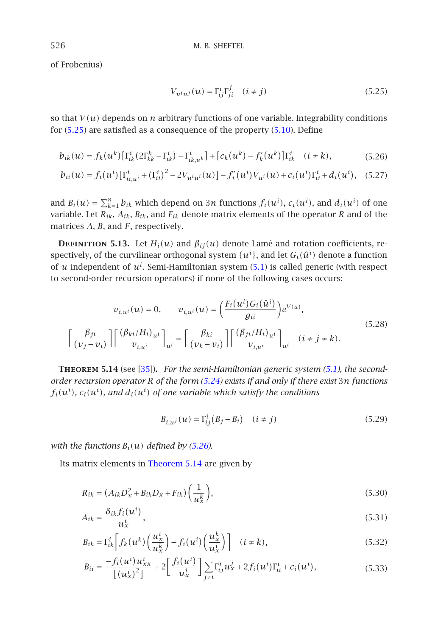of Frobenius)

<span id="page-39-0"></span>
$$
V_{u^{i}u^{j}}(u) = \Gamma_{ij}^{i} \Gamma_{ji}^{j} \quad (i \neq j)
$$
\n(5.25)

so that  $V(u)$  depends on  $n$  arbitrary functions of one variable. Integrability conditions for (5.25) are satisfied as a consequence of the property (5.10). Define

$$
b_{ik}(u) = f_k(u^k) \left[ \Gamma^i_{ik} (2\Gamma^k_{kk} - \Gamma^i_{ik}) - \Gamma^i_{ik} u^k \right] + \left[ c_k(u^k) - f'_k(u^k) \right] \Gamma^i_{ik} \quad (i \neq k), \tag{5.26}
$$

$$
b_{ii}(u) = f_i(u^i) \left[ \Gamma^i_{ii, u^i} + (\Gamma^i_{ii})^2 - 2V_{u^i u^i}(u) \right] - f'_i(u^i) V_{u^i}(u) + c_i(u^i) \Gamma^i_{ii} + d_i(u^i), \quad (5.27)
$$

and  $B_i(u) = \sum_{k=1}^n b_{ik}$  which depend on 3*n* functions  $f_i(u^i)$ ,  $c_i(u^i)$ , and  $d_i(u^i)$  of one variable. Let  $R_{ik}$ ,  $A_{ik}$ ,  $B_{ik}$ , and  $F_{ik}$  denote matrix elements of the operator  $R$  and of the matrices *A*, *B*, and *F*, respectively.

**DEFINITION 5.13.** Let  $H_i(u)$  and  $\beta_{ij}(u)$  denote Lamé and rotation coefficients, respectively, of the curvilinear orthogonal system  $\{u^i\}$ , and let  $G_i(\hat{u}^i)$  denote a function of  $u$  independent of  $u^i$ [.](#page-47-4) [S](#page-47-4)emi-Hamiltonian system  $(5.1)$  $(5.1)$  is called gene[ric](#page-34-3) (with respect to second-order recursion operators) i[f](#page-38-0) [none](#page-38-0) of the following cases occurs:

$$
v_{i, u^i}(u) = 0, \qquad v_{i, u^i}(u) = \left(\frac{F_i(u^i) G_i(\hat{u}^i)}{g_{ii}}\right) e^{V(u)},
$$
  

$$
\left[\frac{\beta_{ji}}{(v_j - v_i)}\right] \left[\frac{(\beta_{ki}/H_i)_{u^i}}{v_{i, u^i}}\right]_{u^i} = \left[\frac{\beta_{ki}}{(v_k - v_i)}\right] \left[\frac{(\beta_{ji}/H_i)_{u^i}}{v_{i, u^i}}\right]_{u^i} \quad (i \neq j \neq k).
$$
\n
$$
(5.28)
$$

**Theorem 5.14** (see [35])**.** *For the semi-Hamiltonian generic system (5.1), the secondorder recursion operator R of the form (5.24) exists if and only if there exist* 3*n functions*  $f_i(u^i)$ ,  $c_i(u^i)$ , and  $d_i(u^i)$  of one variable which satisfy the conditions

<span id="page-39-2"></span><span id="page-39-1"></span>
$$
B_{i,u^j}(u) = \Gamma_{ij}^i (B_j - B_i) \quad (i \neq j)
$$
\n(5.29)

*with the functions*  $B_i(u)$  *defined by (5.26).* 

Its matrix elements in Theorem 5.14 are given by

$$
R_{ik} = (A_{ik}D_x^2 + B_{ik}D_x + F_{ik})\left(\frac{1}{u_x^k}\right),
$$
\n(5.30)

$$
A_{ik} = \frac{\delta_{ik} f_i(u^i)}{u_x^i},\tag{5.31}
$$

$$
B_{ik} = \Gamma_{ik}^i \bigg[ f_k(u^k) \bigg( \frac{u^i_x}{u^k_x} \bigg) - f_i(u^i) \bigg( \frac{u^k_x}{u^i_x} \bigg) \bigg] \quad (i \neq k), \tag{5.32}
$$

$$
B_{ii} = \frac{-f_i(u^i)u_{xx}^i}{[(u_x^i)^2]} + 2\left[\frac{f_i(u^i)}{u_x^i}\right] \sum_{j \neq i} \Gamma_{ij}^i u_x^j + 2f_i(u^i)\Gamma_{ii}^i + c_i(u^i), \tag{5.33}
$$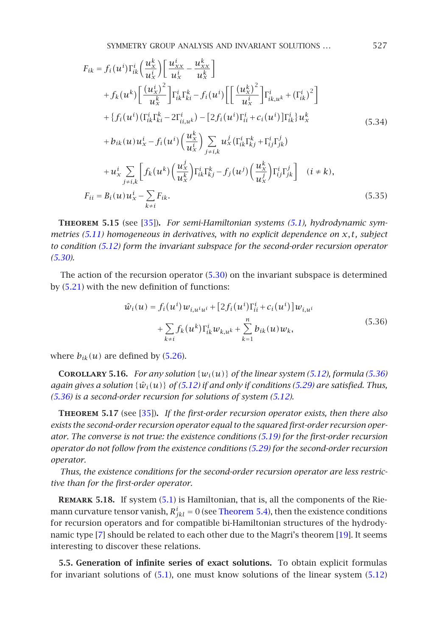SYMMETRY GROUP ANALYSIS AND INVARIANT SOLUTIONS ... 527  
\n
$$
F_{ik} = f_i(u^i) \Gamma_{ik}^i \left(\frac{u_x^k}{u_x^i}\right) \left[\frac{u_{xx}^i}{u_x^i} - \frac{u_{xx}^k}{u_x^k}\right]
$$
\n
$$
+ f_k(u^k) \left[\frac{(u_x^i)^2}{u_x^k}\right] \Gamma_{ik}^i \Gamma_{ki}^k - f_i(u^i) \left[\frac{(u_x^k)^2}{u_x^i}\right] \Gamma_{ik,u^k}^i + (\Gamma_{ik}^i)^2 \right]
$$
\n
$$
+ \{f_i(u^i) (\Gamma_{ik}^i \Gamma_{ki}^k - 2\Gamma_{i,i,u^k}^i) - [2f_i(u^i) \Gamma_{ii}^i + c_i(u^i) ] \Gamma_{ik}^i \} u_x^k
$$
\n
$$
+ b_{ik}(u) u_x^i - f_i(u^i) \left(\frac{u_x^k}{u_x^i}\right) \sum_{j \neq i,k} u_x^j (\Gamma_{ik}^i \Gamma_{kj}^k + \Gamma_{ij}^i \Gamma_{jk}^j)
$$
\n
$$
+ u_x^i \sum_{j \neq i,k} \left[ f_k(u^k) \left(\frac{u_x^j}{u_x^k}\right) \Gamma_{ik}^i \Gamma_{kj}^k - f_j(u^j) \left(\frac{u_x^k}{u_x^j}\right) \Gamma_{ij}^i \Gamma_{jk}^j \right] \quad (i \neq k),
$$
\n
$$
F_{ii} = B_i(u) u_x^i - \sum_{k \neq i} F_{ik}.
$$
\n(5.35)

**Theorem 5.15** (see [35])**.** *For semi-Hamiltonian systems (5.1), hydrodynamic symmetries (5.11) homogeneous in derivatives, with no explicit dependence on x,t, subject to condition (5.12) form the i[nvaria](#page-39-0)nt subspace for the second-order recursion operator (5.30).*

The action of the recursion op[erato](#page-36-3)r (5.30) on the invariant [subs](#page-39-2)[pac](#page-36-3)e is deter[mined](#page-40-0) [by \(5.](#page-40-0)21) with the new definition of functions:

<span id="page-40-0"></span>
$$
\hat{w}_i(u) = f_i(u^i) w_{i,u^i u^i} + [2f_i(u^i) \Gamma_{ii}^i + c_i(u^i)] w_{i,u^i} \n+ \sum_{k \neq i} f_k(u^k) \Gamma_{ik}^i w_{k,u^k} + \sum_{k=1}^n b_{ik}(u) w_k,
$$
\n(5.36)

where  $b_{ik}(u)$  are defined by (5.26).

**COROLLARY 5.16.** For any solution  $\{w_i(u)\}$  of the linear system (5.12), formula (5.36) *again gives a solution* { $\hat{w}_i(u)$ } *of (5.12) if and only if conditions (5.29) are satisfied. Thus, (5.36) is a second-order recu[rsion](#page-34-3) for solutions of system (5.12).*

**Theorem 5.17** (see [35])**.** *If the first-or[der](#page-36-6) [recursion](#page-36-6) [o](#page-36-6)perator exists, then there also exists the se[con](#page-46-13)d-order recursion operator equal to the squared first-order re[cur](#page-46-14)sion operator. The converse is not true: the existence conditions (5.19) for the first-order recursion operator do not follow from the existence conditions (5.29) for the second-order recursion operator.*

*Thus, the existence condi[tions](#page-34-3) for the second-order recursion operator are less r[estric](#page-36-3)tive than for the first-order operator.*

**Remark 5.18.** If system (5.1) is Hamiltonian, that is, all the components of the Riemann curvature tensor vanish,  $R^i_{jkl}$  = 0 (see Theorem 5.4), then the existence conditions for recursion operators and for compatible bi-Hamiltonian structures of the hydrodynamic type [7] should be related to each other due to the Magri's theorem [19]. It seems interesting to discover these relations.

**5.5. Generation of infinite series of exact solutions.** To obtain explicit formulas for invariant solutions of (5.1), one must know solutions of the linear system (5.12)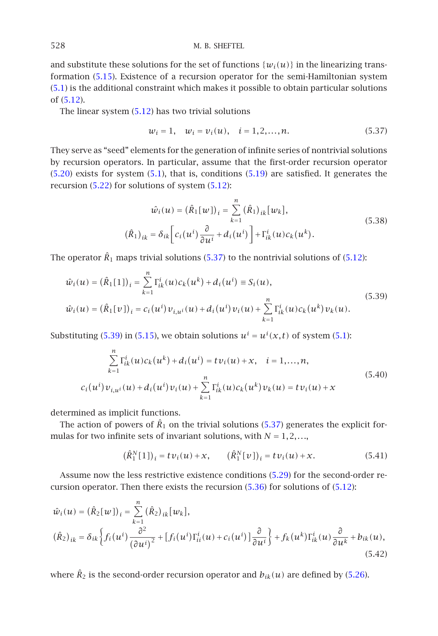[and s](#page-37-3)ubstitute these solu[tion](#page-34-3)s for the set of functi[ons](#page-37-4)  $\{w_i(u)\}$  in the linearizing transformation [\(5.15](#page-38-1)). Existence of a recursi[on op](#page-36-3)erator for the semi-Hamiltonian system (5.1) is the additional constraint which makes it possible to obtain particular solutions of (5.12).

The linear system (5.12) has two trivial solutions

<span id="page-41-0"></span>
$$
w_i = 1, \quad w_i = v_i(u), \quad i = 1, 2, \dots, n. \tag{5.37}
$$

They serve as "seed" elements for the ge[nerat](#page-41-0)ion of infinite series of nontrivi[al solu](#page-36-3)tions by recursion operators. In particular, assume that the first-order recursion operator (5.20) exists for system (5.1), that is, conditions (5.19) are satisfied. It generates the recursion (5.22) for solutions of system (5.12):

$$
\hat{w}_i(u) = (\hat{R}_1[w])_i = \sum_{k=1}^n (\hat{R}_1)_{ik} [w_k],
$$
\n
$$
(\hat{R}_1)_{ik} = \delta_{ik} \bigg[ c_i(u^i) \frac{\partial}{\partial u^i} + d_i(u^i) \bigg] + \Gamma^i_{ik}(u) c_k(u^k).
$$
\n(5.38)

The operator  $\hat{R}_1$  maps trivial solutions (5.37) to the nontrivial solutions of (5.12):

$$
\hat{w}_i(u) = (\hat{R}_1[1])_i = \sum_{k=1}^n \Gamma_{ik}^i(u)c_k(u^k) + d_i(u^i) \equiv S_i(u),
$$
  
\n
$$
\hat{w}_i(u) = (\hat{R}_1[v])_i = c_i(u^i)v_{i,u^i}(u) + d_i(u^i)v_i(u) + \sum_{k=1}^n \Gamma_{ik}^i(u)c_k(u^k)v_k(u).
$$
\n(5.39)

Substituting (5.39) in (5.15), we obtain solutions  $u^i = u^i(x,t)$  of system (5.1):

$$
\sum_{k=1}^{n} \Gamma_{ik}^{i}(u)c_{k}(u^{k}) + d_{i}(u^{i}) = tv_{i}(u) + x, \quad i = 1,...,n,
$$
\n
$$
c_{i}(u^{i})v_{i,u^{i}}(u) + d_{i}(u^{i})v_{i}(u) + \sum_{k=1}^{n} \Gamma_{ik}^{i}(u)c_{k}(u^{k})v_{k}(u) = tv_{i}(u) + x
$$
\n(5.40)

determined as implicit functions.

The action of powers of  $\hat{R}_1$  on the trivial solutions (5.37) generates the explicit formulas for two infinite sets of invariant solutions, with  $N = 1, 2, \ldots$ 

$$
(\hat{R}_1^N[1])_i = tv_i(u) + x, \qquad (\hat{R}_1^N[v])_i = tv_i(u) + x.
$$
 (5.41)

Assume now the less restrictive existence conditions (5.29) for the secon[d-ord](#page-39-0)er recursion operator. Then there exists the recursion (5.36) for solutions of (5.12):

$$
\hat{w}_i(u) = (\hat{R}_2[w])_i = \sum_{k=1}^n (\hat{R}_2)_{ik}[w_k],
$$
  
\n
$$
(\hat{R}_2)_{ik} = \delta_{ik} \left\{ f_i(u^i) \frac{\partial^2}{(\partial u^i)^2} + [f_i(u^i) \Gamma_{ii}^i(u) + c_i(u^i)] \frac{\partial}{\partial u^i} \right\} + f_k(u^k) \Gamma_{ik}^i(u) \frac{\partial}{\partial u^k} + b_{ik}(u),
$$
\n(5.42)

where  $\hat{R}_2$  is the second-order recursion operator and  $b_{ik}(u)$  are defined by (5.26).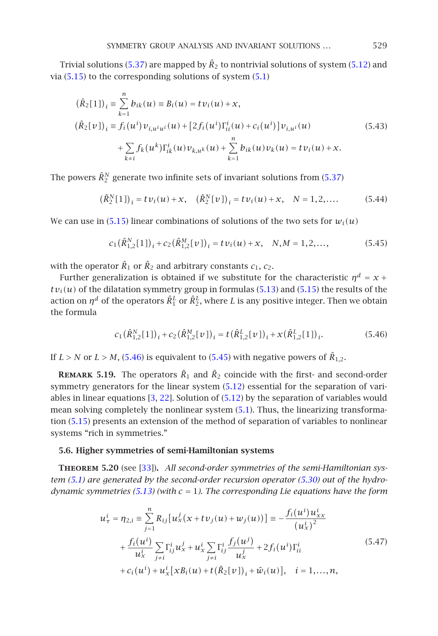Trivial solutions (5.37) are mapped by  $\hat{R}_2$  to nontrivial solutions of s[ystem](#page-41-0) (5.12) and via  $(5.15)$  to the corresponding solutions of system  $(5.1)$ 

$$
(\hat{R}_2[1])_i = \sum_{k=1}^n b_{ik}(u) = B_i(u) = tv_i(u) + x,
$$
  
\n
$$
(\hat{R}_2[v])_i = f_i(u^i)v_{i,u^iu}(u) + [2f_i(u^i)\Gamma_{ii}^i(u) + c_i(u^i)]v_{i,u^i}(u)
$$
  
\n
$$
+ \sum_{k \neq i} f_k(u^k)\Gamma_{ik}^i(u)v_{k,u^k}(u) + \sum_{k=1}^n b_{ik}(u)v_k(u) = tv_i(u) + x.
$$
\n(5.43)

The powers  $\hat{R}_2^N$  generate two infinite sets of invarian[t solu](#page-36-4)tions [from](#page-36-5) (5.37)

$$
(\hat{R}_{2}^{N}[1])_{i} = tv_{i}(u) + x, \quad (\hat{R}_{2}^{N}[v])_{i} = tv_{i}(u) + x, \quad N = 1, 2, .... \tag{5.44}
$$

We can use in (5.15) linear combinations of solutions of the two sets for  $w_i(u)$ 

<span id="page-42-0"></span>
$$
c_1(\hat{R}_{1,2}^N[1])_i + c_2(\hat{R}_{1,2}^M[v])_i = tv_i(u) + x, \quad N, M = 1, 2, \dots,
$$
\n(5.45)

with the operator  $\hat{R}_1$  or  $\hat{R}_2$  and arbitrary constants  $c_1$ ,  $c_2$ .

Further generalization is obtained if we [subst](#page-36-3)itute for the characteristic  $\eta^d = x +$  $tv_i(u)$  of the dilatation s[ym](#page-46-15)[me](#page-47-16)try group in f[ormu](#page-36-3)las (5.13) and (5.15) the results of the action on  $\eta^d$  of the operators  $\hat{R}_1^L$  or  $\hat{R}_2^L$ , where  $L$  [is an](#page-34-3)y positive integer. Then we obtain the f[ormu](#page-36-5)la

$$
c_1(\hat{R}_{1,2}^N[1])_i + c_2(\hat{R}_{1,2}^M[\nu])_i = t(\hat{R}_{1,2}^L[\nu])_i + x(\hat{R}_{1,2}^L[1])_i.
$$
 (5.46)

If  $L > N$  or  $L > M$ , (5.4[6\) is](#page-47-11) equivalent to (5.45) with negative powers of  $\hat{R}_{1,2}$ .

**REMARK 5.19.** The operators  $\hat{R}_1$  and  $\hat{R}_2$  coincide with the [first- a](#page-39-1)nd second-order symmetry generator[s for t](#page-36-4)he linear system (5.12) essential for the separation of variables in linear equations [3, 22]. Solution of (5.12) by the separation of variables would mean solving completely the nonlinear system (5.1). Thus, the linearizing transformation (5.15) presents an extension of the method of separation of variables to nonlinear systems "rich in symmetries."

## **5.6. Higher symmetries of semi-Hamiltonian systems**

**Theorem 5.20** (see [33])**.** *All second-order symmetries of the semi-Hamiltonian system (5.1) are generated by the second-order recursion operator (5.30) out of the hydrodynamic symmetries (5.13) (with c* = 1*). The corresponding Lie equations have the form*

$$
u_{\tau}^{i} = \eta_{2,i} \equiv \sum_{j=1}^{n} R_{ij} [u_{x}^{j}(x + tv_{j}(u) + w_{j}(u))] \equiv -\frac{f_{i}(u^{i})u_{xx}^{i}}{(u_{x}^{i})^{2}} + \frac{f_{i}(u^{i})}{u_{x}^{i}} \sum_{j \neq i} \Gamma_{ij}^{i} u_{x}^{j} + u_{x}^{i} \sum_{j \neq i} \Gamma_{ij}^{i} \frac{f_{j}(u^{j})}{u_{x}^{j}} + 2f_{i}(u^{i}) \Gamma_{ii}^{i} + c_{i}(u^{i}) + u_{x}^{i} [xB_{i}(u) + t(\hat{R}_{2}[v])_{i} + \hat{w}_{i}(u)], \quad i = 1,...,n,
$$
\n(5.47)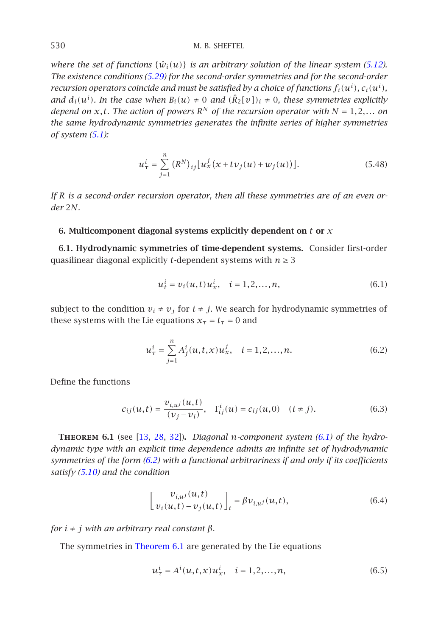<span id="page-43-0"></span>*where the set of functions*  $\{\hat{w}_i(u)\}$  *is an arbitrary solution of the linear system (5.12). The existence conditions (5.29) for the second-order symmetries and for the second-order recursion operators coincide and must be satisfied by a choice of functions*  $f_i(u^i)$ *,*  $c_i(u^i)$ *, and*  $d_i(u^i)$ *. In the case when*  $B_i(u) \neq 0$  *and*  $(\hat{R}_2[v])_i \neq 0$ *, these symmetries explicitly depend on*  $x$ *,t. The action of powers*  $R^N$  *of the recursion operator with*  $N = 1, 2, \ldots$  *on the same hydrodynamic symmetries generates the infinite series of higher symmetries of system (5.1):*

<span id="page-43-4"></span>
$$
u_{\tau}^{i} = \sum_{j=1}^{n} (R^{N})_{ij} [u_{x}^{j}(x + tv_{j}(u) + w_{j}(u))]. \qquad (5.48)
$$

*If R is a second-order recursion operator, then all these symmetries are of an even order* 2*N.*

## **6. Multicomponent diagonal systems explicitly dependent on** *t* **or** *x*

**6.1. Hydrodynamic symmetries of time-dependent systems.** Consider first-order quasilinear diagonal explicitly *t*-dependent systems with  $n \geq 3$ 

<span id="page-43-3"></span><span id="page-43-1"></span>
$$
u_t^i = v_i(u, t)u_x^i, \quad i = 1, 2, ..., n,
$$
\n(6.1)

<span id="page-43-2"></span>subject to the condition  $v_i \neq v_j$  for  $i \neq j$ . We search for hydrodynamic symmetries of these systems with the Lie equations  $x_{\tau} = t_{\tau} = 0$  and

$$
u_{\tau}^{i} = \sum_{j=1}^{n} A_{j}^{i}(u, t, x) u_{x}^{j}, \quad i = 1, 2, ..., n.
$$
 (6.2)

Define the functions

$$
c_{ij}(u,t) = \frac{v_{i,u^j}(u,t)}{(v_j - v_i)}, \quad \Gamma_{ij}^i(u) = c_{ij}(u,0) \quad (i \neq j). \tag{6.3}
$$

**Theorem 6.1** (see [\[13,](#page-43-2) 28, 32])**.** *Diagonal n-component system (6.1) of the hydrodynamic type with an explicit time dependence admits an infinite set of hydrodynamic symmetries of the form (6.2) with a functional arbitrariness if and only if its coefficients satisfy (5.10) and the condition*

$$
\left[\frac{v_{i,u^j}(u,t)}{v_i(u,t)-v_j(u,t)}\right]_t = \beta v_{i,u^j}(u,t),\tag{6.4}
$$

*for*  $i \neq j$  *with an arbitrary real constant*  $\beta$ *.* 

The symmetries in Theorem 6.1 are generated by the Lie equations

$$
u_{\tau}^{i} = A^{i}(u, t, x)u_{x}^{i}, \quad i = 1, 2, ..., n,
$$
\n(6.5)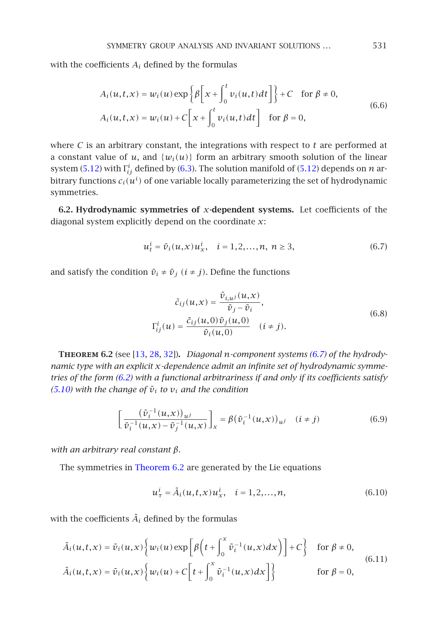with th[e coeffi](#page-36-3)cients  $A_i$  defined [by th](#page-43-3)e formulas

$$
A_i(u,t,x) = w_i(u) \exp\left\{\beta \left[x + \int_0^t v_i(u,t)dt\right]\right\} + C \quad \text{for } \beta \neq 0,
$$
  

$$
A_i(u,t,x) = w_i(u) + C\left[x + \int_0^t v_i(u,t)dt\right] \quad \text{for } \beta = 0,
$$
 (6.6)

where *C* is an arbitrary constant, the integrations with respect to *t* are performed at a constant value of  $u$ , and  $\{w_i(u)\}\$  form an arbitrary smooth solution of the linear system (5.12) with  $\Gamma_{ij}^i$  defined by (6.3). The solution manifold of (5.12) depends on  $n$  arbitrary functions  $c_i(u^i)$  of one variable locally parameterizing the set of hydrodynamic symmetries.

<span id="page-44-0"></span>**6.2. Hydrodynamic symmetries of** *x***-dependent systems.** Let coefficients of the diagonal system explicitly depend on the coordinate *x*:

<span id="page-44-1"></span>
$$
u_t^i = \tilde{v}_i(u, x)u_x^i, \quad i = 1, 2, ..., n, \ n \ge 3,
$$
\n(6.7)

and satisfy the c[ondi](#page-43-1)tion  $\tilde{v}_i \neq \tilde{v}_j$  ( $i \neq j$ ). Define the functions

$$
\tilde{c}_{ij}(u,x) = \frac{\tilde{v}_{i,u}(u,x)}{\tilde{v}_j - \tilde{v}_i},
$$
\n
$$
\Gamma_{ij}^i(u) = \frac{\tilde{c}_{ij}(u,0)\tilde{v}_j(u,0)}{\tilde{v}_i(u,0)} \quad (i \neq j).
$$
\n(6.8)

**Theorem 6.2** (see [13, 28, 32])**.** *Diagonal n-component systems (6.7) of the hydrodynamic type with an explicit x[-depen](#page-44-0)dence admit an infinite set of hydrodynamic symmetries of the form (6.2) with a functional arbitrariness if and only if its coefficients satisfy (5.10) with the change of*  $\tilde{v}_i$  *to*  $v_i$  *and the condition* 

$$
\left[\frac{(\tilde{v}_i^{-1}(u,x))_{u^j}}{\tilde{v}_i^{-1}(u,x) - \tilde{v}_j^{-1}(u,x)}\right]_x = \beta(\tilde{v}_i^{-1}(u,x))_{u^j} \quad (i \neq j)
$$
\n(6.9)

*with an arbitrary real constant β.*

The symmetries in Theorem 6.2 are generated by the Lie equations

$$
u_{\tau}^{i} = \tilde{A}_{i}(u, t, x)u_{x}^{i}, \quad i = 1, 2, ..., n,
$$
\n(6.10)

with the coefficients  $\tilde{A}_i$  defined by the formulas

$$
\tilde{A}_i(u,t,x) = \tilde{v}_i(u,x) \left\{ w_i(u) \exp \left[ \beta \left( t + \int_0^x \tilde{v}_i^{-1}(u,x) dx \right) \right] + C \right\} \quad \text{for } \beta \neq 0,
$$
\n
$$
\tilde{A}_i(u,t,x) = \tilde{v}_i(u,x) \left\{ w_i(u) + C \left[ t + \int_0^x \tilde{v}_i^{-1}(u,x) dx \right] \right\} \qquad \text{for } \beta = 0,
$$
\n(6.11)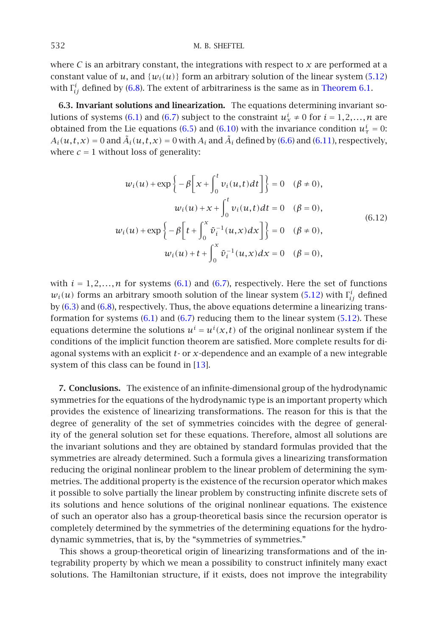where  $C$  is an arbitrary constant, the integrations with respect to  $x$  are performed at a constant value of *u*, and  $\{w_i(u)\}$  form an arbitrary solution of the linear system (5.12) with  $\Gamma_{ij}^i$  defined by (6.8). The extent of arbitrariness is the same as in Theorem 6.1.

**6.3. Invariant solutions and linearization.** The equations determining invariant solutions of systems (6.1) and (6.7) subject to the constraint  $u^i_x \neq 0$  for  $i = 1, 2, ..., n$  are obtained from the Lie equations (6.5) and (6.10) with the invariance condition  $u^i_\tau = 0$ :  $A_i(u,t,x) = 0$  and  $\tilde{A}_i(u,t,x) = 0$  with  $A_i$  and  $\tilde{A}_i$  defined by (6.6) and (6.11), respectively, where  $c = 1$  without loss of generality:

$$
w_i(u) + \exp\{-\beta \Big[x + \int_0^t v_i(u, t) dt\Big] \} = 0 \quad (\beta \neq 0),
$$
  

$$
w_i(u) + x + \int_0^t v_i(u, t) dt = 0 \quad (\beta = 0),
$$
  

$$
w_i(u) + \exp\Big\{-\beta \Big[t + \int_0^x \tilde{v}_i^{-1}(u, x) dx\Big]\Big\} = 0 \quad (\beta \neq 0),
$$
  

$$
w_i(u) + t + \int_0^x \tilde{v}_i^{-1}(u, x) dx = 0 \quad (\beta = 0),
$$
  
(6.12)

with  $i = 1, 2, ..., n$  for systems (6.1) and (6.7), respectively. Here the set of functions  $w_i(u)$  forms an arbitrary smooth solution of the linear system (5.12) with  $\Gamma^i_{ij}$  defined by (6.3) and (6.8), respectively. Thus, the above equations determine a linearizing transformation for systems  $(6.1)$  and  $(6.7)$  reducing them to the linear system  $(5.12)$ . These equations determine the solutions  $u^i = u^i(x,t)$  of the original nonlinear system if the conditions of the implicit function theorem are satisfied. More complete results for diagonal systems with an explicit *t*- or *x*-dependence and an example of a new integrable system of this class can be found in [13].

**7. Conclusions.** The existence of an infinite-dimensional group of the hydrodynamic symmetries for the equations of the hydrodynamic type is an important property which provides the existence of linearizing transformations. The reason for this is that the degree of generality of the set of symmetries coincides with the degree of generality of the general solution set for these equations. Therefore, almost all solutions are the invariant solutions and they are obtained by standard formulas provided that the symmetries are already determined. Such a formula gives a linearizing transformation reducing the original nonlinear problem to the linear problem of determining the symmetries. The additional property is the existence of the recursion operator which makes it possible to solve partially the linear problem by constructing infinite discrete sets of its solutions and hence solutions of the original nonlinear equations. The existence of such an operator also has a group-theoretical basis since the recursion operator is completely determined by the symmetries of the determining equations for the hydrodynamic symmetries, that is, by the "symmetries of symmetries."

This shows a group-theoretical origin of linearizing transformations and of the integrability property by which we mean a possibility to construct infinitely many exact solutions. The Hamiltonian structure, if it exists, does not improve the integrability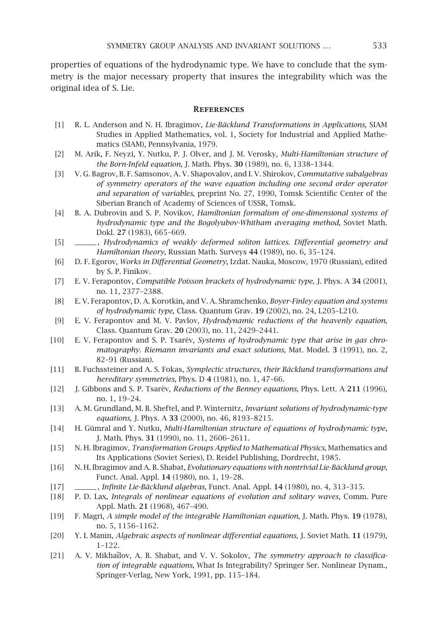properties of equations of the hydrodynamic type. We have to conclude that the symmetry is the major necessary property that insures the integrability which was the original idea of S. Lie.

#### **References**

- <span id="page-46-7"></span>[1] R. L. Anderson and N. H. Ibragimov, *Lie-Bäcklund Transformations in Applications*, SIAM Studies in Applied Mathematics, vol. 1, Society for Industrial and Applied Mathematics (SIAM), Pennsylvania, 1979.
- <span id="page-46-15"></span><span id="page-46-2"></span>[2] M. Arik, F. Neyzi, Y. Nutku, P. J. Olver, and J. M. Verosky, *Multi-Hamiltonian structure of the Born-Infeld equation*, J. Math. Phys. **30** (1989), no. 6, 1338–1344.
- [3] V. G. Bagrov, B. F. Samsonov, A. V. Shapovalov, and I. V. Shirokov, *Commutative subalgebras of symmetry operators of the wave equation including one second order operator and separation of variables*, preprint No. 27, 1990, Tomsk Scientific Center of the Siberian Branch of Academy of Sciences of USSR, Tomsk.
- [4] B. A. Dubrovin and S. P. Novikov, *Hamiltonian formalism of one-dimensional systems of hydrodynamic type and the Bogolyubov-Whitham averaging method*, Soviet Math. Dokl. **27** (1983), 665–669.
- [5] , *Hydrodynamics of weakly deformed soliton lattices. Differential geometry and Hamiltonian theory*, Russian Math. Surveys **44** (1989), no. 6, 35–124.
- [6] D. F. Egorov, *Works in Differential Geometry*, Izdat. Nauka, Moscow, 1970 (Russian), edited by S. P. Finikov.
- <span id="page-46-13"></span>[7] E. V. Ferapontov, *Compatible Poisson brackets of hydrodynamic type*, J. Phys. A **34** (2001), no. 11, 2377–2388.
- <span id="page-46-3"></span>[8] E. V. Ferapontov, D. A. Korotkin, and V. A. Shramchenko, *Boyer-Finley equation and systems of hydrodynamic type*, Class. Quantum Grav. **19** (2002), no. 24, L205–L210.
- <span id="page-46-4"></span>[9] E. V. Ferapontov and M. V. Pavlov, *Hydrodynamic reductions of the heavenly equation*, Class. Quantum Grav. **20** (2003), no. 11, 2429–2441.
- <span id="page-46-0"></span>[10] E. V. Ferapontov and S. P. Tsarëv, *Systems of hydrodynamic type that arise in gas chromatography. Riemann invariants and exact solutions*, Mat. Model. **3** (1991), no. 2, 82–91 (Russian).
- [11] B. Fuchssteiner and A. S. Fokas, *Symplectic structures, their Bäcklund transformations and hereditary symmetries*, Phys. D **4** (1981), no. 1, 47–66.
- <span id="page-46-5"></span>[12] J. Gibbons and S. P. Tsarëv, *Reductions of the Benney equations*, Phys. Lett. A **211** (1996), no. 1, 19–24.
- <span id="page-46-6"></span>[13] A. M. Grundland, M. B. Sheftel, and P. Winternitz, *Invariant solutions of hydrodynamic-type equations*, J. Phys. A **33** (2000), no. 46, 8193–8215.
- <span id="page-46-1"></span>[14] H. Gümral and Y. Nutku, *Multi-Hamiltonian structure of equations of hydrodynamic type*, J. Math. Phys. **31** (1990), no. 11, 2606–2611.
- <span id="page-46-8"></span>[15] N. H. Ibragimov, *Transformation Groups Applied to Mathematical Physics*, Mathematics and Its Applications (Soviet Series), D. Reidel Publishing, Dordrecht, 1985.
- <span id="page-46-10"></span>[16] N. H. Ibragimov and A. B. Shabat, *Evolutionary equations with nontrivial Lie-Bäcklund group*, Funct. Anal. Appl. **14** (1980), no. 1, 19–28.
- <span id="page-46-11"></span><span id="page-46-9"></span>[17] , *Infinite Lie-Bäcklund algebras*, Funct. Anal. Appl. **14** (1980), no. 4, 313–315.
- [18] P. D. Lax, *Integrals of nonlinear equations of evolution and solitary waves*, Comm. Pure Appl. Math. **21** (1968), 467–490.
- <span id="page-46-14"></span>[19] F. Magri, *A simple model of the integrable Hamiltonian equation*, J. Math. Phys. **19** (1978), no. 5, 1156–1162.
- [20] Y. I. Manin, *Algebraic aspects of nonlinear differential equations*, J. Soviet Math. **11** (1979), 1–122.
- <span id="page-46-12"></span>[21] A. V. Mikha˘ılov, A. B. Shabat, and V. V. Sokolov, *The symmetry approach to classification of integrable equations*, What Is Integrability? Springer Ser. Nonlinear Dynam., Springer-Verlag, New York, 1991, pp. 115–184.